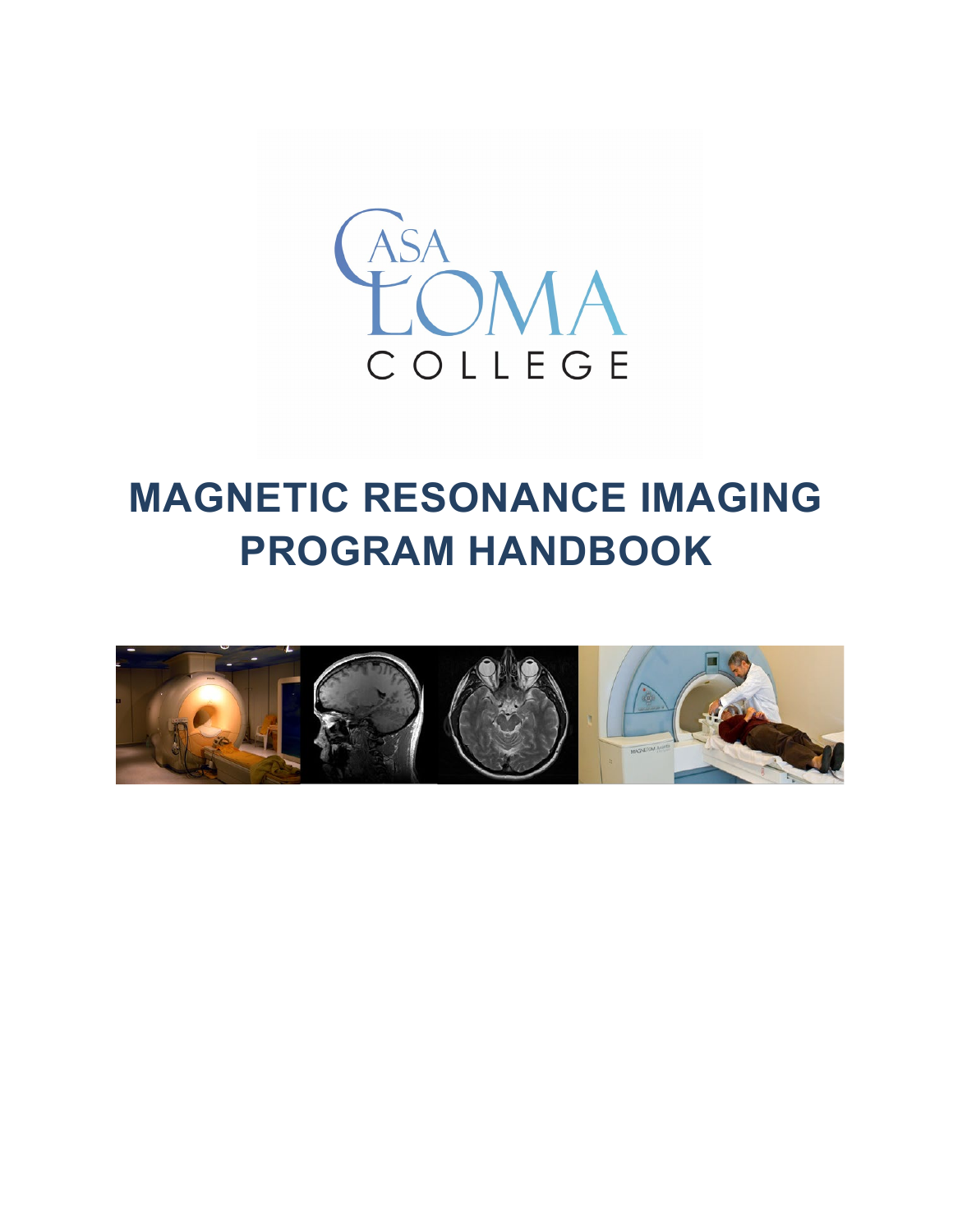

# **MAGNETIC RESONANCE IMAGING PROGRAM HANDBOOK**

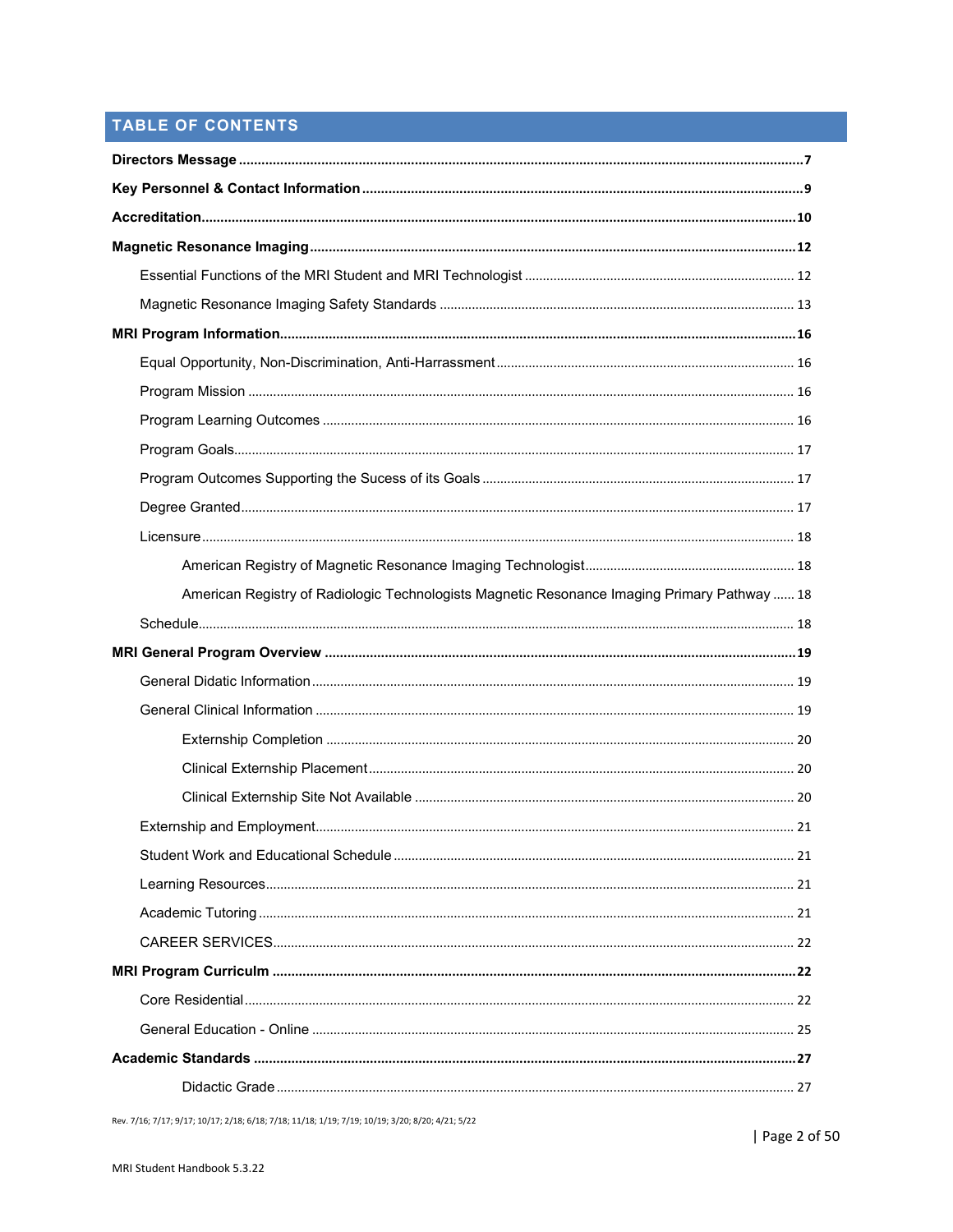## TABLE OF CONTENTS

| American Registry of Radiologic Technologists Magnetic Resonance Imaging Primary Pathway  18 |  |
|----------------------------------------------------------------------------------------------|--|
|                                                                                              |  |
|                                                                                              |  |
|                                                                                              |  |
|                                                                                              |  |
|                                                                                              |  |
|                                                                                              |  |
|                                                                                              |  |
|                                                                                              |  |
|                                                                                              |  |
|                                                                                              |  |
|                                                                                              |  |
|                                                                                              |  |
|                                                                                              |  |
|                                                                                              |  |
|                                                                                              |  |
|                                                                                              |  |
|                                                                                              |  |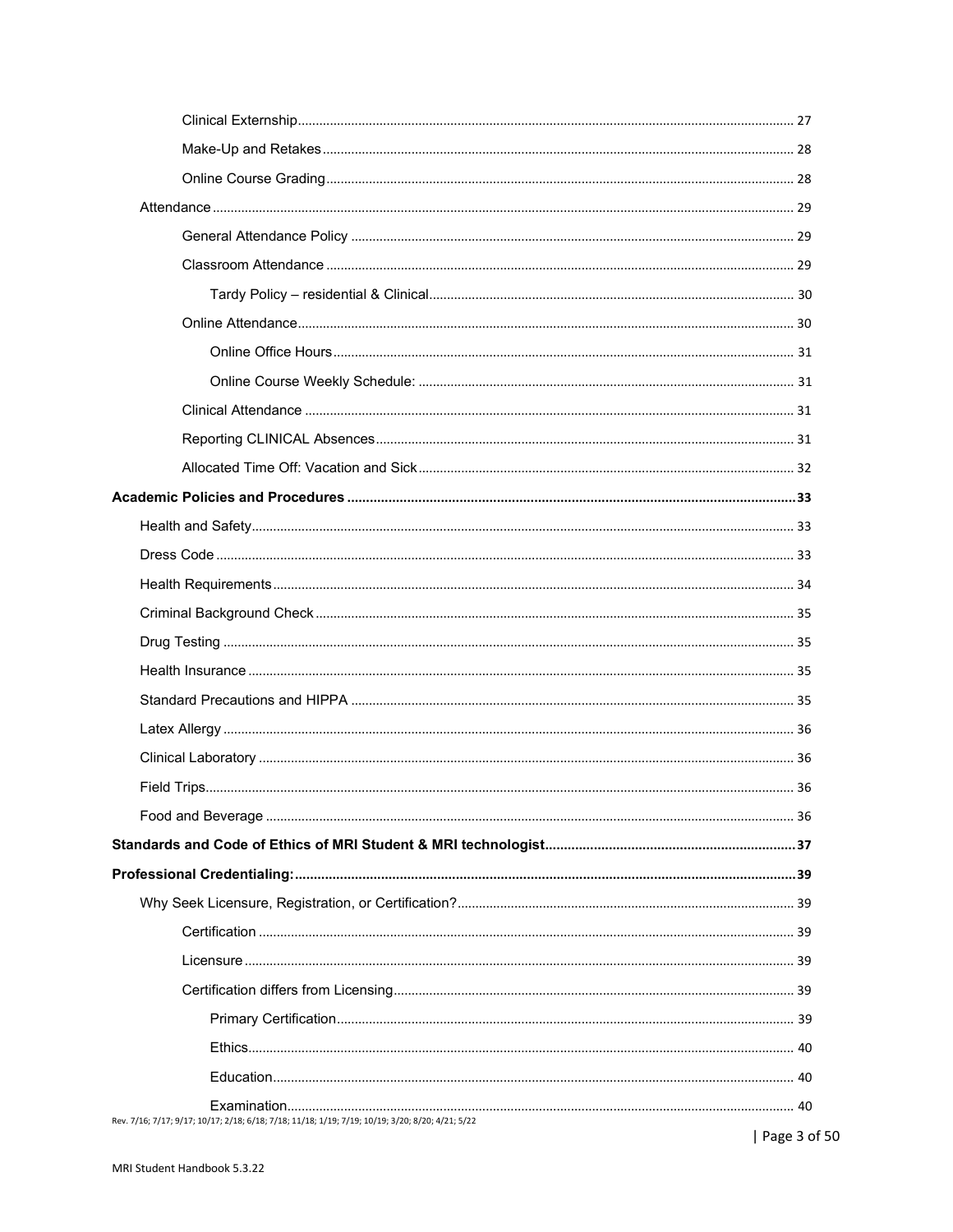| Rev. 7/16; 7/17; 9/17; 10/17; 2/18; 6/18; 7/18; 11/18; 1/19; 7/19; 10/19; 3/20; 8/20; 4/21; 5/22 |  |
|--------------------------------------------------------------------------------------------------|--|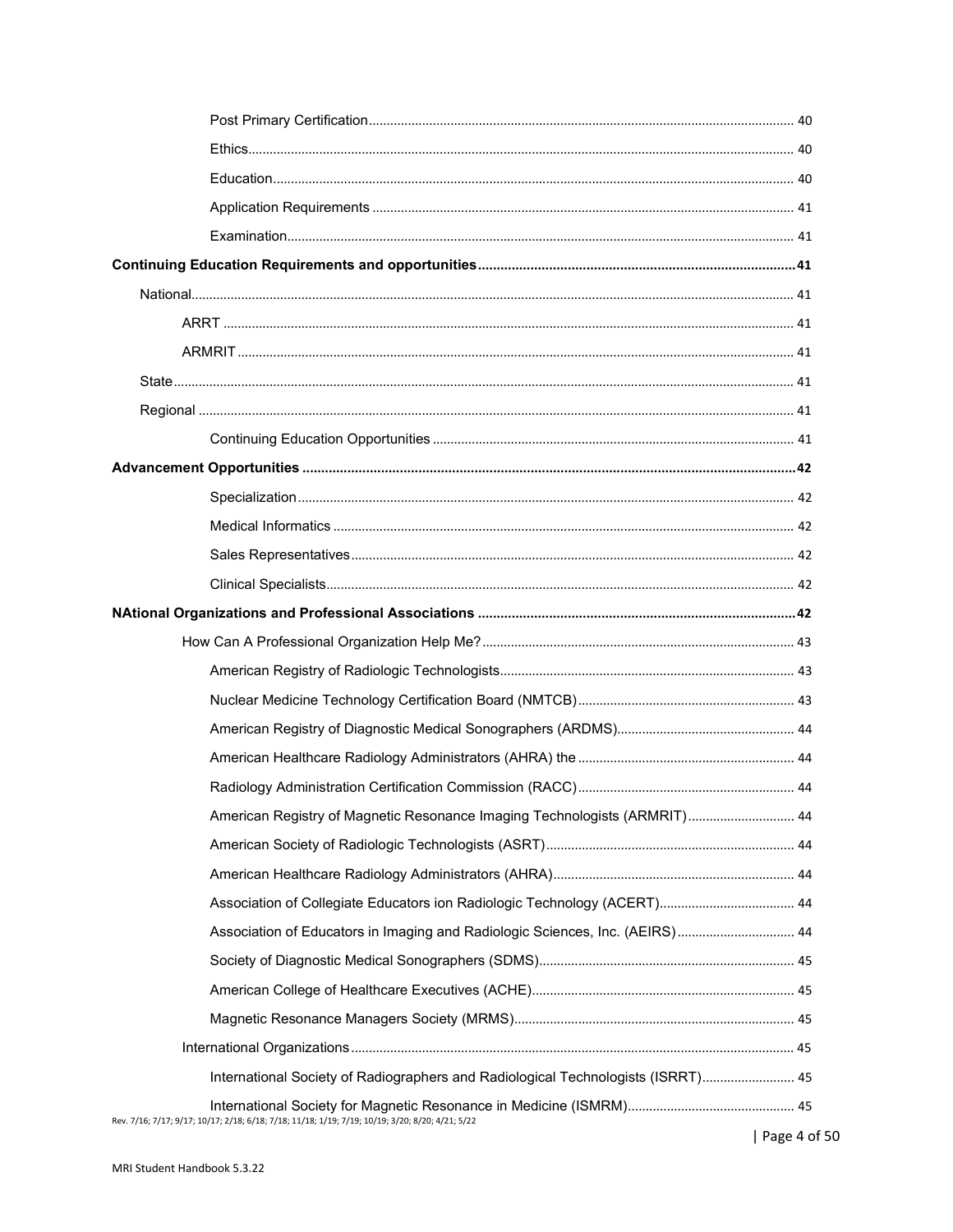| American Registry of Magnetic Resonance Imaging Technologists (ARMRIT) 44                        |  |
|--------------------------------------------------------------------------------------------------|--|
|                                                                                                  |  |
|                                                                                                  |  |
|                                                                                                  |  |
| Association of Educators in Imaging and Radiologic Sciences, Inc. (AEIRS) 44                     |  |
|                                                                                                  |  |
|                                                                                                  |  |
|                                                                                                  |  |
|                                                                                                  |  |
| International Society of Radiographers and Radiological Technologists (ISRRT) 45                 |  |
| Rev. 7/16: 7/17: 9/17: 10/17: 2/18: 6/18: 7/18: 11/18: 1/19: 7/19: 10/19: 3/20: 8/20: 4/21: 5/22 |  |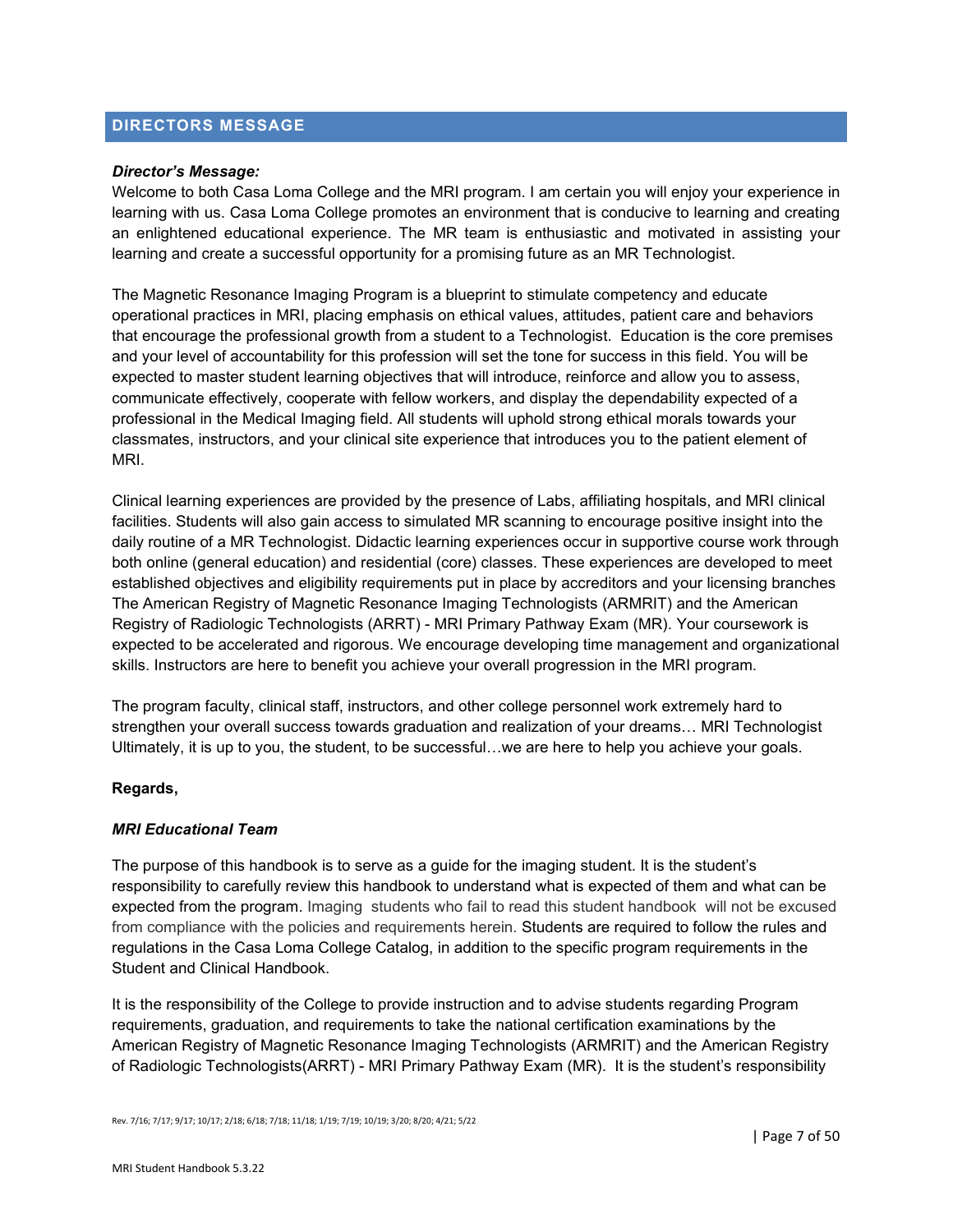## <span id="page-6-0"></span>**DIRECTORS MESSAGE**

#### *Director's Message:*

Welcome to both Casa Loma College and the MRI program. I am certain you will enjoy your experience in learning with us. Casa Loma College promotes an environment that is conducive to learning and creating an enlightened educational experience. The MR team is enthusiastic and motivated in assisting your learning and create a successful opportunity for a promising future as an MR Technologist.

The Magnetic Resonance Imaging Program is a blueprint to stimulate competency and educate operational practices in MRI, placing emphasis on ethical values, attitudes, patient care and behaviors that encourage the professional growth from a student to a Technologist. Education is the core premises and your level of accountability for this profession will set the tone for success in this field. You will be expected to master student learning objectives that will introduce, reinforce and allow you to assess, communicate effectively, cooperate with fellow workers, and display the dependability expected of a professional in the Medical Imaging field. All students will uphold strong ethical morals towards your classmates, instructors, and your clinical site experience that introduces you to the patient element of MRI.

Clinical learning experiences are provided by the presence of Labs, affiliating hospitals, and MRI clinical facilities. Students will also gain access to simulated MR scanning to encourage positive insight into the daily routine of a MR Technologist. Didactic learning experiences occur in supportive course work through both online (general education) and residential (core) classes. These experiences are developed to meet established objectives and eligibility requirements put in place by accreditors and your licensing branches The American Registry of Magnetic Resonance Imaging Technologists (ARMRIT) and the American Registry of Radiologic Technologists (ARRT) - MRI Primary Pathway Exam (MR). Your coursework is expected to be accelerated and rigorous. We encourage developing time management and organizational skills. Instructors are here to benefit you achieve your overall progression in the MRI program.

The program faculty, clinical staff, instructors, and other college personnel work extremely hard to strengthen your overall success towards graduation and realization of your dreams… MRI Technologist Ultimately, it is up to you, the student, to be successful…we are here to help you achieve your goals.

#### **Regards,**

## *MRI Educational Team*

The purpose of this handbook is to serve as a guide for the imaging student. It is the student's responsibility to carefully review this handbook to understand what is expected of them and what can be expected from the program. Imaging students who fail to read this student handbook will not be excused from compliance with the policies and requirements herein. Students are required to follow the rules and regulations in the Casa Loma College Catalog, in addition to the specific program requirements in the Student and Clinical Handbook.

It is the responsibility of the College to provide instruction and to advise students regarding Program requirements, graduation, and requirements to take the national certification examinations by the American Registry of Magnetic Resonance Imaging Technologists (ARMRIT) and the American Registry of Radiologic Technologists(ARRT) - MRI Primary Pathway Exam (MR). It is the student's responsibility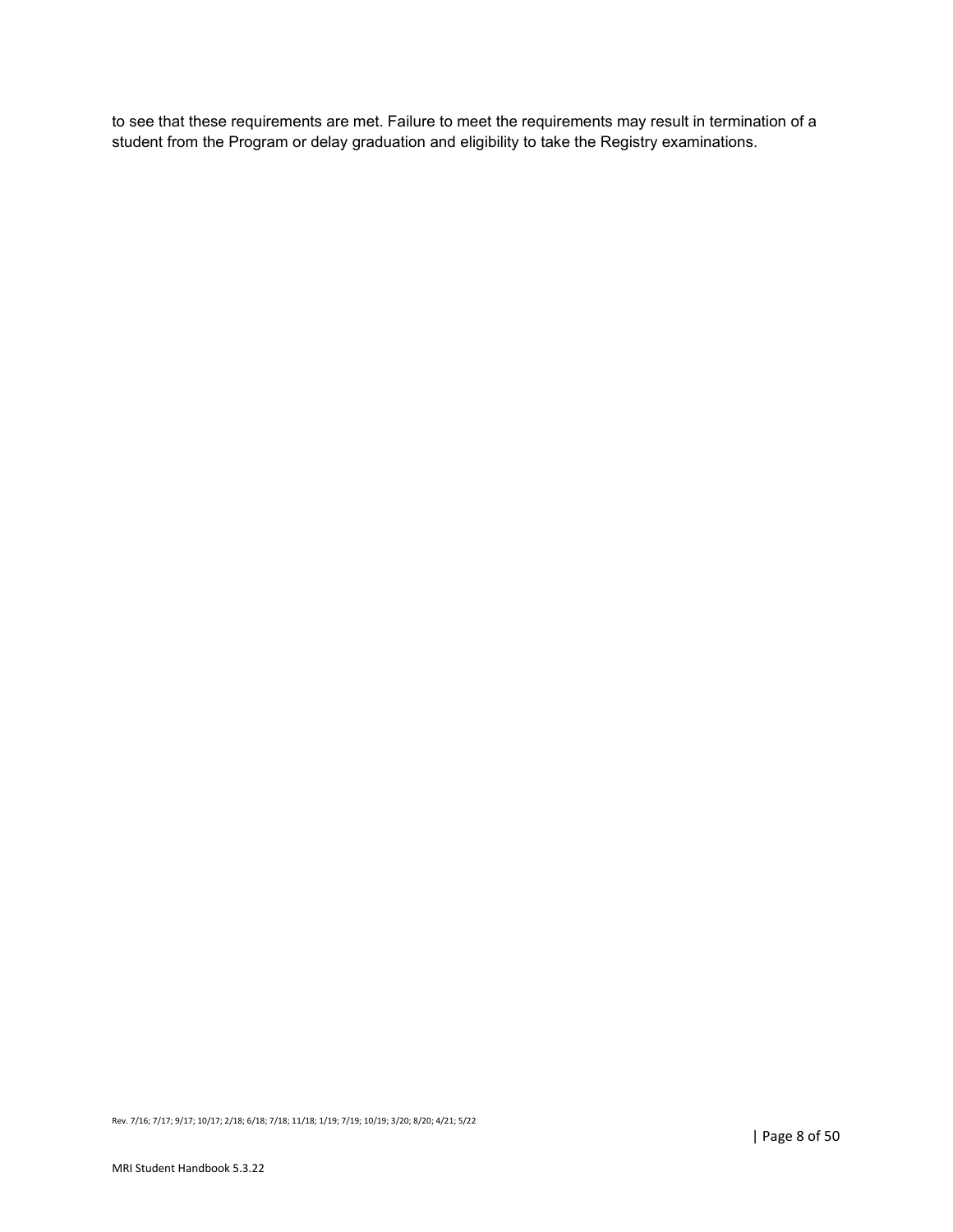to see that these requirements are met. Failure to meet the requirements may result in termination of a student from the Program or delay graduation and eligibility to take the Registry examinations.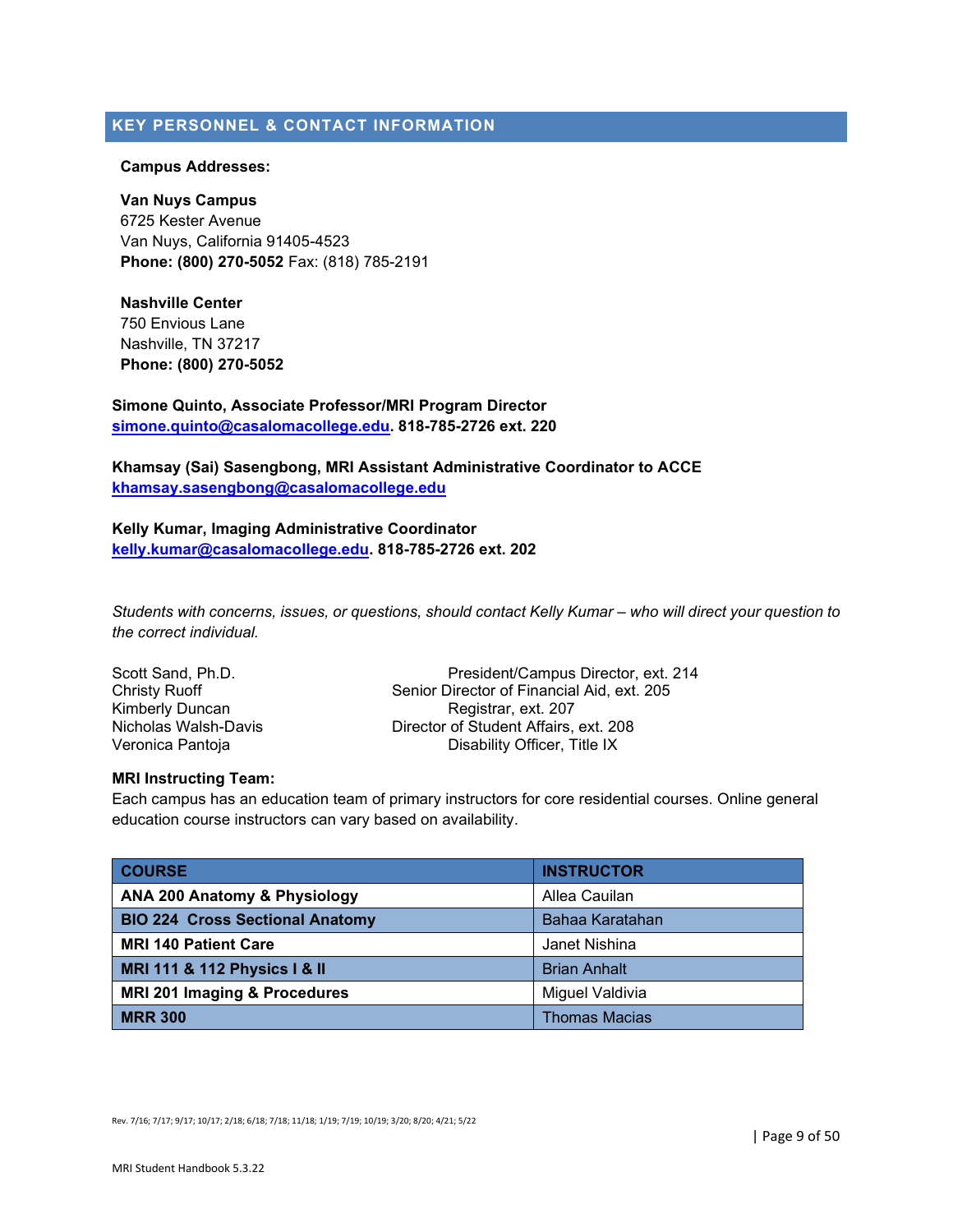## <span id="page-8-0"></span>**KEY PERSONNEL & CONTACT INFORMATION**

#### **Campus Addresses:**

## **Van Nuys Campus**

6725 Kester Avenue Van Nuys, California 91405-4523 **Phone: (800) 270-5052** Fax: (818) 785-2191

#### **Nashville Center**

750 Envious Lane Nashville, TN 37217 **Phone: (800) 270-5052**

**Simone Quinto, Associate Professor/MRI Program Director [simone.quinto@casalomacollege.edu.](mailto:simone.quinto@casalomacollege.edu) 818-785-2726 ext. 220**

**Khamsay (Sai) Sasengbong, MRI Assistant Administrative Coordinator to ACCE [khamsay.sasengbong@casalomacollege.edu](mailto:khamsay.sasengbong@casalomacollege.edu)**

**Kelly Kumar, Imaging Administrative Coordinator [kelly.kumar@casalomacollege.edu.](mailto:kelly.kumar@casalomacollege.edu) 818-785-2726 ext. 202** 

*Students with concerns, issues, or questions, should contact Kelly Kumar – who will direct your question to the correct individual.*

Kimberly Duncan

Scott Sand, Ph.D. **President/Campus Director, ext. 214** Christy Ruoff Senior Director of Financial Aid, ext. 205 Nicholas Walsh-Davis Director of Student Affairs, ext. 208 Veronica Pantoja **Disability Officer**, Title IX

#### **MRI Instructing Team:**

Each campus has an education team of primary instructors for core residential courses. Online general education course instructors can vary based on availability.

| <b>COURSE</b>                               | <b>INSTRUCTOR</b>    |
|---------------------------------------------|----------------------|
| ANA 200 Anatomy & Physiology                | Allea Cauilan        |
| <b>BIO 224 Cross Sectional Anatomy</b>      | Bahaa Karatahan      |
| <b>MRI 140 Patient Care</b>                 | Janet Nishina        |
| <b>MRI 111 &amp; 112 Physics I &amp; II</b> | <b>Brian Anhalt</b>  |
| <b>MRI 201 Imaging &amp; Procedures</b>     | Miguel Valdivia      |
| <b>MRR 300</b>                              | <b>Thomas Macias</b> |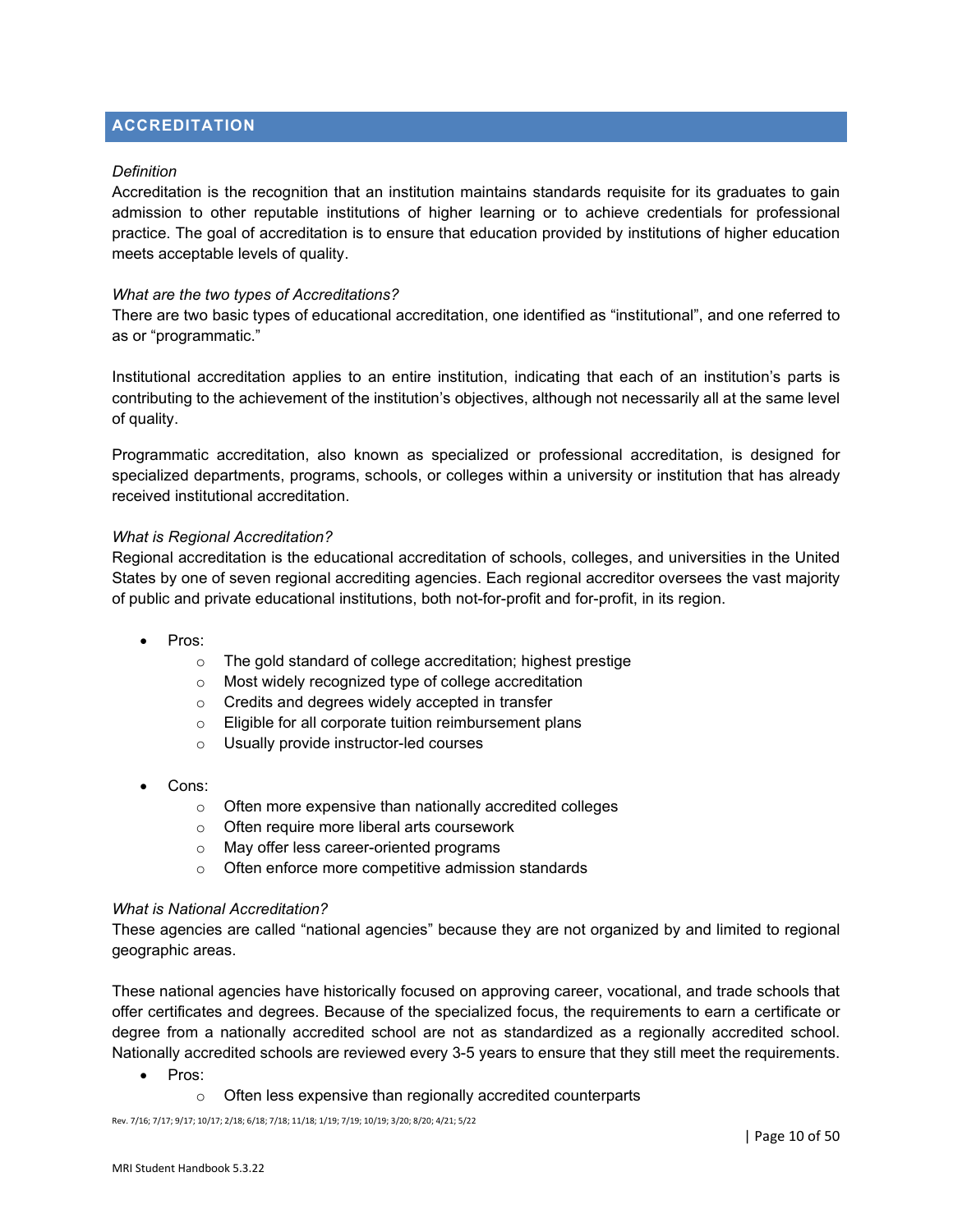## <span id="page-9-0"></span>**ACCREDITATION**

#### *Definition*

Accreditation is the recognition that an institution maintains standards requisite for its graduates to gain admission to other reputable institutions of higher learning or to achieve credentials for professional practice. The goal of accreditation is to ensure that education provided by institutions of higher education meets acceptable levels of quality.

#### *What are the two types of Accreditations?*

There are two basic types of educational accreditation, one identified as "institutional", and one referred to as or "programmatic."

Institutional accreditation applies to an entire institution, indicating that each of an institution's parts is contributing to the achievement of the institution's objectives, although not necessarily all at the same level of quality.

Programmatic accreditation, also known as specialized or professional accreditation, is designed for specialized departments, programs, schools, or colleges within a university or institution that has already received institutional accreditation.

#### *What is Regional Accreditation?*

Regional accreditation is the educational accreditation of schools, colleges, and universities in the United States by one of seven regional accrediting agencies. Each regional accreditor oversees the vast majority of public and private educational institutions, both not-for-profit and for-profit, in its region.

- Pros:
	- o The gold standard of college accreditation; highest prestige
	- o Most widely recognized type of college accreditation
	- o Credits and degrees widely accepted in transfer
	- o Eligible for all corporate tuition reimbursement plans
	- o Usually provide instructor-led courses
- Cons:
	- o Often more expensive than nationally accredited colleges
	- o Often require more liberal arts coursework
	- o May offer less career-oriented programs
	- o Often enforce more competitive admission standards

#### *What is National Accreditation?*

These agencies are called "national agencies" because they are not organized by and limited to regional geographic areas.

These national agencies have historically focused on approving career, vocational, and trade schools that offer certificates and degrees. Because of the specialized focus, the requirements to earn a certificate or degree from a nationally accredited school are not as standardized as a regionally accredited school. Nationally accredited schools are reviewed every 3-5 years to ensure that they still meet the requirements.

- Pros:
	- o Often less expensive than regionally accredited counterparts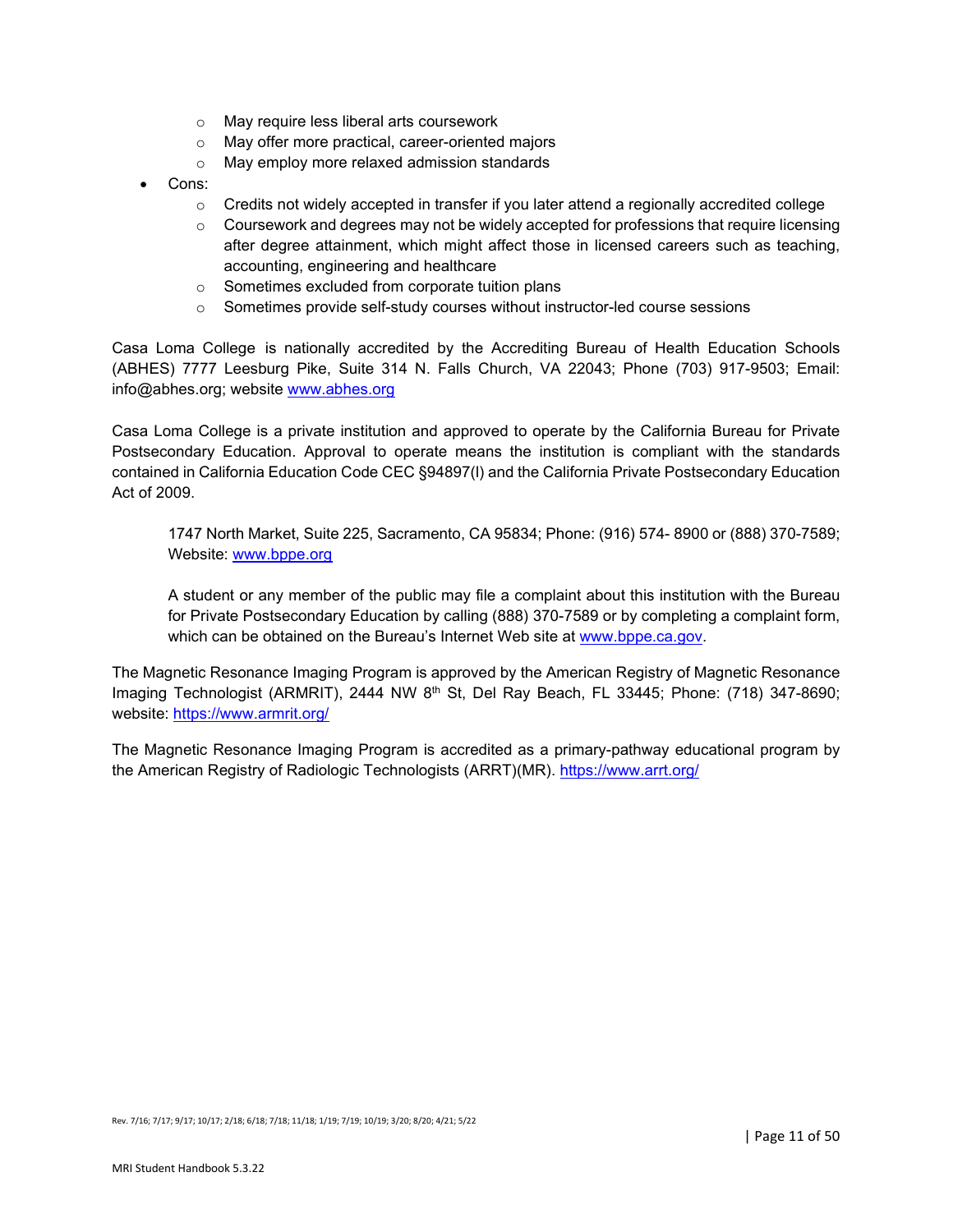- o May require less liberal arts coursework
- o May offer more practical, career-oriented majors
- o May employ more relaxed admission standards
- Cons:
	- $\circ$  Credits not widely accepted in transfer if you later attend a regionally accredited college
	- $\circ$  Coursework and degrees may not be widely accepted for professions that require licensing after degree attainment, which might affect those in licensed careers such as teaching, accounting, engineering and healthcare
	- o Sometimes excluded from corporate tuition plans
	- $\circ$  Sometimes provide self-study courses without instructor-led course sessions

Casa Loma College is nationally accredited by the Accrediting Bureau of Health Education Schools (ABHES) 7777 Leesburg Pike, Suite 314 N. Falls Church, VA 22043; Phone (703) 917-9503; Email: info@abhes.org; website [www.abhes.org](http://www.abhes.org/)

Casa Loma College is a private institution and approved to operate by the California Bureau for Private Postsecondary Education. Approval to operate means the institution is compliant with the standards contained in California Education Code CEC §94897(l) and the California Private Postsecondary Education Act of 2009.

1747 North Market, Suite 225, Sacramento, CA 95834; Phone: (916) 574- 8900 or (888) 370-7589; Website: [www.bppe.org](http://www.bppe.org/)

A student or any member of the public may file a complaint about this institution with the Bureau for Private Postsecondary Education by calling (888) 370-7589 or by completing a complaint form, which can be obtained on the Bureau's Internet Web site at [www.bppe.ca.gov.](http://www.bppe.ca.gov/)

The Magnetic Resonance Imaging Program is approved by the American Registry of Magnetic Resonance Imaging Technologist (ARMRIT), 2444 NW 8<sup>th</sup> St, Del Ray Beach, FL 33445; Phone: (718) 347-8690; website:<https://www.armrit.org/>

The Magnetic Resonance Imaging Program is accredited as a primary-pathway educational program by the American Registry of Radiologic Technologists (ARRT)(MR).<https://www.arrt.org/>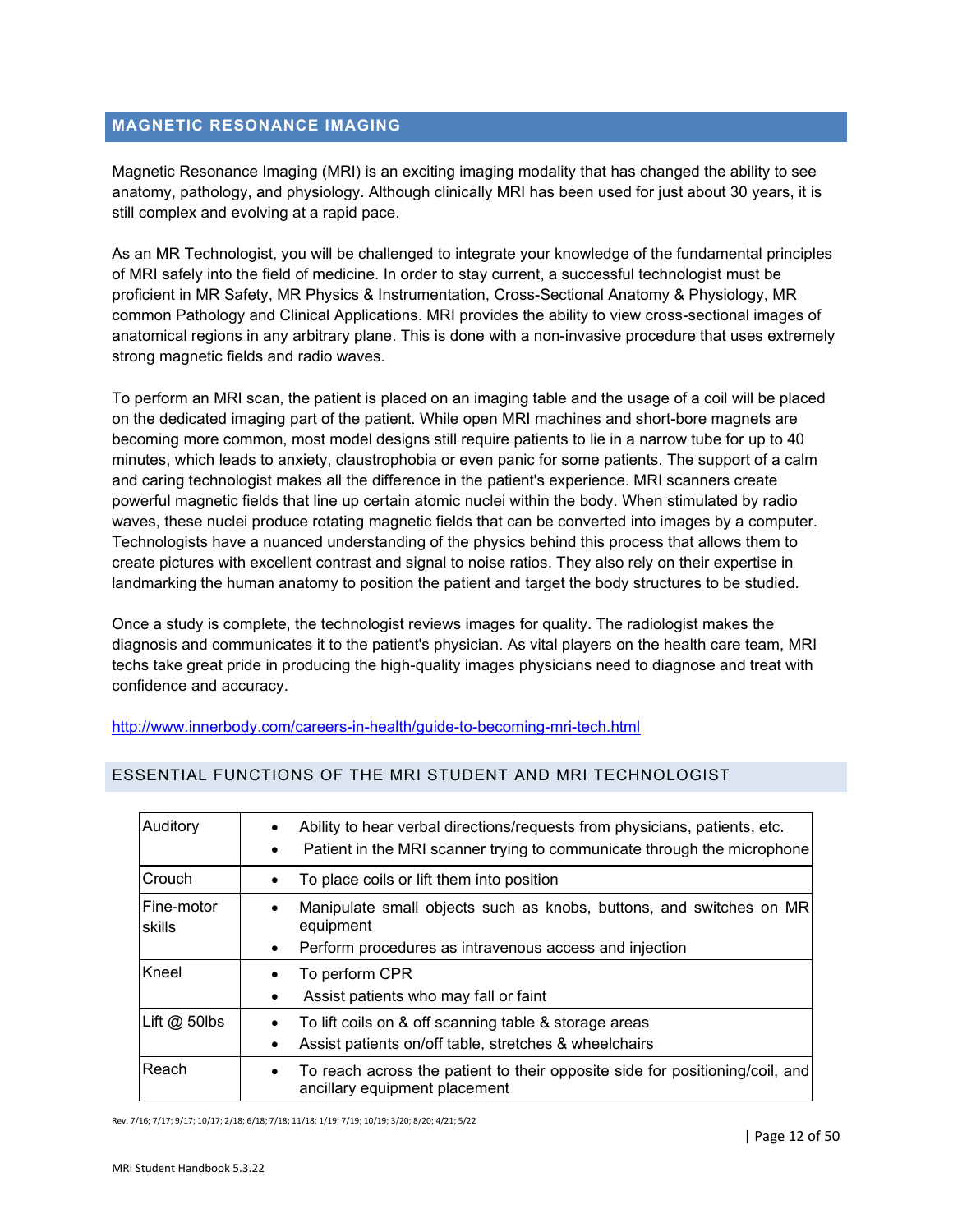## <span id="page-11-0"></span>**MAGNETIC RESONANCE IMAGING**

Magnetic Resonance Imaging (MRI) is an exciting imaging modality that has changed the ability to see anatomy, pathology, and physiology. Although clinically MRI has been used for just about 30 years, it is still complex and evolving at a rapid pace.

As an MR Technologist, you will be challenged to integrate your knowledge of the fundamental principles of MRI safely into the field of medicine. In order to stay current, a successful technologist must be proficient in MR Safety, MR Physics & Instrumentation, Cross-Sectional Anatomy & Physiology, MR common Pathology and Clinical Applications. MRI provides the ability to view cross-sectional images of anatomical regions in any arbitrary plane. This is done with a non-invasive procedure that uses extremely strong magnetic fields and radio waves.

To perform an MRI scan, the patient is placed on an imaging table and the usage of a coil will be placed on the dedicated imaging part of the patient. While open MRI machines and short-bore magnets are becoming more common, most model designs still require patients to lie in a narrow tube for up to 40 minutes, which leads to anxiety, claustrophobia or even panic for some patients. The support of a calm and caring technologist makes all the difference in the patient's experience. MRI scanners create powerful magnetic fields that line up certain atomic nuclei within the body. When stimulated by radio waves, these nuclei produce rotating magnetic fields that can be converted into images by a computer. Technologists have a nuanced understanding of the physics behind this process that allows them to create pictures with excellent contrast and signal to noise ratios. They also rely on their expertise in landmarking the human anatomy to position the patient and target the body structures to be studied.

Once a study is complete, the technologist reviews images for quality. The radiologist makes the diagnosis and communicates it to the patient's physician. As vital players on the health care team, MRI techs take great pride in producing the high-quality images physicians need to diagnose and treat with confidence and accuracy.

<span id="page-11-1"></span>

| Auditory              | Ability to hear verbal directions/requests from physicians, patients, etc.<br>Patient in the MRI scanner trying to communicate through the microphone<br>$\bullet$ |
|-----------------------|--------------------------------------------------------------------------------------------------------------------------------------------------------------------|
| Crouch                | To place coils or lift them into position                                                                                                                          |
| lFine-motor<br>skills | Manipulate small objects such as knobs, buttons, and switches on MR<br>equipment<br>Perform procedures as intravenous access and injection<br>$\bullet$            |
| Kneel                 | To perform CPR<br>Assist patients who may fall or faint<br>٠                                                                                                       |
| Lift @ 50lbs          | To lift coils on & off scanning table & storage areas<br>Assist patients on/off table, stretches & wheelchairs<br>٠                                                |
| Reach                 | To reach across the patient to their opposite side for positioning/coil, and<br>ancillary equipment placement                                                      |

## ESSENTIAL FUNCTIONS OF THE MRI STUDENT AND MRI TECHNOLOGIST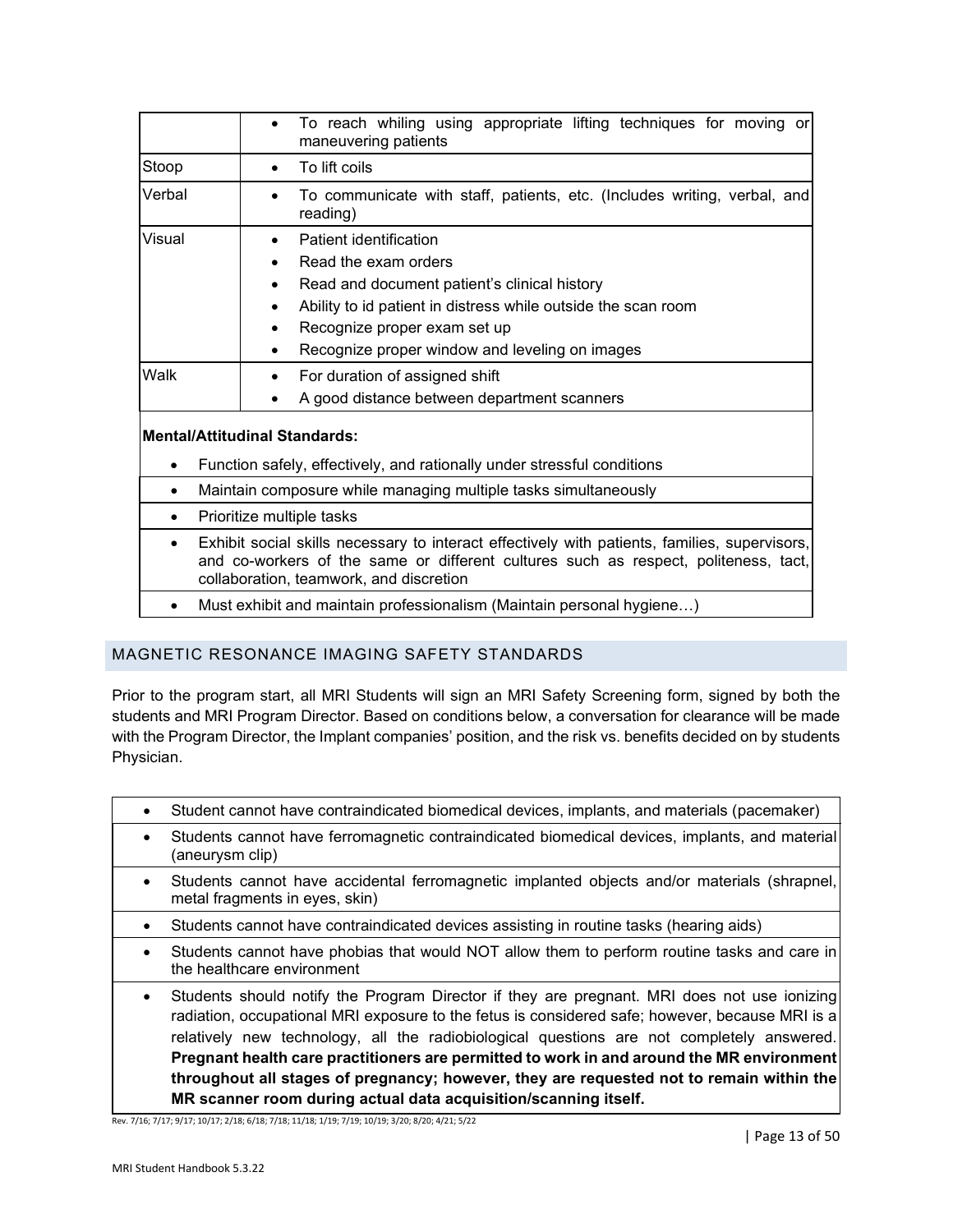|             | To reach whiling using appropriate lifting techniques for moving or<br>maneuvering patients                                                                                                                                                       |
|-------------|---------------------------------------------------------------------------------------------------------------------------------------------------------------------------------------------------------------------------------------------------|
| Stoop       | To lift coils                                                                                                                                                                                                                                     |
| Verbal      | To communicate with staff, patients, etc. (Includes writing, verbal, and<br>reading)                                                                                                                                                              |
| lVisual     | Patient identification<br>Read the exam orders<br>Read and document patient's clinical history<br>Ability to id patient in distress while outside the scan room<br>Recognize proper exam set up<br>Recognize proper window and leveling on images |
| <b>Walk</b> | For duration of assigned shift<br>A good distance between department scanners                                                                                                                                                                     |

## **Mental/Attitudinal Standards:**

- Function safely, effectively, and rationally under stressful conditions
- Maintain composure while managing multiple tasks simultaneously
- Prioritize multiple tasks
- Exhibit social skills necessary to interact effectively with patients, families, supervisors, and co-workers of the same or different cultures such as respect, politeness, tact, collaboration, teamwork, and discretion
- Must exhibit and maintain professionalism (Maintain personal hygiene…)

## <span id="page-12-0"></span>MAGNETIC RESONANCE IMAGING SAFETY STANDARDS

Prior to the program start, all MRI Students will sign an MRI Safety Screening form, signed by both the students and MRI Program Director. Based on conditions below, a conversation for clearance will be made with the Program Director, the Implant companies' position, and the risk vs. benefits decided on by students Physician.

- Student cannot have contraindicated biomedical devices, implants, and materials (pacemaker)
- Students cannot have ferromagnetic contraindicated biomedical devices, implants, and material (aneurysm clip)
- Students cannot have accidental ferromagnetic implanted objects and/or materials (shrapnel, metal fragments in eyes, skin)
- Students cannot have contraindicated devices assisting in routine tasks (hearing aids)
- Students cannot have phobias that would NOT allow them to perform routine tasks and care in the healthcare environment
- Students should notify the Program Director if they are pregnant. MRI does not use ionizing radiation, occupational MRI exposure to the fetus is considered safe; however, because MRI is a relatively new technology, all the radiobiological questions are not completely answered. **Pregnant health care practitioners are permitted to work in and around the MR environment throughout all stages of pregnancy; however, they are requested not to remain within the MR scanner room during actual data acquisition/scanning itself.**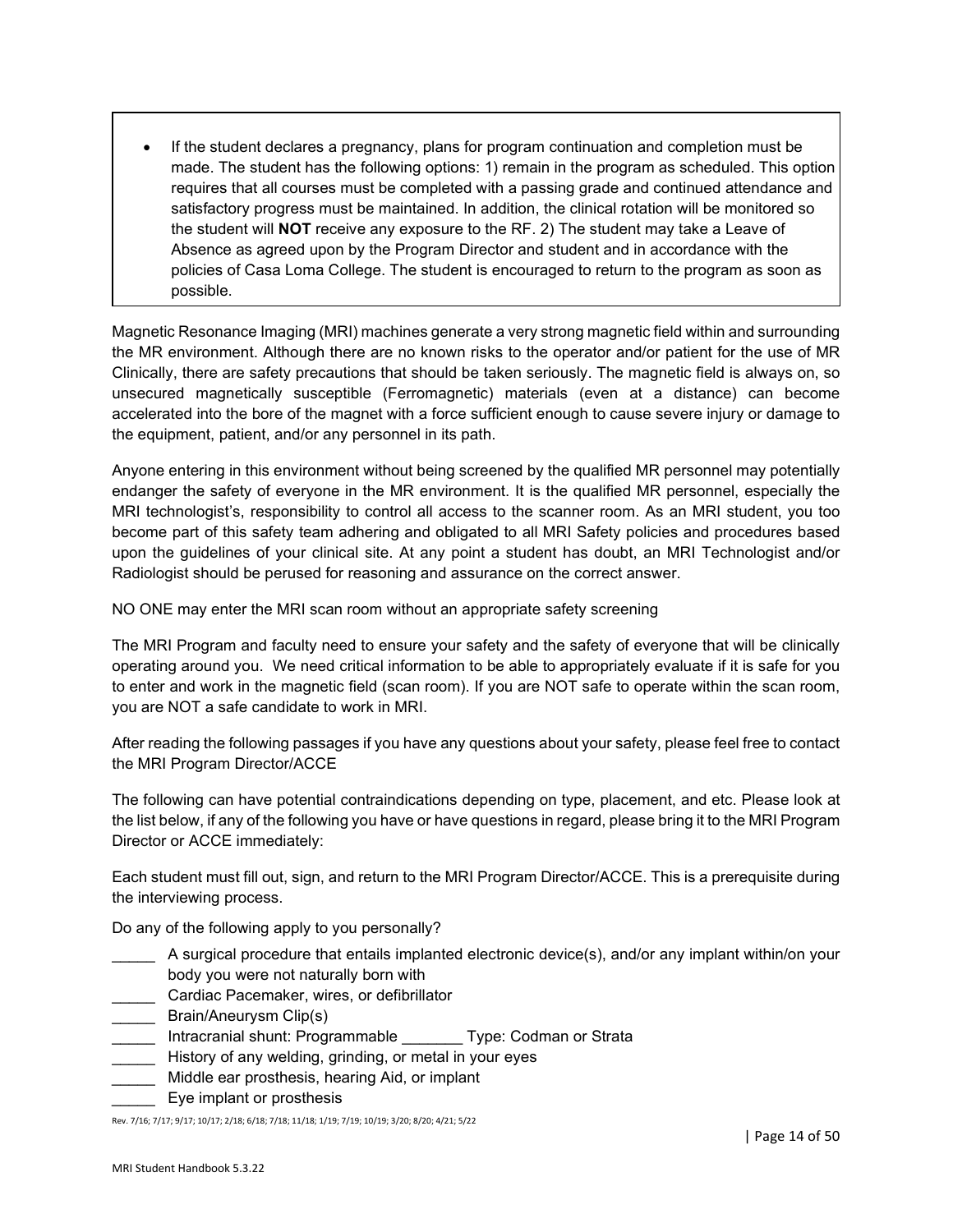• If the student declares a pregnancy, plans for program continuation and completion must be made. The student has the following options: 1) remain in the program as scheduled. This option requires that all courses must be completed with a passing grade and continued attendance and satisfactory progress must be maintained. In addition, the clinical rotation will be monitored so the student will **NOT** receive any exposure to the RF. 2) The student may take a Leave of Absence as agreed upon by the Program Director and student and in accordance with the policies of Casa Loma College. The student is encouraged to return to the program as soon as possible.

Magnetic Resonance Imaging (MRI) machines generate a very strong magnetic field within and surrounding the MR environment. Although there are no known risks to the operator and/or patient for the use of MR Clinically, there are safety precautions that should be taken seriously. The magnetic field is always on, so unsecured magnetically susceptible (Ferromagnetic) materials (even at a distance) can become accelerated into the bore of the magnet with a force sufficient enough to cause severe injury or damage to the equipment, patient, and/or any personnel in its path.

Anyone entering in this environment without being screened by the qualified MR personnel may potentially endanger the safety of everyone in the MR environment. It is the qualified MR personnel, especially the MRI technologist's, responsibility to control all access to the scanner room. As an MRI student, you too become part of this safety team adhering and obligated to all MRI Safety policies and procedures based upon the guidelines of your clinical site. At any point a student has doubt, an MRI Technologist and/or Radiologist should be perused for reasoning and assurance on the correct answer.

NO ONE may enter the MRI scan room without an appropriate safety screening

The MRI Program and faculty need to ensure your safety and the safety of everyone that will be clinically operating around you. We need critical information to be able to appropriately evaluate if it is safe for you to enter and work in the magnetic field (scan room). If you are NOT safe to operate within the scan room, you are NOT a safe candidate to work in MRI.

After reading the following passages if you have any questions about your safety, please feel free to contact the MRI Program Director/ACCE

The following can have potential contraindications depending on type, placement, and etc. Please look at the list below, if any of the following you have or have questions in regard, please bring it to the MRI Program Director or ACCE immediately:

Each student must fill out, sign, and return to the MRI Program Director/ACCE. This is a prerequisite during the interviewing process.

Do any of the following apply to you personally?

- A surgical procedure that entails implanted electronic device(s), and/or any implant within/on your body you were not naturally born with
- \_\_\_\_\_ Cardiac Pacemaker, wires, or defibrillator
- \_\_\_\_\_ Brain/Aneurysm Clip(s)
- Intracranial shunt: Programmable Type: Codman or Strata
- \_\_\_\_\_ History of any welding, grinding, or metal in your eyes
- \_\_\_\_\_ Middle ear prosthesis, hearing Aid, or implant
- Eye implant or prosthesis

Rev. 7/16; 7/17; 9/17; 10/17; 2/18; 6/18; 7/18; 11/18; 1/19; 7/19; 10/19; 3/20; 8/20; 4/21; 5/22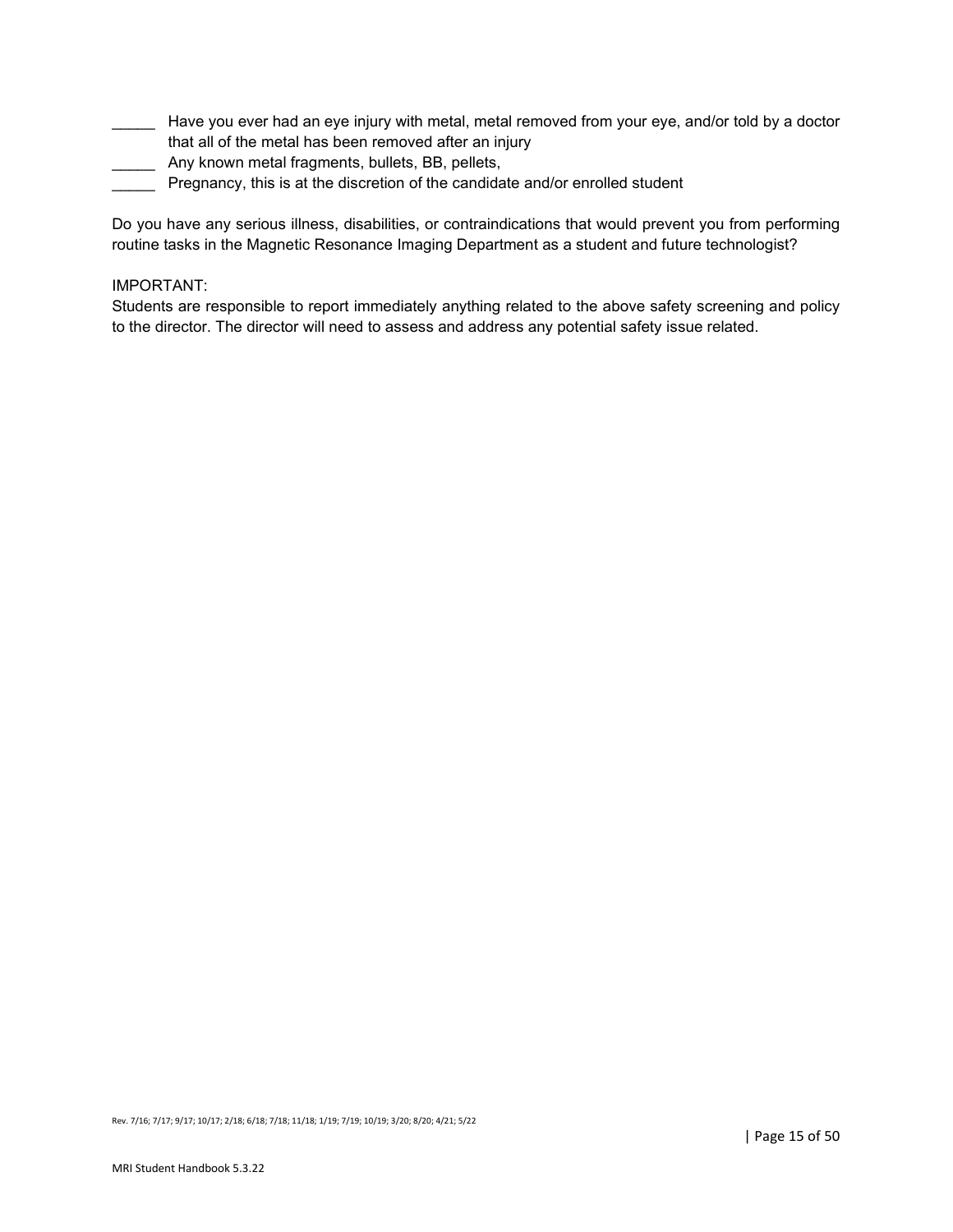- \_\_\_\_\_ Have you ever had an eye injury with metal, metal removed from your eye, and/or told by a doctor that all of the metal has been removed after an injury
- \_\_\_\_\_ Any known metal fragments, bullets, BB, pellets,
- Pregnancy, this is at the discretion of the candidate and/or enrolled student

Do you have any serious illness, disabilities, or contraindications that would prevent you from performing routine tasks in the Magnetic Resonance Imaging Department as a student and future technologist?

#### IMPORTANT:

Students are responsible to report immediately anything related to the above safety screening and policy to the director. The director will need to assess and address any potential safety issue related.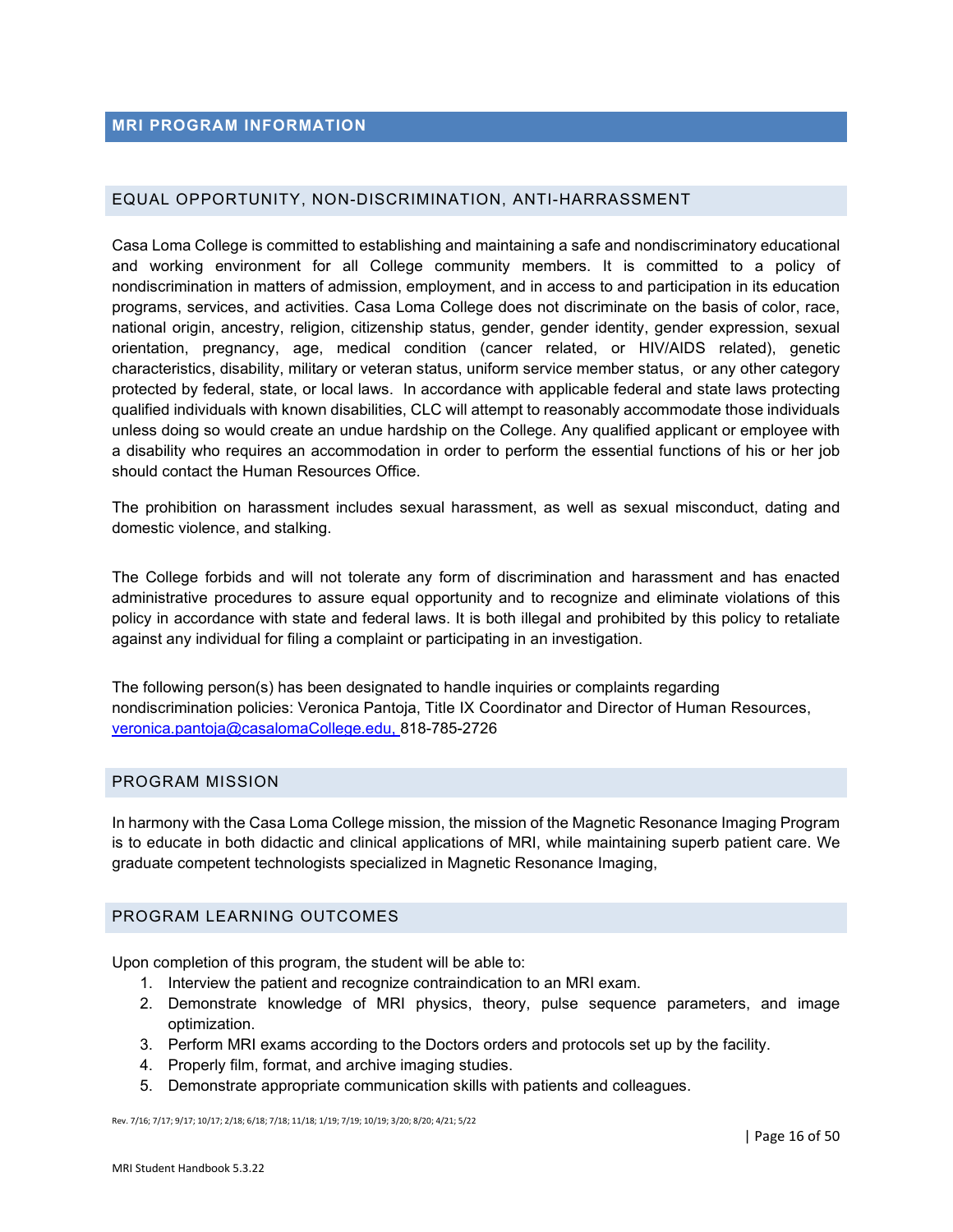## <span id="page-15-0"></span>**MRI PROGRAM INFORMATION**

## <span id="page-15-1"></span>EQUAL OPPORTUNITY, NON-DISCRIMINATION, ANTI-HARRASSMENT

Casa Loma College is committed to establishing and maintaining a safe and nondiscriminatory educational and working environment for all College community members. It is committed to a policy of nondiscrimination in matters of admission, employment, and in access to and participation in its education programs, services, and activities. Casa Loma College does not discriminate on the basis of color, race, national origin, ancestry, religion, citizenship status, gender, gender identity, gender expression, sexual orientation, pregnancy, age, medical condition (cancer related, or HIV/AIDS related), genetic characteristics, disability, military or veteran status, uniform service member status, or any other category protected by federal, state, or local laws. In accordance with applicable federal and state laws protecting qualified individuals with known disabilities, CLC will attempt to reasonably accommodate those individuals unless doing so would create an undue hardship on the College. Any qualified applicant or employee with a disability who requires an accommodation in order to perform the essential functions of his or her job should contact the Human Resources Office.

The prohibition on harassment includes sexual harassment, as well as sexual misconduct, dating and domestic violence, and stalking.

The College forbids and will not tolerate any form of discrimination and harassment and has enacted administrative procedures to assure equal opportunity and to recognize and eliminate violations of this policy in accordance with state and federal laws. It is both illegal and prohibited by this policy to retaliate against any individual for filing a complaint or participating in an investigation.

The following person(s) has been designated to handle inquiries or complaints regarding nondiscrimination policies: Veronica Pantoja, Title IX Coordinator and Director of Human Resources, [veronica.pantoja@casalomaCollege.edu,](mailto:veronica.pantoja@casalomaCollege.edu) 818-785-2726

#### <span id="page-15-2"></span>PROGRAM MISSION

In harmony with the Casa Loma College mission, the mission of the Magnetic Resonance Imaging Program is to educate in both didactic and clinical applications of MRI, while maintaining superb patient care. We graduate competent technologists specialized in Magnetic Resonance Imaging,

## <span id="page-15-3"></span>PROGRAM LEARNING OUTCOMES

Upon completion of this program, the student will be able to:

- 1. Interview the patient and recognize contraindication to an MRI exam.
- 2. Demonstrate knowledge of MRI physics, theory, pulse sequence parameters, and image optimization.
- 3. Perform MRI exams according to the Doctors orders and protocols set up by the facility.
- 4. Properly film, format, and archive imaging studies.
- 5. Demonstrate appropriate communication skills with patients and colleagues.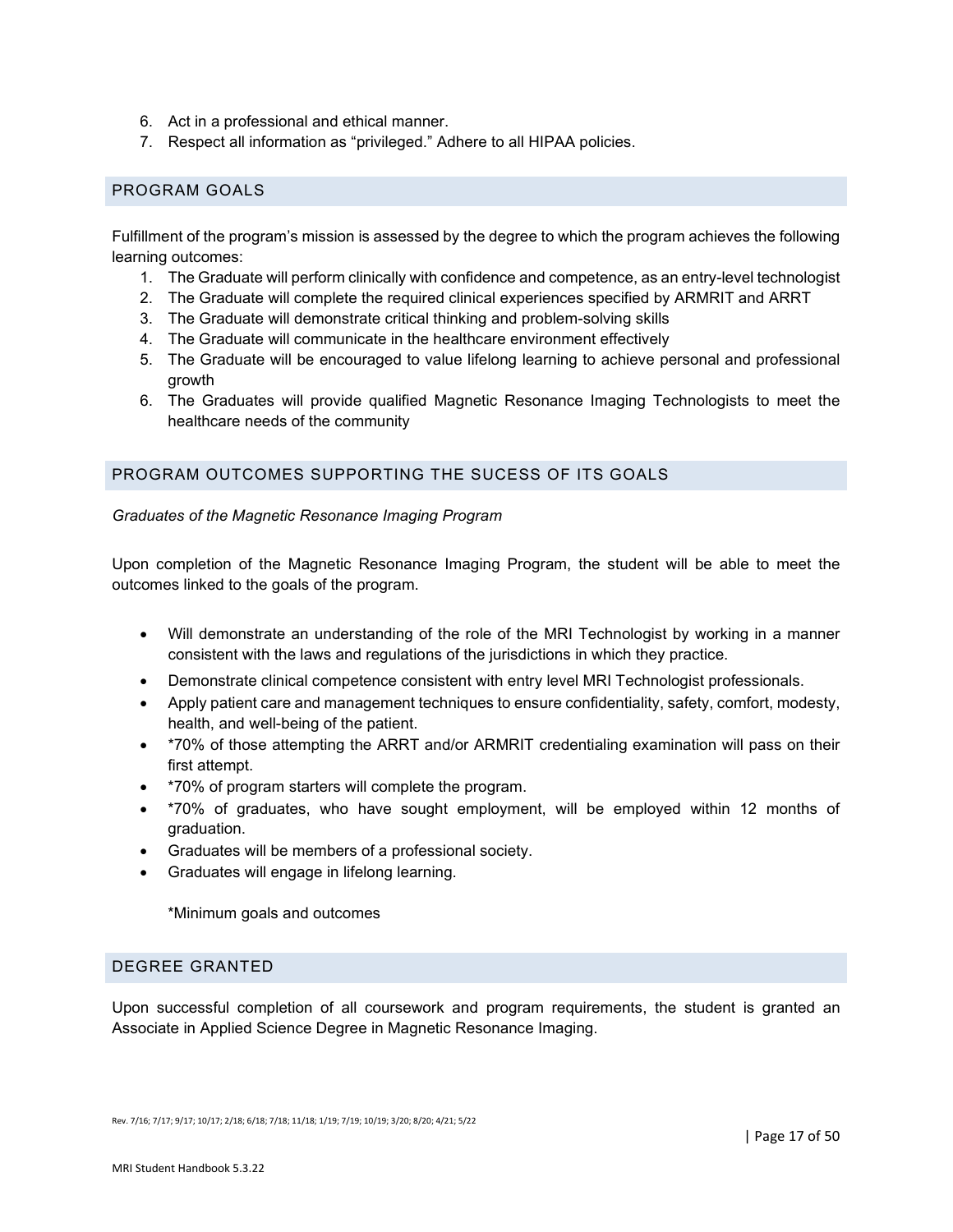- 6. Act in a professional and ethical manner.
- 7. Respect all information as "privileged." Adhere to all HIPAA policies.

## <span id="page-16-0"></span>PROGRAM GOALS

Fulfillment of the program's mission is assessed by the degree to which the program achieves the following learning outcomes:

- 1. The Graduate will perform clinically with confidence and competence, as an entry-level technologist
- 2. The Graduate will complete the required clinical experiences specified by ARMRIT and ARRT
- 3. The Graduate will demonstrate critical thinking and problem-solving skills
- 4. The Graduate will communicate in the healthcare environment effectively
- 5. The Graduate will be encouraged to value lifelong learning to achieve personal and professional growth
- 6. The Graduates will provide qualified Magnetic Resonance Imaging Technologists to meet the healthcare needs of the community

## <span id="page-16-1"></span>PROGRAM OUTCOMES SUPPORTING THE SUCESS OF ITS GOALS

#### *Graduates of the Magnetic Resonance Imaging Program*

Upon completion of the Magnetic Resonance Imaging Program, the student will be able to meet the outcomes linked to the goals of the program.

- Will demonstrate an understanding of the role of the MRI Technologist by working in a manner consistent with the laws and regulations of the jurisdictions in which they practice.
- Demonstrate clinical competence consistent with entry level MRI Technologist professionals.
- Apply patient care and management techniques to ensure confidentiality, safety, comfort, modesty, health, and well-being of the patient.
- \*70% of those attempting the ARRT and/or ARMRIT credentialing examination will pass on their first attempt.
- \*70% of program starters will complete the program.
- \*70% of graduates, who have sought employment, will be employed within 12 months of graduation.
- Graduates will be members of a professional society.
- Graduates will engage in lifelong learning.

\*Minimum goals and outcomes

## <span id="page-16-2"></span>DEGREE GRANTED

Upon successful completion of all coursework and program requirements, the student is granted an Associate in Applied Science Degree in Magnetic Resonance Imaging.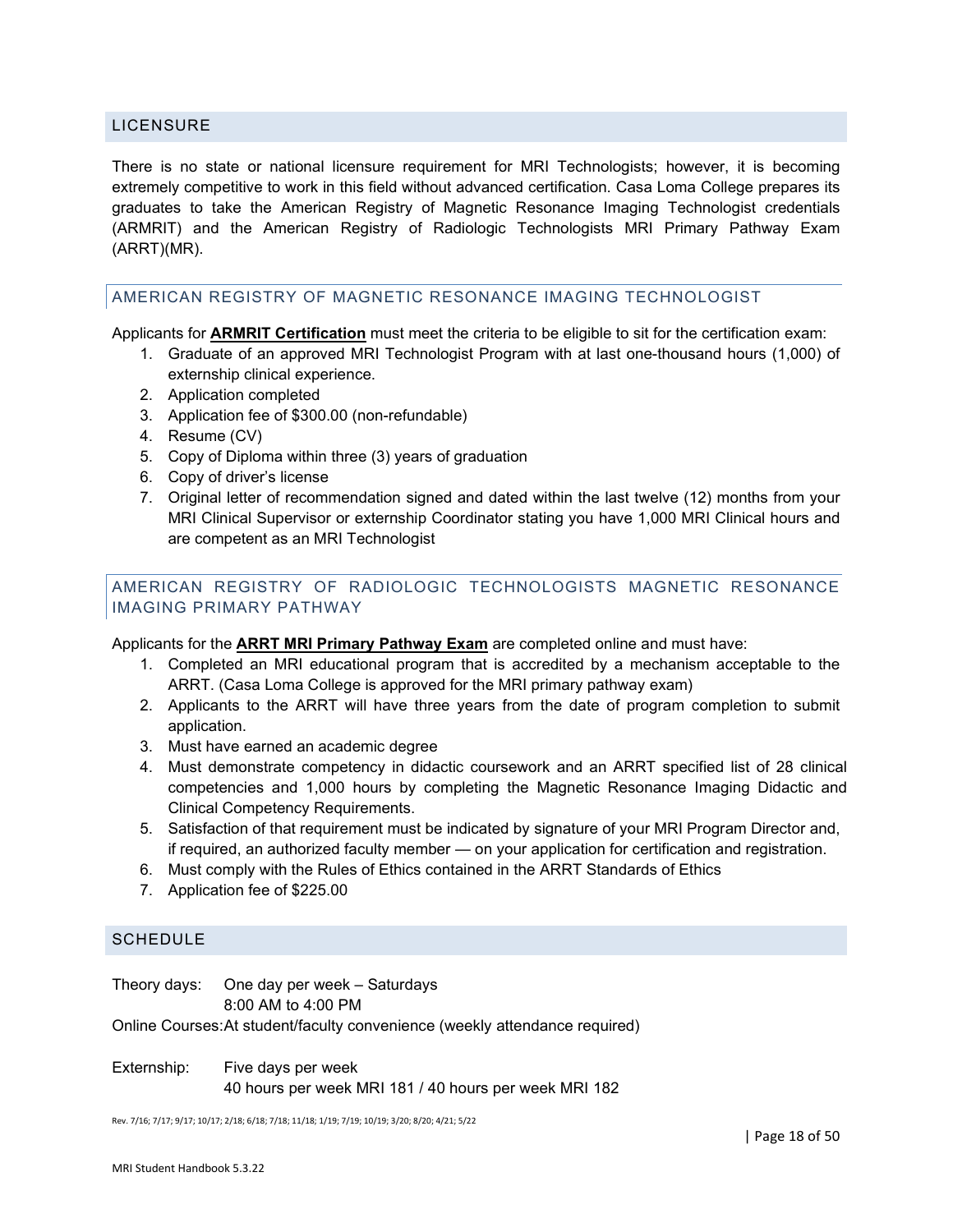## <span id="page-17-0"></span>**LICENSURE**

There is no state or national licensure requirement for MRI Technologists; however, it is becoming extremely competitive to work in this field without advanced certification. Casa Loma College prepares its graduates to take the American Registry of Magnetic Resonance Imaging Technologist credentials (ARMRIT) and the American Registry of Radiologic Technologists MRI Primary Pathway Exam (ARRT)(MR).

## <span id="page-17-1"></span>AMERICAN REGISTRY OF MAGNETIC RESONANCE IMAGING TECHNOLOGIST

Applicants for **ARMRIT Certification** must meet the criteria to be eligible to sit for the certification exam:

- 1. Graduate of an approved MRI Technologist Program with at last one-thousand hours (1,000) of externship clinical experience.
- 2. Application completed
- 3. Application fee of \$300.00 (non-refundable)
- 4. Resume (CV)
- 5. Copy of Diploma within three (3) years of graduation
- 6. Copy of driver's license
- 7. Original letter of recommendation signed and dated within the last twelve (12) months from your MRI Clinical Supervisor or externship Coordinator stating you have 1,000 MRI Clinical hours and are competent as an MRI Technologist

## <span id="page-17-2"></span>AMERICAN REGISTRY OF RADIOLOGIC TECHNOLOGISTS MAGNETIC RESONANCE IMAGING PRIMARY PATHWAY

Applicants for the **ARRT MRI Primary Pathway Exam** are completed online and must have:

- 1. Completed an MRI educational program that is accredited by a mechanism acceptable to the ARRT. (Casa Loma College is approved for the MRI primary pathway exam)
- 2. Applicants to the ARRT will have three years from the date of program completion to submit application.
- 3. Must have earned an academic degree
- 4. Must demonstrate competency in didactic coursework and an ARRT specified list of 28 clinical competencies and 1,000 hours by completing the Magnetic Resonance Imaging Didactic and Clinical Competency Requirements.
- 5. Satisfaction of that requirement must be indicated by signature of your MRI Program Director and, if required, an authorized faculty member — on your application for certification and registration.
- 6. Must comply with the Rules of Ethics contained in the ARRT Standards of Ethics
- 7. Application fee of \$225.00

#### <span id="page-17-3"></span>**SCHEDULE**

Theory days: One day per week – Saturdays 8:00 AM to 4:00 PM Online Courses:At student/faculty convenience (weekly attendance required)

Externship: Five days per week 40 hours per week MRI 181 / 40 hours per week MRI 182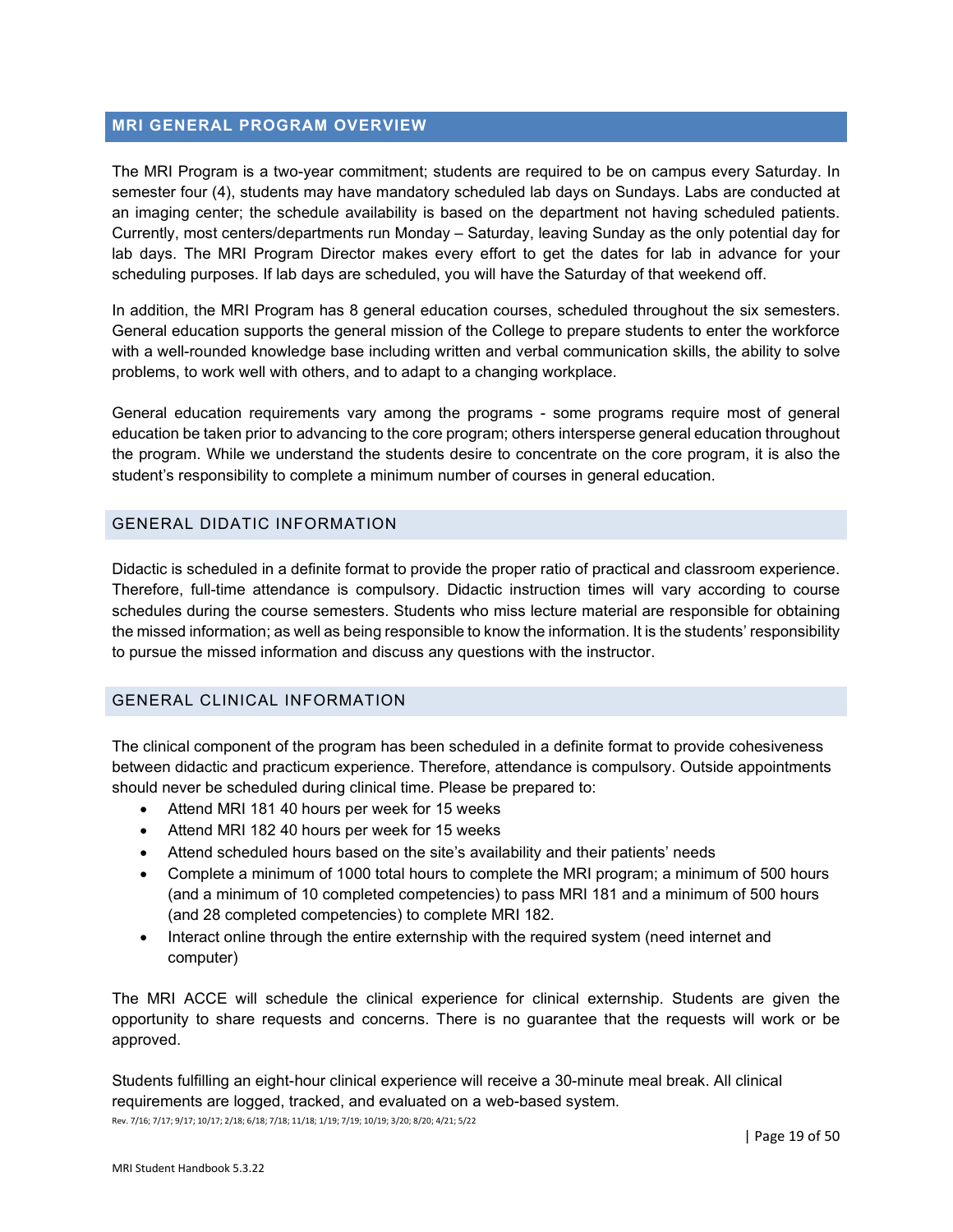## <span id="page-18-0"></span>**MRI GENERAL PROGRAM OVERVIEW**

The MRI Program is a two-year commitment; students are required to be on campus every Saturday. In semester four (4), students may have mandatory scheduled lab days on Sundays. Labs are conducted at an imaging center; the schedule availability is based on the department not having scheduled patients. Currently, most centers/departments run Monday – Saturday, leaving Sunday as the only potential day for lab days. The MRI Program Director makes every effort to get the dates for lab in advance for your scheduling purposes. If lab days are scheduled, you will have the Saturday of that weekend off.

In addition, the MRI Program has 8 general education courses, scheduled throughout the six semesters. General education supports the general mission of the College to prepare students to enter the workforce with a well-rounded knowledge base including written and verbal communication skills, the ability to solve problems, to work well with others, and to adapt to a changing workplace.

General education requirements vary among the programs - some programs require most of general education be taken prior to advancing to the core program; others intersperse general education throughout the program. While we understand the students desire to concentrate on the core program, it is also the student's responsibility to complete a minimum number of courses in general education.

## <span id="page-18-1"></span>GENERAL DIDATIC INFORMATION

Didactic is scheduled in a definite format to provide the proper ratio of practical and classroom experience. Therefore, full-time attendance is compulsory. Didactic instruction times will vary according to course schedules during the course semesters. Students who miss lecture material are responsible for obtaining the missed information; as well as being responsible to know the information. It is the students' responsibility to pursue the missed information and discuss any questions with the instructor.

#### <span id="page-18-2"></span>GENERAL CLINICAL INFORMATION

The clinical component of the program has been scheduled in a definite format to provide cohesiveness between didactic and practicum experience. Therefore, attendance is compulsory. Outside appointments should never be scheduled during clinical time. Please be prepared to:

- Attend MRI 181 40 hours per week for 15 weeks
- Attend MRI 182 40 hours per week for 15 weeks
- Attend scheduled hours based on the site's availability and their patients' needs
- Complete a minimum of 1000 total hours to complete the MRI program; a minimum of 500 hours (and a minimum of 10 completed competencies) to pass MRI 181 and a minimum of 500 hours (and 28 completed competencies) to complete MRI 182.
- Interact online through the entire externship with the required system (need internet and computer)

The MRI ACCE will schedule the clinical experience for clinical externship. Students are given the opportunity to share requests and concerns. There is no guarantee that the requests will work or be approved.

Rev. 7/16; 7/17; 9/17; 10/17; 2/18; 6/18; 7/18; 11/18; 1/19; 7/19; 10/19; 3/20; 8/20; 4/21; 5/22 Students fulfilling an eight-hour clinical experience will receive a 30-minute meal break. All clinical requirements are logged, tracked, and evaluated on a web-based system.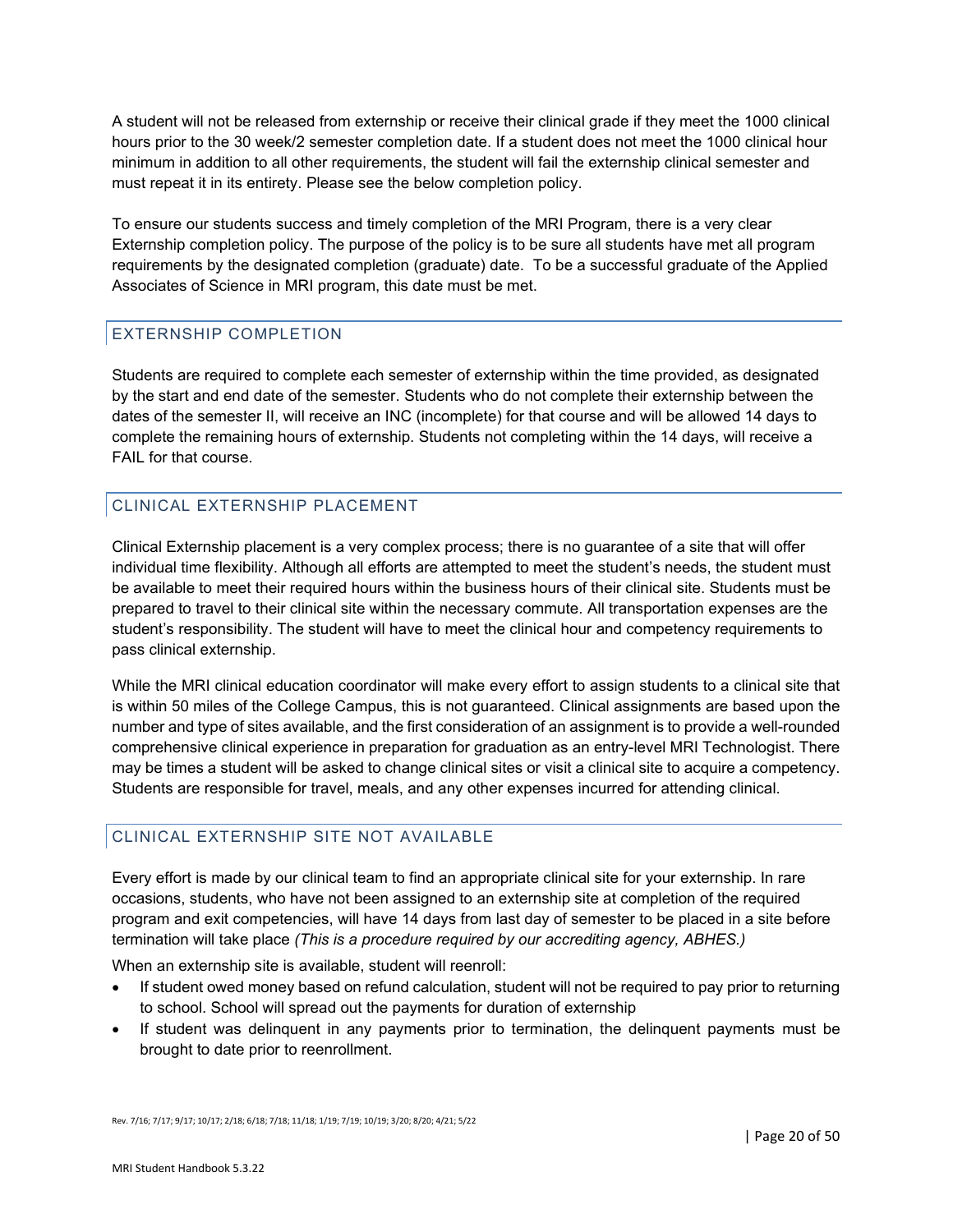A student will not be released from externship or receive their clinical grade if they meet the 1000 clinical hours prior to the 30 week/2 semester completion date. If a student does not meet the 1000 clinical hour minimum in addition to all other requirements, the student will fail the externship clinical semester and must repeat it in its entirety. Please see the below completion policy.

To ensure our students success and timely completion of the MRI Program, there is a very clear Externship completion policy. The purpose of the policy is to be sure all students have met all program requirements by the designated completion (graduate) date. To be a successful graduate of the Applied Associates of Science in MRI program, this date must be met.

## <span id="page-19-0"></span>EXTERNSHIP COMPLETION

Students are required to complete each semester of externship within the time provided, as designated by the start and end date of the semester. Students who do not complete their externship between the dates of the semester II, will receive an INC (incomplete) for that course and will be allowed 14 days to complete the remaining hours of externship. Students not completing within the 14 days, will receive a FAIL for that course.

## <span id="page-19-1"></span>CLINICAL EXTERNSHIP PLACEMENT

Clinical Externship placement is a very complex process; there is no guarantee of a site that will offer individual time flexibility. Although all efforts are attempted to meet the student's needs, the student must be available to meet their required hours within the business hours of their clinical site. Students must be prepared to travel to their clinical site within the necessary commute. All transportation expenses are the student's responsibility. The student will have to meet the clinical hour and competency requirements to pass clinical externship.

While the MRI clinical education coordinator will make every effort to assign students to a clinical site that is within 50 miles of the College Campus, this is not guaranteed. Clinical assignments are based upon the number and type of sites available, and the first consideration of an assignment is to provide a well-rounded comprehensive clinical experience in preparation for graduation as an entry-level MRI Technologist. There may be times a student will be asked to change clinical sites or visit a clinical site to acquire a competency. Students are responsible for travel, meals, and any other expenses incurred for attending clinical.

## <span id="page-19-2"></span>CLINICAL EXTERNSHIP SITE NOT AVAILABLE

Every effort is made by our clinical team to find an appropriate clinical site for your externship. In rare occasions, students, who have not been assigned to an externship site at completion of the required program and exit competencies, will have 14 days from last day of semester to be placed in a site before termination will take place *(This is a procedure required by our accrediting agency, ABHES.)*

When an externship site is available, student will reenroll:

- If student owed money based on refund calculation, student will not be required to pay prior to returning to school. School will spread out the payments for duration of externship
- If student was delinquent in any payments prior to termination, the delinquent payments must be brought to date prior to reenrollment.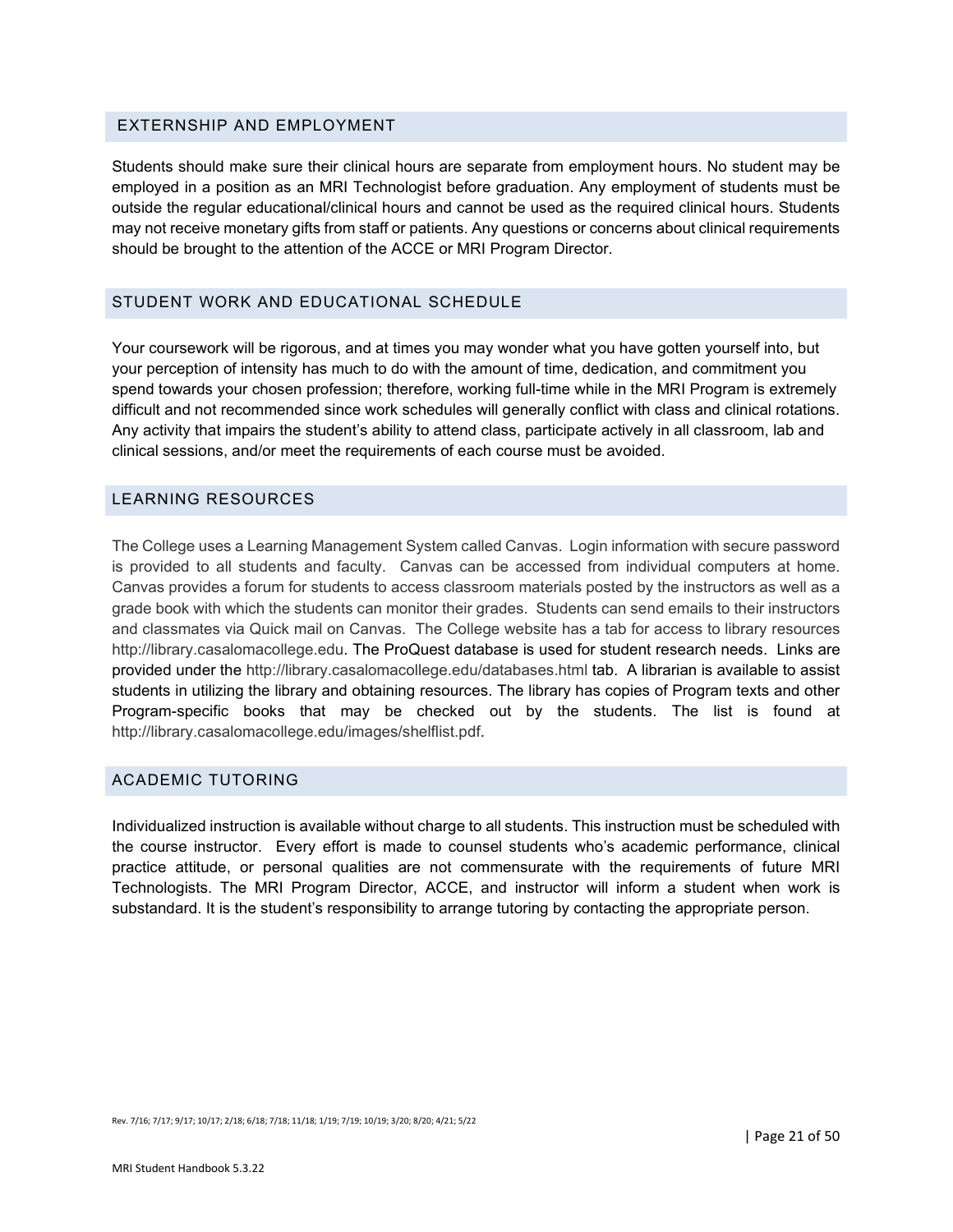## <span id="page-20-0"></span>EXTERNSHIP AND EMPLOYMENT

Students should make sure their clinical hours are separate from employment hours. No student may be employed in a position as an MRI Technologist before graduation. Any employment of students must be outside the regular educational/clinical hours and cannot be used as the required clinical hours. Students may not receive monetary gifts from staff or patients. Any questions or concerns about clinical requirements should be brought to the attention of the ACCE or MRI Program Director.

## <span id="page-20-1"></span>STUDENT WORK AND EDUCATIONAL SCHEDULE

Your coursework will be rigorous, and at times you may wonder what you have gotten yourself into, but your perception of intensity has much to do with the amount of time, dedication, and commitment you spend towards your chosen profession; therefore, working full-time while in the MRI Program is extremely difficult and not recommended since work schedules will generally conflict with class and clinical rotations. Any activity that impairs the student's ability to attend class, participate actively in all classroom, lab and clinical sessions, and/or meet the requirements of each course must be avoided.

## <span id="page-20-2"></span>LEARNING RESOURCES

The College uses a Learning Management System called Canvas. Login information with secure password is provided to all students and faculty. Canvas can be accessed from individual computers at home. Canvas provides a forum for students to access classroom materials posted by the instructors as well as a grade book with which the students can monitor their grades. Students can send emails to their instructors and classmates via Quick mail on Canvas. The College website has a tab for access to library resources http://library.casalomacollege.edu. The ProQuest database is used for student research needs. Links are provided under the http://library.casalomacollege.edu/databases.html tab. A librarian is available to assist students in utilizing the library and obtaining resources. The library has copies of Program texts and other Program-specific books that may be checked out by the students. The list is found at http://library.casalomacollege.edu/images/shelflist.pdf.

## <span id="page-20-3"></span>ACADEMIC TUTORING

Individualized instruction is available without charge to all students. This instruction must be scheduled with the course instructor. Every effort is made to counsel students who's academic performance, clinical practice attitude, or personal qualities are not commensurate with the requirements of future MRI Technologists. The MRI Program Director, ACCE, and instructor will inform a student when work is substandard. It is the student's responsibility to arrange tutoring by contacting the appropriate person.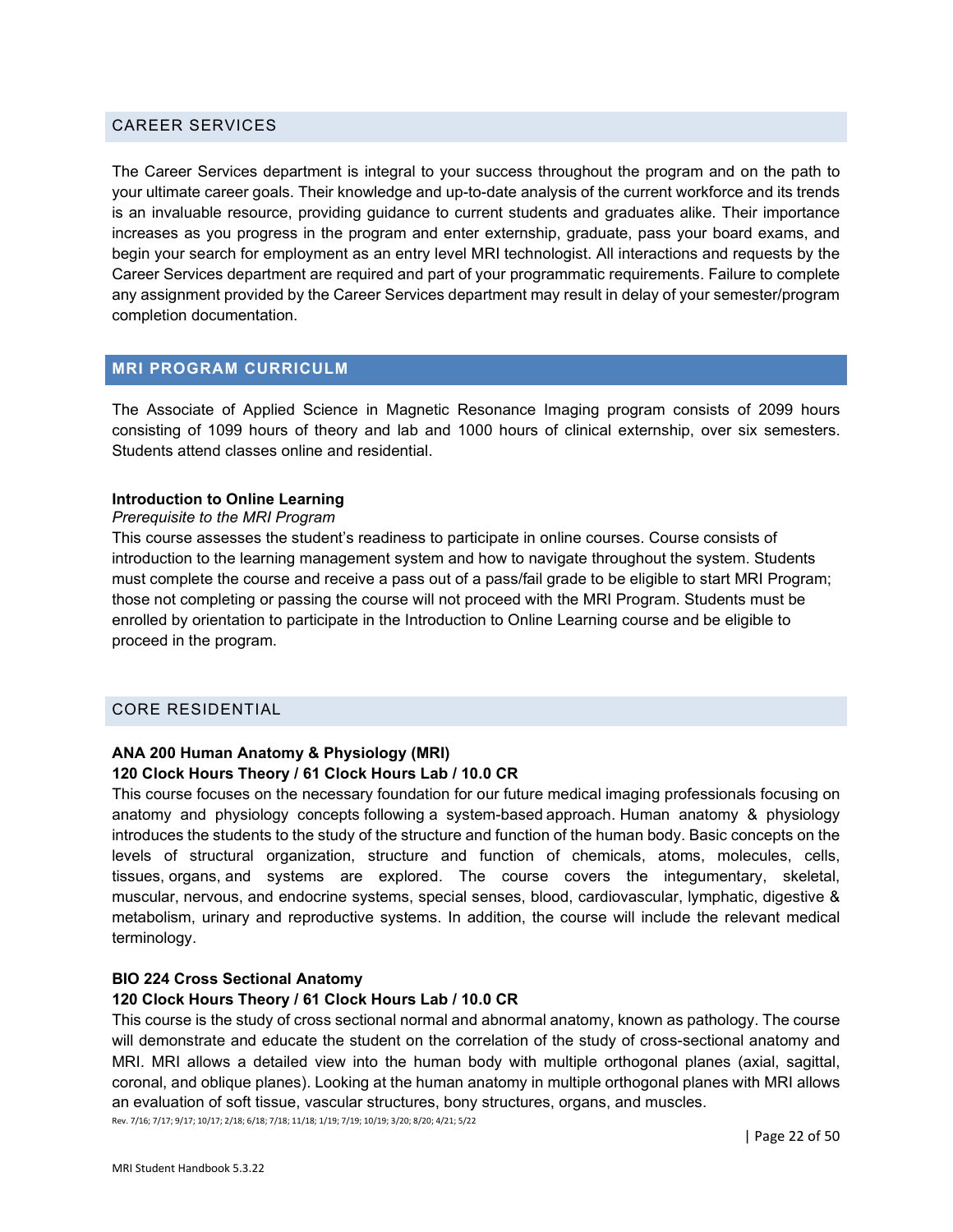## <span id="page-21-0"></span>CAREER SERVICES

The Career Services department is integral to your success throughout the program and on the path to your ultimate career goals. Their knowledge and up-to-date analysis of the current workforce and its trends is an invaluable resource, providing guidance to current students and graduates alike. Their importance increases as you progress in the program and enter externship, graduate, pass your board exams, and begin your search for employment as an entry level MRI technologist. All interactions and requests by the Career Services department are required and part of your programmatic requirements. Failure to complete any assignment provided by the Career Services department may result in delay of your semester/program completion documentation.

## <span id="page-21-1"></span>**MRI PROGRAM CURRICULM**

The Associate of Applied Science in Magnetic Resonance Imaging program consists of 2099 hours consisting of 1099 hours of theory and lab and 1000 hours of clinical externship, over six semesters. Students attend classes online and residential.

#### **Introduction to Online Learning**

#### *Prerequisite to the MRI Program*

This course assesses the student's readiness to participate in online courses. Course consists of introduction to the learning management system and how to navigate throughout the system. Students must complete the course and receive a pass out of a pass/fail grade to be eligible to start MRI Program; those not completing or passing the course will not proceed with the MRI Program. Students must be enrolled by orientation to participate in the Introduction to Online Learning course and be eligible to proceed in the program.

## <span id="page-21-2"></span>CORE RESIDENTIAL

## **ANA 200 Human Anatomy & Physiology (MRI) 120 Clock Hours Theory / 61 Clock Hours Lab / 10.0 CR**

This course focuses on the necessary foundation for our future medical imaging professionals focusing on anatomy and physiology concepts following a system-based approach. Human anatomy & physiology introduces the students to the study of the structure and function of the human body. Basic concepts on the levels of structural organization, structure and function of chemicals, atoms, molecules, cells, tissues, organs, and systems are explored. The course covers the integumentary, skeletal, muscular, nervous, and endocrine systems, special senses, blood, cardiovascular, lymphatic, digestive & metabolism, urinary and reproductive systems. In addition, the course will include the relevant medical terminology.

## **BIO 224 Cross Sectional Anatomy**

#### **120 Clock Hours Theory / 61 Clock Hours Lab / 10.0 CR**

Rev. 7/16; 7/17; 9/17; 10/17; 2/18; 6/18; 7/18; 11/18; 1/19; 7/19; 10/19; 3/20; 8/20; 4/21; 5/22 This course is the study of cross sectional normal and abnormal anatomy, known as pathology. The course will demonstrate and educate the student on the correlation of the study of cross-sectional anatomy and MRI. MRI allows a detailed view into the human body with multiple orthogonal planes (axial, sagittal, coronal, and oblique planes). Looking at the human anatomy in multiple orthogonal planes with MRI allows an evaluation of soft tissue, vascular structures, bony structures, organs, and muscles.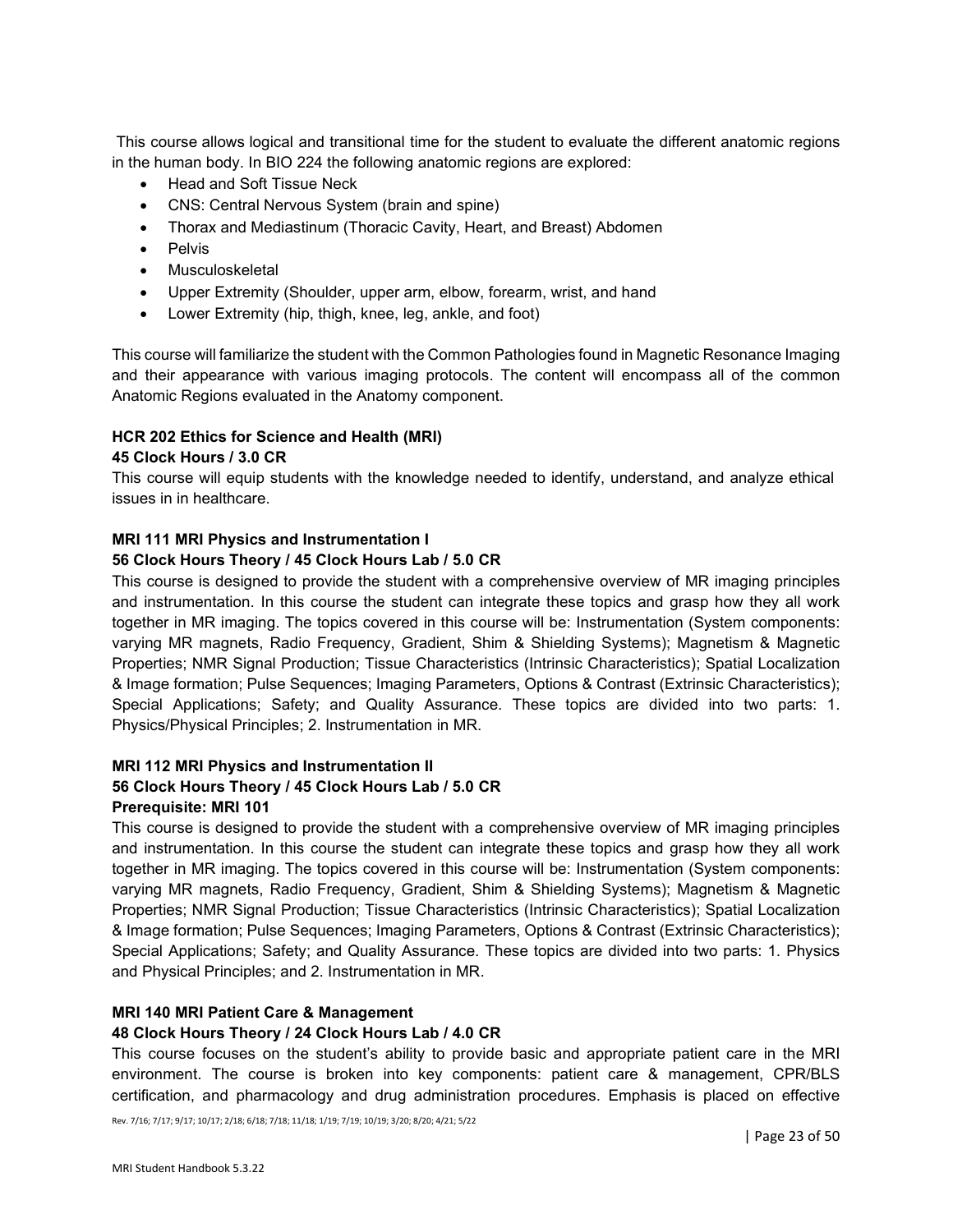This course allows logical and transitional time for the student to evaluate the different anatomic regions in the human body. In BIO 224 the following anatomic regions are explored:

- Head and Soft Tissue Neck
- CNS: Central Nervous System (brain and spine)
- Thorax and Mediastinum (Thoracic Cavity, Heart, and Breast) Abdomen
- Pelvis
- Musculoskeletal
- Upper Extremity (Shoulder, upper arm, elbow, forearm, wrist, and hand
- Lower Extremity (hip, thigh, knee, leg, ankle, and foot)

This course will familiarize the student with the Common Pathologies found in Magnetic Resonance Imaging and their appearance with various imaging protocols. The content will encompass all of the common Anatomic Regions evaluated in the Anatomy component.

#### **HCR 202 Ethics for Science and Health (MRI) 45 Clock Hours / 3.0 CR**

This course will equip students with the knowledge needed to identify, understand, and analyze ethical issues in in healthcare.

#### **MRI 111 MRI Physics and Instrumentation I**

#### **56 Clock Hours Theory / 45 Clock Hours Lab / 5.0 CR**

This course is designed to provide the student with a comprehensive overview of MR imaging principles and instrumentation. In this course the student can integrate these topics and grasp how they all work together in MR imaging. The topics covered in this course will be: Instrumentation (System components: varying MR magnets, Radio Frequency, Gradient, Shim & Shielding Systems); Magnetism & Magnetic Properties; NMR Signal Production; Tissue Characteristics (Intrinsic Characteristics); Spatial Localization & Image formation; Pulse Sequences; Imaging Parameters, Options & Contrast (Extrinsic Characteristics); Special Applications; Safety; and Quality Assurance. These topics are divided into two parts: 1. Physics/Physical Principles; 2. Instrumentation in MR.

## **MRI 112 MRI Physics and Instrumentation II**

#### **56 Clock Hours Theory / 45 Clock Hours Lab / 5.0 CR Prerequisite: MRI 101**

This course is designed to provide the student with a comprehensive overview of MR imaging principles and instrumentation. In this course the student can integrate these topics and grasp how they all work together in MR imaging. The topics covered in this course will be: Instrumentation (System components: varying MR magnets, Radio Frequency, Gradient, Shim & Shielding Systems); Magnetism & Magnetic Properties; NMR Signal Production; Tissue Characteristics (Intrinsic Characteristics); Spatial Localization & Image formation; Pulse Sequences; Imaging Parameters, Options & Contrast (Extrinsic Characteristics); Special Applications; Safety; and Quality Assurance. These topics are divided into two parts: 1. Physics and Physical Principles; and 2. Instrumentation in MR.

#### **MRI 140 MRI Patient Care & Management**

## **48 Clock Hours Theory / 24 Clock Hours Lab / 4.0 CR**

This course focuses on the student's ability to provide basic and appropriate patient care in the MRI environment. The course is broken into key components: patient care & management, CPR/BLS certification, and pharmacology and drug administration procedures. Emphasis is placed on effective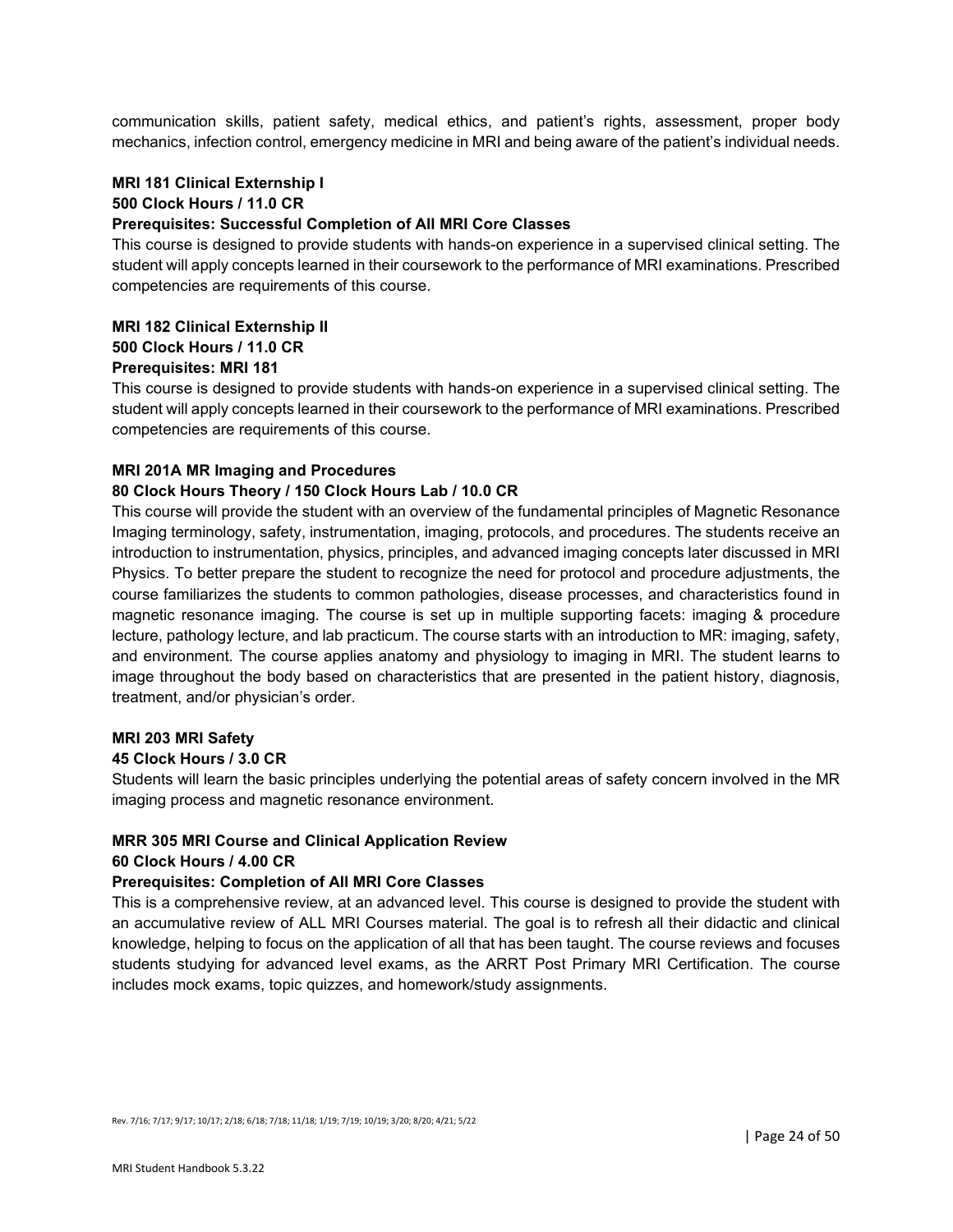communication skills, patient safety, medical ethics, and patient's rights, assessment, proper body mechanics, infection control, emergency medicine in MRI and being aware of the patient's individual needs.

#### **MRI 181 Clinical Externship I 500 Clock Hours / 11.0 CR**

#### **Prerequisites: Successful Completion of All MRI Core Classes**

This course is designed to provide students with hands-on experience in a supervised clinical setting. The student will apply concepts learned in their coursework to the performance of MRI examinations. Prescribed competencies are requirements of this course.

## **MRI 182 Clinical Externship II 500 Clock Hours / 11.0 CR Prerequisites: MRI 181**

This course is designed to provide students with hands-on experience in a supervised clinical setting. The student will apply concepts learned in their coursework to the performance of MRI examinations. Prescribed competencies are requirements of this course.

## **MRI 201A MR Imaging and Procedures**

#### **80 Clock Hours Theory / 150 Clock Hours Lab / 10.0 CR**

This course will provide the student with an overview of the fundamental principles of Magnetic Resonance Imaging terminology, safety, instrumentation, imaging, protocols, and procedures. The students receive an introduction to instrumentation, physics, principles, and advanced imaging concepts later discussed in MRI Physics. To better prepare the student to recognize the need for protocol and procedure adjustments, the course familiarizes the students to common pathologies, disease processes, and characteristics found in magnetic resonance imaging. The course is set up in multiple supporting facets: imaging & procedure lecture, pathology lecture, and lab practicum. The course starts with an introduction to MR: imaging, safety, and environment. The course applies anatomy and physiology to imaging in MRI. The student learns to image throughout the body based on characteristics that are presented in the patient history, diagnosis, treatment, and/or physician's order.

#### **MRI 203 MRI Safety**

#### **45 Clock Hours / 3.0 CR**

Students will learn the basic principles underlying the potential areas of safety concern involved in the MR imaging process and magnetic resonance environment.

#### **MRR 305 MRI Course and Clinical Application Review**

#### **60 Clock Hours / 4.00 CR**

#### **Prerequisites: Completion of All MRI Core Classes**

This is a comprehensive review, at an advanced level. This course is designed to provide the student with an accumulative review of ALL MRI Courses material. The goal is to refresh all their didactic and clinical knowledge, helping to focus on the application of all that has been taught. The course reviews and focuses students studying for advanced level exams, as the ARRT Post Primary MRI Certification. The course includes mock exams, topic quizzes, and homework/study assignments.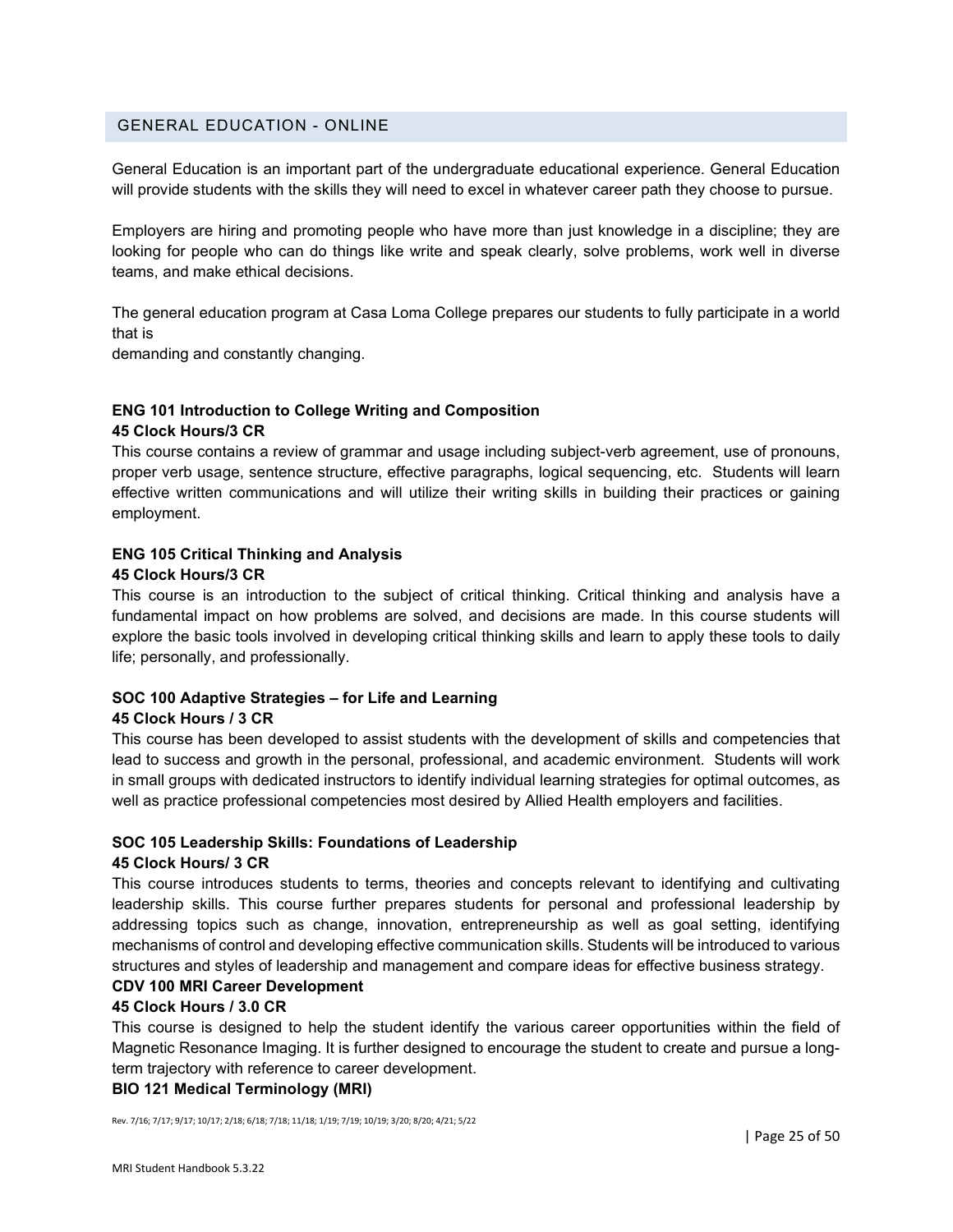## <span id="page-24-0"></span>GENERAL EDUCATION - ONLINE

General Education is an important part of the undergraduate educational experience. General Education will provide students with the skills they will need to excel in whatever career path they choose to pursue.

Employers are hiring and promoting people who have more than just knowledge in a discipline; they are looking for people who can do things like write and speak clearly, solve problems, work well in diverse teams, and make ethical decisions.

The general education program at Casa Loma College prepares our students to fully participate in a world that is

demanding and constantly changing.

## **ENG 101 Introduction to College Writing and Composition 45 Clock Hours/3 CR**

This course contains a review of grammar and usage including subject-verb agreement, use of pronouns, proper verb usage, sentence structure, effective paragraphs, logical sequencing, etc. Students will learn effective written communications and will utilize their writing skills in building their practices or gaining employment.

## **ENG 105 Critical Thinking and Analysis**

#### **45 Clock Hours/3 CR**

This course is an introduction to the subject of critical thinking. Critical thinking and analysis have a fundamental impact on how problems are solved, and decisions are made. In this course students will explore the basic tools involved in developing critical thinking skills and learn to apply these tools to daily life; personally, and professionally.

## **SOC 100 Adaptive Strategies – for Life and Learning**

## **45 Clock Hours / 3 CR**

This course has been developed to assist students with the development of skills and competencies that lead to success and growth in the personal, professional, and academic environment. Students will work in small groups with dedicated instructors to identify individual learning strategies for optimal outcomes, as well as practice professional competencies most desired by Allied Health employers and facilities.

#### **SOC 105 Leadership Skills: Foundations of Leadership 45 Clock Hours/ 3 CR**

This course introduces students to terms, theories and concepts relevant to identifying and cultivating leadership skills. This course further prepares students for personal and professional leadership by addressing topics such as change, innovation, entrepreneurship as well as goal setting, identifying mechanisms of control and developing effective communication skills. Students will be introduced to various structures and styles of leadership and management and compare ideas for effective business strategy.

#### **CDV 100 MRI Career Development**

#### **45 Clock Hours / 3.0 CR**

This course is designed to help the student identify the various career opportunities within the field of Magnetic Resonance Imaging. It is further designed to encourage the student to create and pursue a longterm trajectory with reference to career development.

#### **BIO 121 Medical Terminology (MRI)**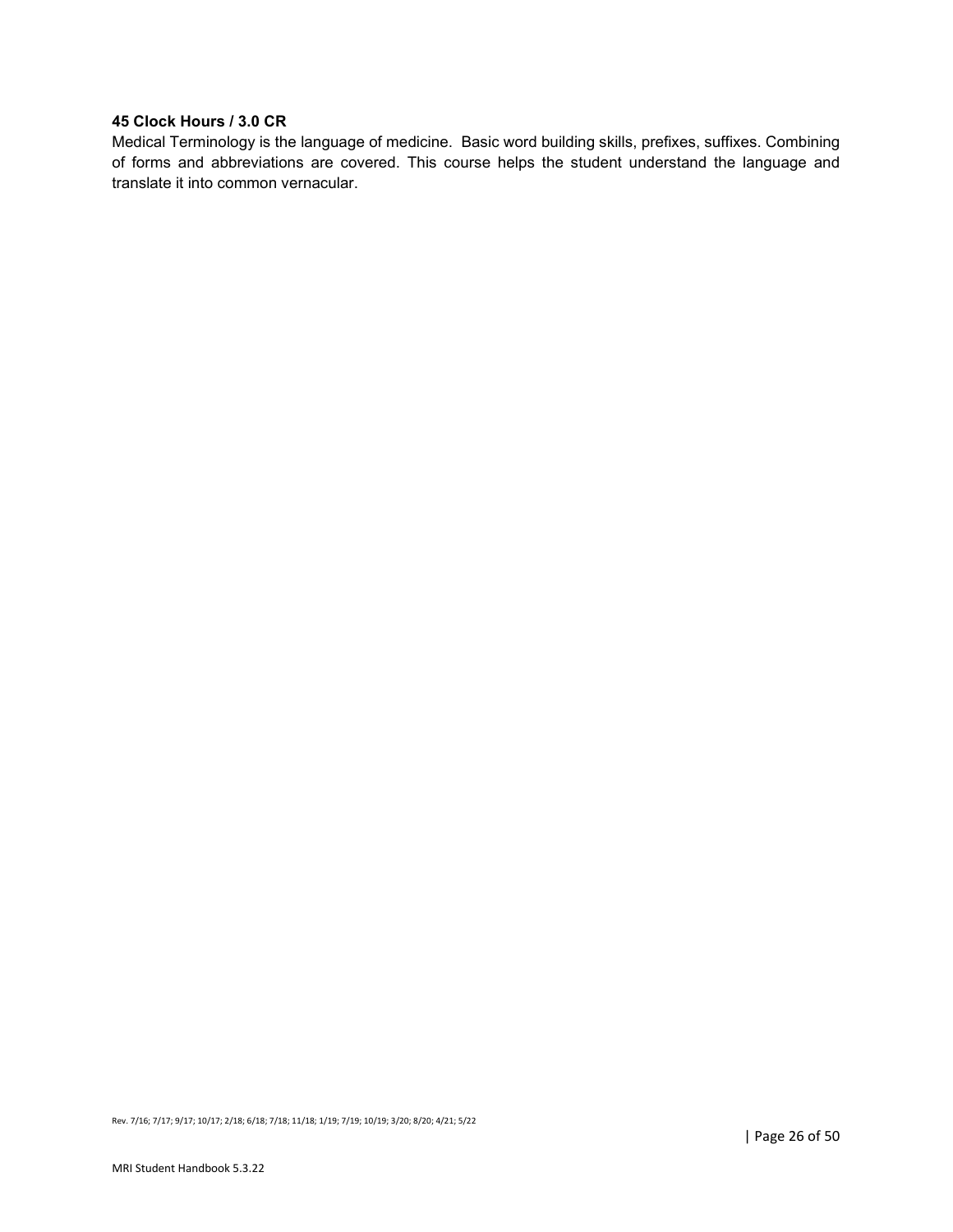## **45 Clock Hours / 3.0 CR**

Medical Terminology is the language of medicine. Basic word building skills, prefixes, suffixes. Combining of forms and abbreviations are covered. This course helps the student understand the language and translate it into common vernacular.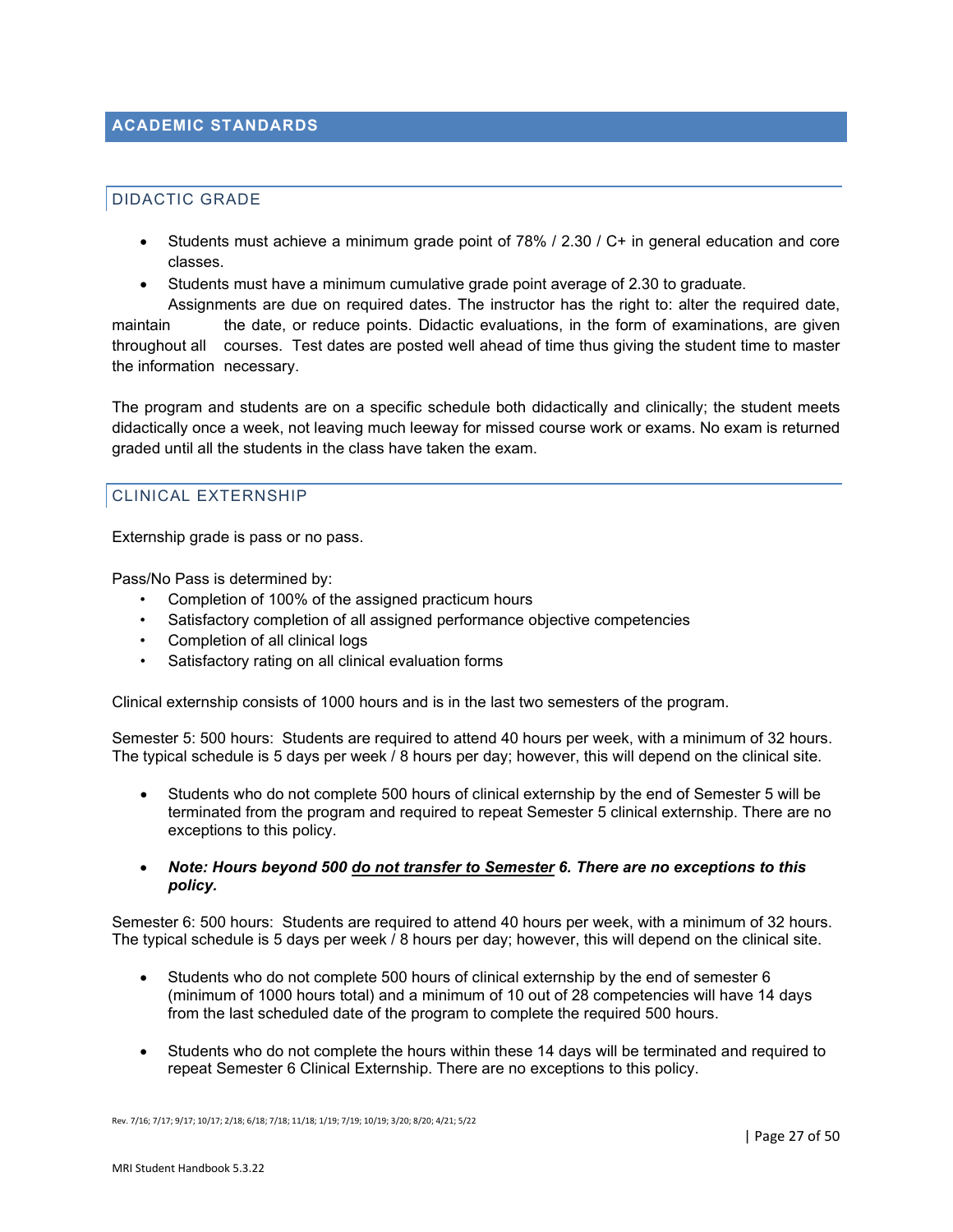#### <span id="page-26-0"></span>**ACADEMIC STANDARDS**

## <span id="page-26-1"></span>DIDACTIC GRADE

- Students must achieve a minimum grade point of 78% / 2.30 / C+ in general education and core classes.
- Students must have a minimum cumulative grade point average of 2.30 to graduate.

Assignments are due on required dates. The instructor has the right to: alter the required date, maintain the date, or reduce points. Didactic evaluations, in the form of examinations, are given throughout all courses. Test dates are posted well ahead of time thus giving the student time to master the information necessary.

The program and students are on a specific schedule both didactically and clinically; the student meets didactically once a week, not leaving much leeway for missed course work or exams. No exam is returned graded until all the students in the class have taken the exam.

#### <span id="page-26-2"></span>CLINICAL EXTERNSHIP

Externship grade is pass or no pass.

Pass/No Pass is determined by:

- Completion of 100% of the assigned practicum hours
- Satisfactory completion of all assigned performance objective competencies
- Completion of all clinical logs
- Satisfactory rating on all clinical evaluation forms

Clinical externship consists of 1000 hours and is in the last two semesters of the program.

Semester 5: 500 hours: Students are required to attend 40 hours per week, with a minimum of 32 hours. The typical schedule is 5 days per week / 8 hours per day; however, this will depend on the clinical site.

- Students who do not complete 500 hours of clinical externship by the end of Semester 5 will be terminated from the program and required to repeat Semester 5 clinical externship. There are no exceptions to this policy.
- *Note: Hours beyond 500 do not transfer to Semester 6. There are no exceptions to this policy.*

Semester 6: 500 hours: Students are required to attend 40 hours per week, with a minimum of 32 hours. The typical schedule is 5 days per week / 8 hours per day; however, this will depend on the clinical site.

- Students who do not complete 500 hours of clinical externship by the end of semester 6 (minimum of 1000 hours total) and a minimum of 10 out of 28 competencies will have 14 days from the last scheduled date of the program to complete the required 500 hours.
- Students who do not complete the hours within these 14 days will be terminated and required to repeat Semester 6 Clinical Externship. There are no exceptions to this policy.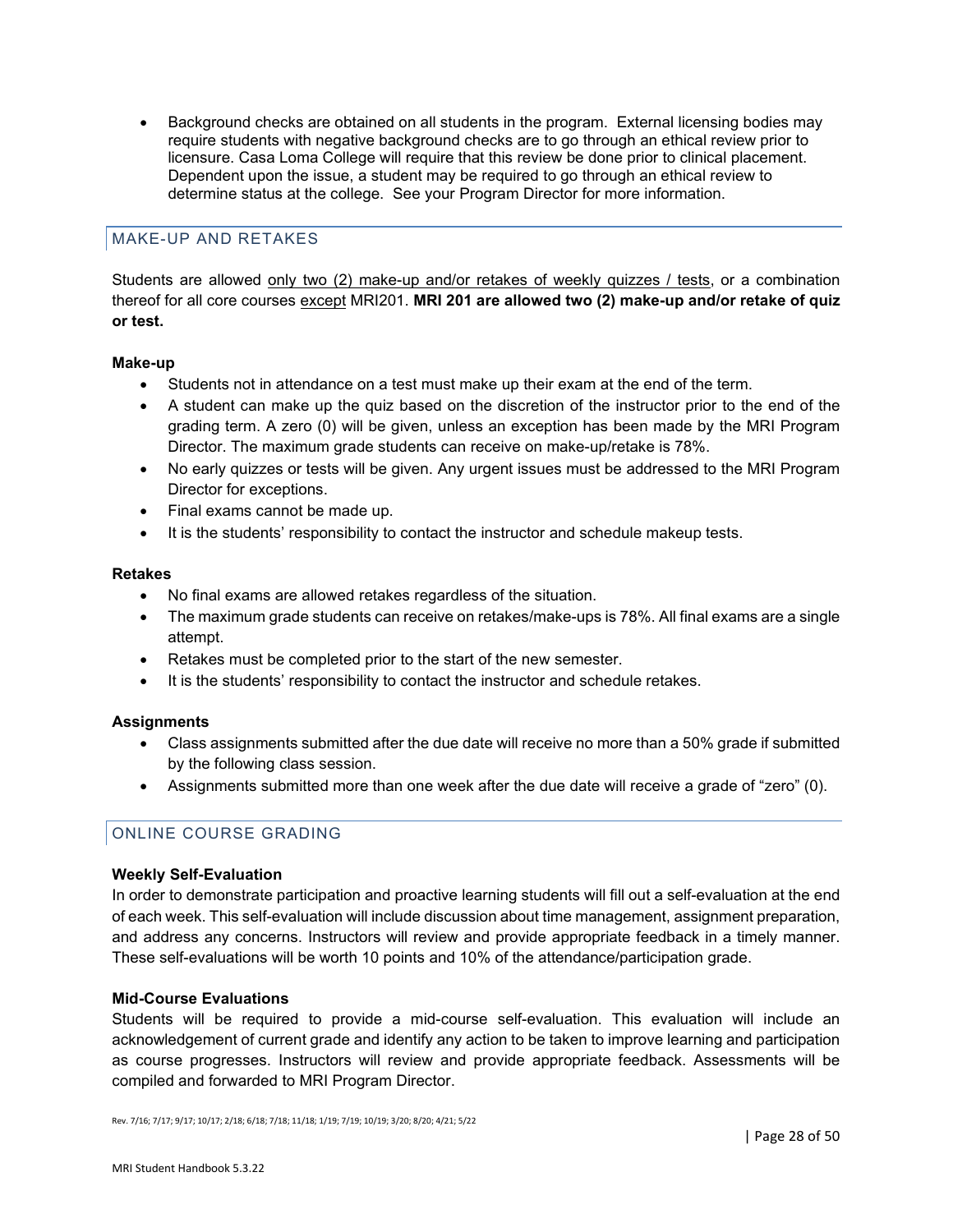• Background checks are obtained on all students in the program. External licensing bodies may require students with negative background checks are to go through an ethical review prior to licensure. Casa Loma College will require that this review be done prior to clinical placement. Dependent upon the issue, a student may be required to go through an ethical review to determine status at the college. See your Program Director for more information.

## <span id="page-27-0"></span>MAKE-UP AND RETAKES

Students are allowed only two (2) make-up and/or retakes of weekly quizzes / tests, or a combination thereof for all core courses except MRI201. **MRI 201 are allowed two (2) make-up and/or retake of quiz or test.**

#### **Make-up**

- Students not in attendance on a test must make up their exam at the end of the term.
- A student can make up the quiz based on the discretion of the instructor prior to the end of the grading term. A zero (0) will be given, unless an exception has been made by the MRI Program Director. The maximum grade students can receive on make-up/retake is 78%.
- No early quizzes or tests will be given. Any urgent issues must be addressed to the MRI Program Director for exceptions.
- Final exams cannot be made up.
- It is the students' responsibility to contact the instructor and schedule makeup tests.

## **Retakes**

- No final exams are allowed retakes regardless of the situation.
- The maximum grade students can receive on retakes/make-ups is 78%. All final exams are a single attempt.
- Retakes must be completed prior to the start of the new semester.
- It is the students' responsibility to contact the instructor and schedule retakes.

#### **Assignments**

- Class assignments submitted after the due date will receive no more than a 50% grade if submitted by the following class session.
- Assignments submitted more than one week after the due date will receive a grade of "zero" (0).

## <span id="page-27-1"></span>ONLINE COURSE GRADING

#### **Weekly Self-Evaluation**

In order to demonstrate participation and proactive learning students will fill out a self-evaluation at the end of each week. This self-evaluation will include discussion about time management, assignment preparation, and address any concerns. Instructors will review and provide appropriate feedback in a timely manner. These self-evaluations will be worth 10 points and 10% of the attendance/participation grade.

#### **Mid-Course Evaluations**

Students will be required to provide a mid-course self-evaluation. This evaluation will include an acknowledgement of current grade and identify any action to be taken to improve learning and participation as course progresses. Instructors will review and provide appropriate feedback. Assessments will be compiled and forwarded to MRI Program Director.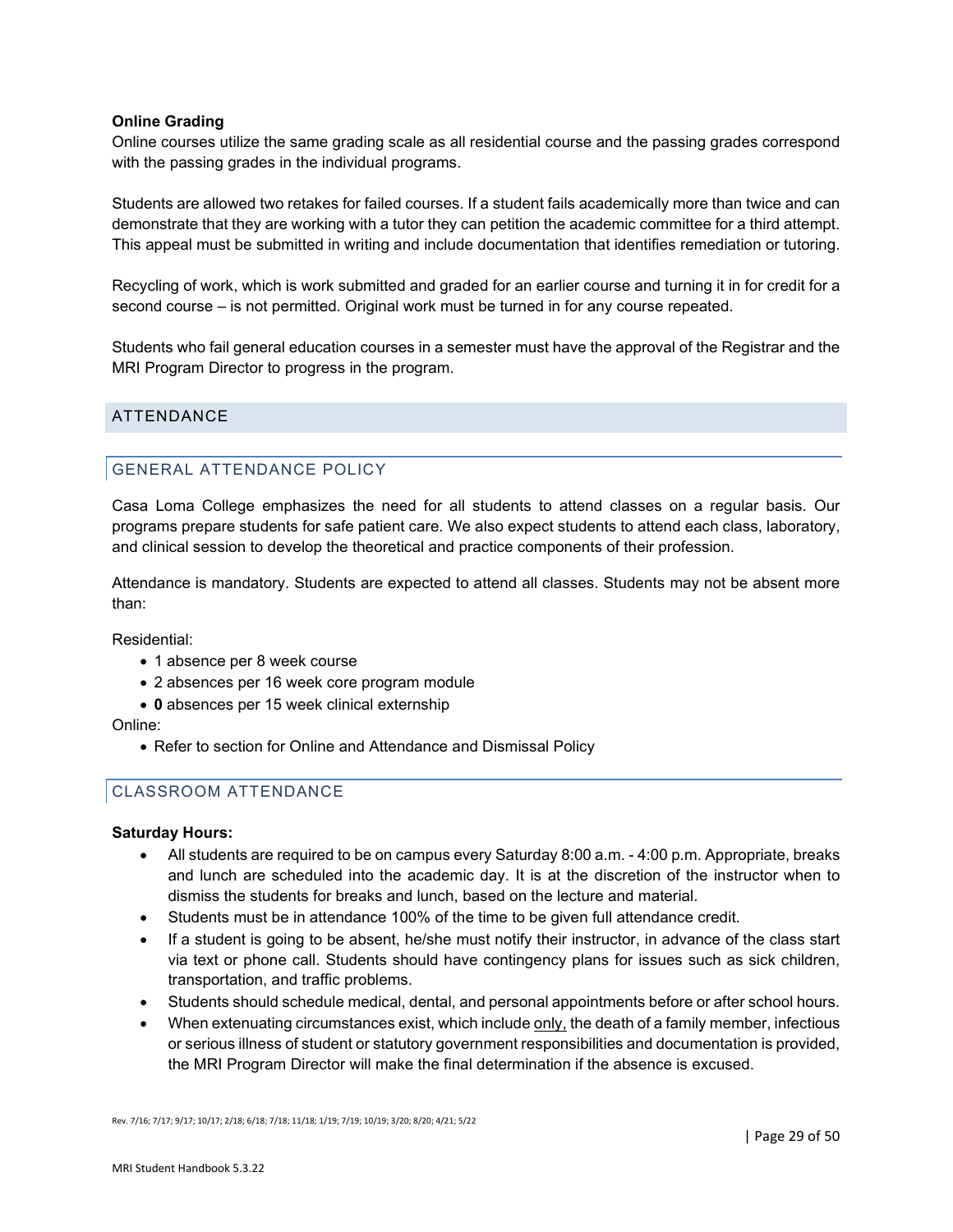## **Online Grading**

Online courses utilize the same grading scale as all residential course and the passing grades correspond with the passing grades in the individual programs.

Students are allowed two retakes for failed courses. If a student fails academically more than twice and can demonstrate that they are working with a tutor they can petition the academic committee for a third attempt. This appeal must be submitted in writing and include documentation that identifies remediation or tutoring.

Recycling of work, which is work submitted and graded for an earlier course and turning it in for credit for a second course – is not permitted. Original work must be turned in for any course repeated.

Students who fail general education courses in a semester must have the approval of the Registrar and the MRI Program Director to progress in the program.

## <span id="page-28-1"></span><span id="page-28-0"></span>ATTENDANCE

## GENERAL ATTENDANCE POLICY

Casa Loma College emphasizes the need for all students to attend classes on a regular basis. Our programs prepare students for safe patient care. We also expect students to attend each class, laboratory, and clinical session to develop the theoretical and practice components of their profession.

Attendance is mandatory. Students are expected to attend all classes. Students may not be absent more than:

Residential:

- 1 absence per 8 week course
- 2 absences per 16 week core program module
- **0** absences per 15 week clinical externship

#### Online:

• Refer to section for Online and Attendance and Dismissal Policy

## <span id="page-28-2"></span>CLASSROOM ATTENDANCE

#### **Saturday Hours:**

- All students are required to be on campus every Saturday 8:00 a.m. 4:00 p.m. Appropriate, breaks and lunch are scheduled into the academic day. It is at the discretion of the instructor when to dismiss the students for breaks and lunch, based on the lecture and material.
- Students must be in attendance 100% of the time to be given full attendance credit.
- If a student is going to be absent, he/she must notify their instructor, in advance of the class start via text or phone call. Students should have contingency plans for issues such as sick children, transportation, and traffic problems.
- Students should schedule medical, dental, and personal appointments before or after school hours.
- When extenuating circumstances exist, which include  $\frac{O(n)}{n}$ , the death of a family member, infectious or serious illness of student or statutory government responsibilities and documentation is provided, the MRI Program Director will make the final determination if the absence is excused.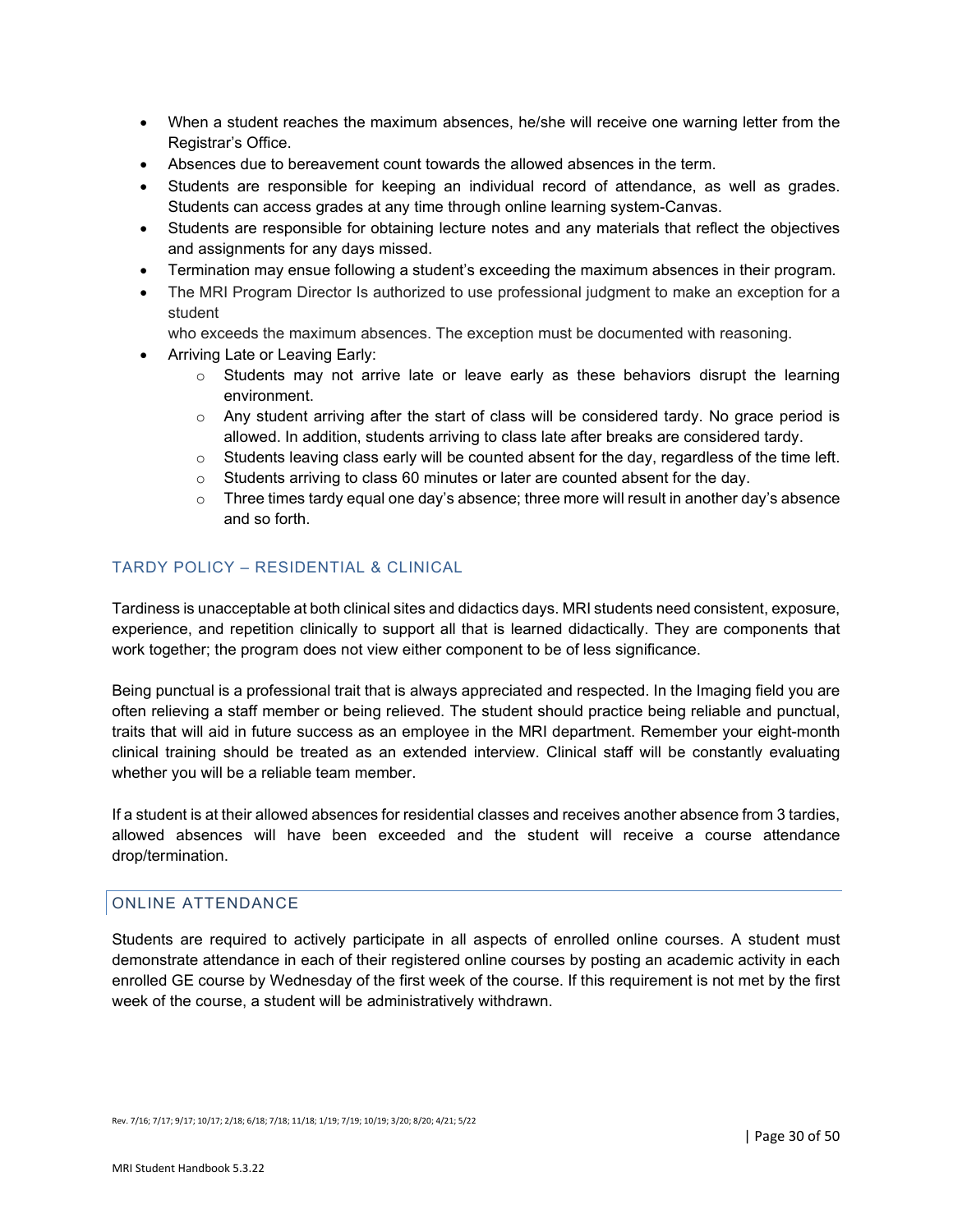- When a student reaches the maximum absences, he/she will receive one warning letter from the Registrar's Office.
- Absences due to bereavement count towards the allowed absences in the term.
- Students are responsible for keeping an individual record of attendance, as well as grades. Students can access grades at any time through online learning system-Canvas.
- Students are responsible for obtaining lecture notes and any materials that reflect the objectives and assignments for any days missed.
- Termination may ensue following a student's exceeding the maximum absences in their program*.*
- The MRI Program Director Is authorized to use professional judgment to make an exception for a student

who exceeds the maximum absences. The exception must be documented with reasoning.

- Arriving Late or Leaving Early:
	- $\circ$  Students may not arrive late or leave early as these behaviors disrupt the learning environment.
	- $\circ$  Any student arriving after the start of class will be considered tardy. No grace period is allowed. In addition, students arriving to class late after breaks are considered tardy.
	- $\circ$  Students leaving class early will be counted absent for the day, regardless of the time left.
	- o Students arriving to class 60 minutes or later are counted absent for the day.
	- $\circ$  Three times tardy equal one day's absence; three more will result in another day's absence and so forth.

## <span id="page-29-0"></span>TARDY POLICY – RESIDENTIAL & CLINICAL

Tardiness is unacceptable at both clinical sites and didactics days. MRI students need consistent, exposure, experience, and repetition clinically to support all that is learned didactically. They are components that work together; the program does not view either component to be of less significance.

Being punctual is a professional trait that is always appreciated and respected. In the Imaging field you are often relieving a staff member or being relieved. The student should practice being reliable and punctual, traits that will aid in future success as an employee in the MRI department. Remember your eight-month clinical training should be treated as an extended interview. Clinical staff will be constantly evaluating whether you will be a reliable team member.

If a student is at their allowed absences for residential classes and receives another absence from 3 tardies, allowed absences will have been exceeded and the student will receive a course attendance drop/termination.

## <span id="page-29-1"></span>ONLINE ATTENDANCE

Students are required to actively participate in all aspects of enrolled online courses. A student must demonstrate attendance in each of their registered online courses by posting an academic activity in each enrolled GE course by Wednesday of the first week of the course. If this requirement is not met by the first week of the course, a student will be administratively withdrawn.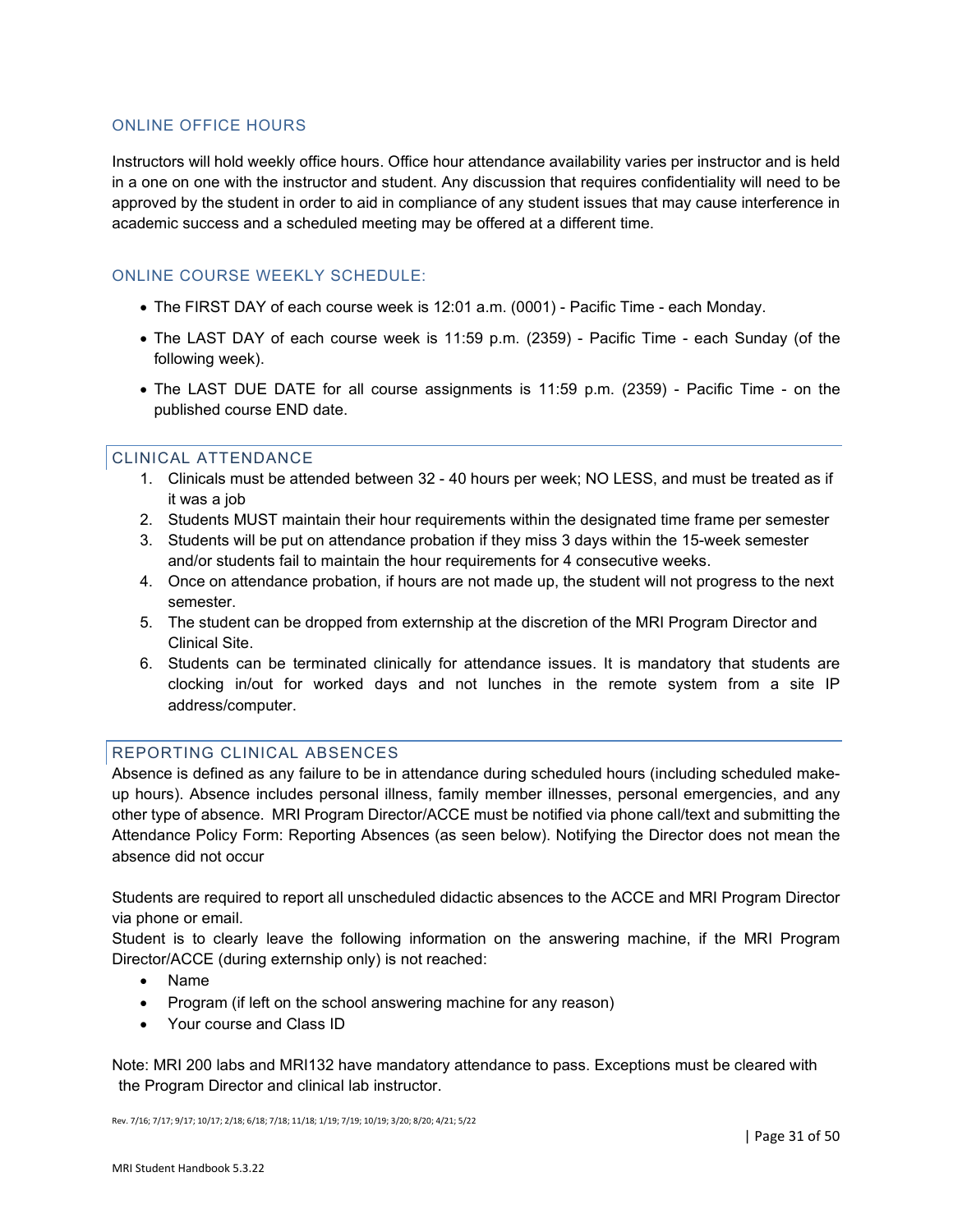## <span id="page-30-0"></span>ONLINE OFFICE HOURS

Instructors will hold weekly office hours. Office hour attendance availability varies per instructor and is held in a one on one with the instructor and student. Any discussion that requires confidentiality will need to be approved by the student in order to aid in compliance of any student issues that may cause interference in academic success and a scheduled meeting may be offered at a different time.

## <span id="page-30-1"></span>ONLINE COURSE WEEKLY SCHEDULE:

- The FIRST DAY of each course week is 12:01 a.m. (0001) Pacific Time each Monday.
- The LAST DAY of each course week is 11:59 p.m. (2359) Pacific Time each Sunday (of the following week).
- The LAST DUE DATE for all course assignments is 11:59 p.m. (2359) Pacific Time on the published course END date.

## <span id="page-30-2"></span>CLINICAL ATTENDANCE

- 1. Clinicals must be attended between 32 40 hours per week; NO LESS, and must be treated as if it was a job
- 2. Students MUST maintain their hour requirements within the designated time frame per semester
- 3. Students will be put on attendance probation if they miss 3 days within the 15-week semester and/or students fail to maintain the hour requirements for 4 consecutive weeks.
- 4. Once on attendance probation, if hours are not made up, the student will not progress to the next semester.
- 5. The student can be dropped from externship at the discretion of the MRI Program Director and Clinical Site.
- 6. Students can be terminated clinically for attendance issues. It is mandatory that students are clocking in/out for worked days and not lunches in the remote system from a site IP address/computer.

## <span id="page-30-3"></span>REPORTING CLINICAL ABSENCES

Absence is defined as any failure to be in attendance during scheduled hours (including scheduled makeup hours). Absence includes personal illness, family member illnesses, personal emergencies, and any other type of absence. MRI Program Director/ACCE must be notified via phone call/text and submitting the Attendance Policy Form: Reporting Absences (as seen below). Notifying the Director does not mean the absence did not occur

Students are required to report all unscheduled didactic absences to the ACCE and MRI Program Director via phone or email.

Student is to clearly leave the following information on the answering machine, if the MRI Program Director/ACCE (during externship only) is not reached:

- Name
- Program (if left on the school answering machine for any reason)
- Your course and Class ID

Note: MRI 200 labs and MRI132 have mandatory attendance to pass. Exceptions must be cleared with the Program Director and clinical lab instructor.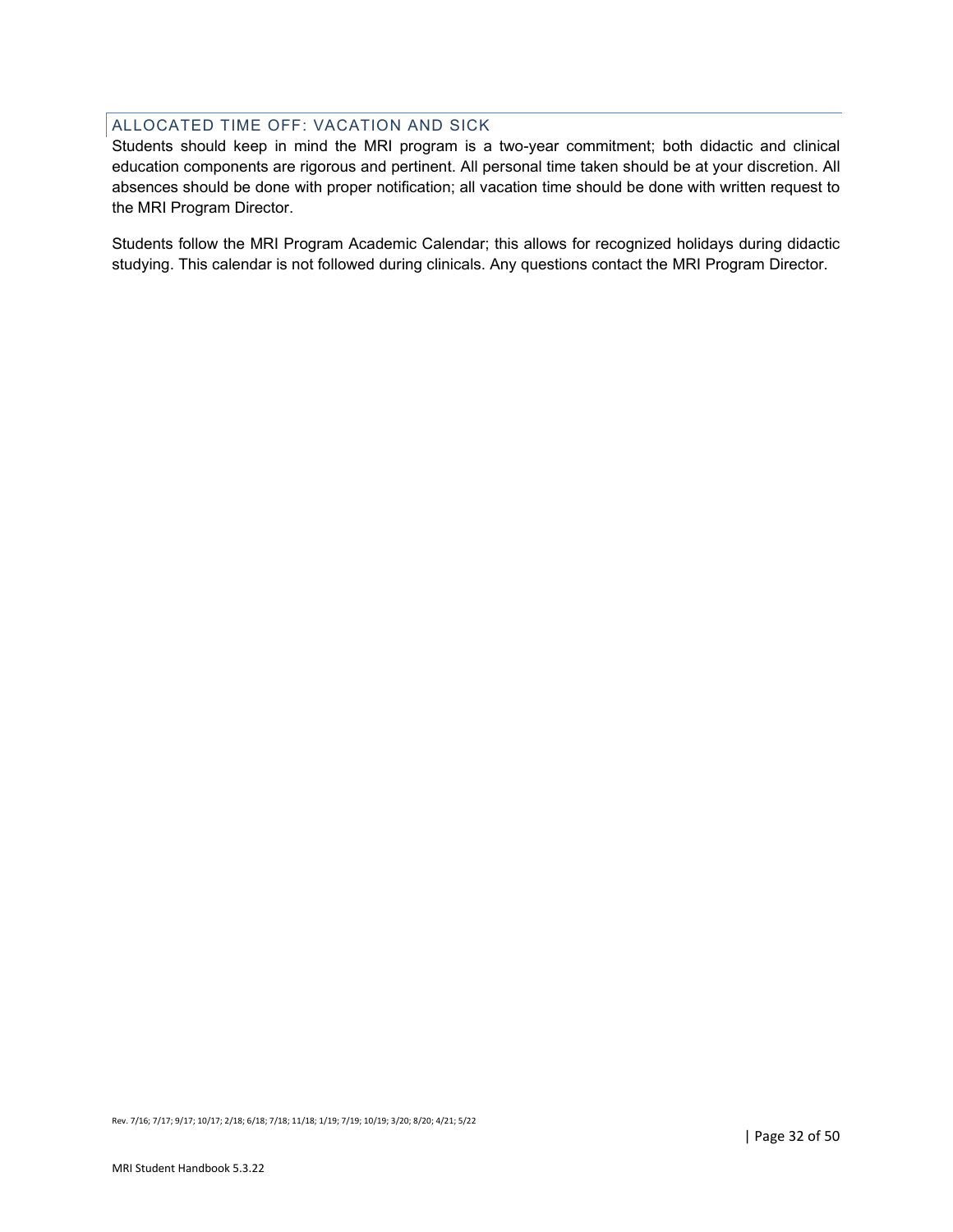## <span id="page-31-0"></span>ALLOCATED TIME OFF: VACATION AND SICK

Students should keep in mind the MRI program is a two-year commitment; both didactic and clinical education components are rigorous and pertinent. All personal time taken should be at your discretion. All absences should be done with proper notification; all vacation time should be done with written request to the MRI Program Director.

Students follow the MRI Program Academic Calendar; this allows for recognized holidays during didactic studying. This calendar is not followed during clinicals. Any questions contact the MRI Program Director.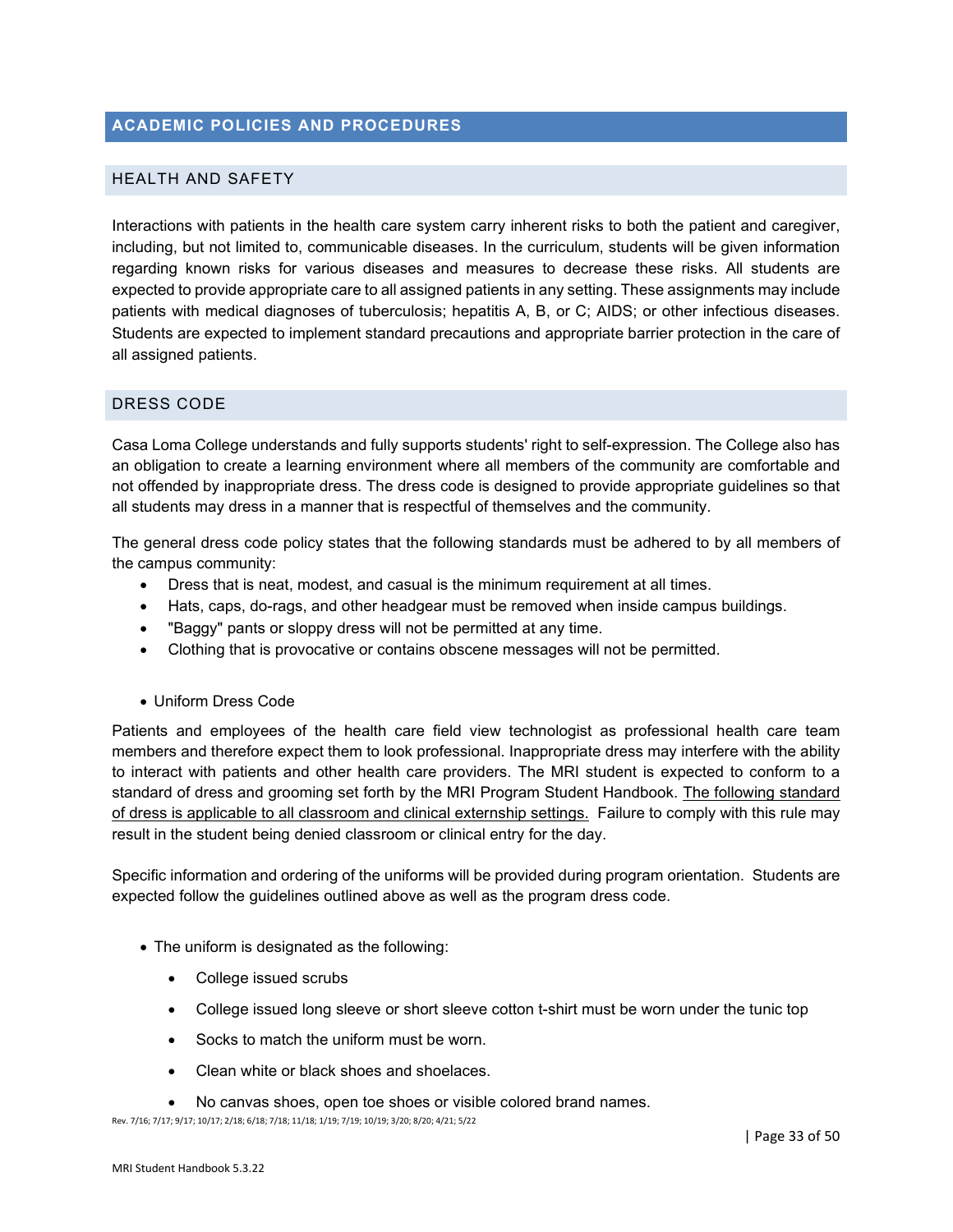## <span id="page-32-1"></span><span id="page-32-0"></span>**ACADEMIC POLICIES AND PROCEDURES**

## HEALTH AND SAFETY

Interactions with patients in the health care system carry inherent risks to both the patient and caregiver, including, but not limited to, communicable diseases. In the curriculum, students will be given information regarding known risks for various diseases and measures to decrease these risks. All students are expected to provide appropriate care to all assigned patients in any setting. These assignments may include patients with medical diagnoses of tuberculosis; hepatitis A, B, or C; AIDS; or other infectious diseases. Students are expected to implement standard precautions and appropriate barrier protection in the care of all assigned patients.

## <span id="page-32-2"></span>DRESS CODE

Casa Loma College understands and fully supports students' right to self-expression. The College also has an obligation to create a learning environment where all members of the community are comfortable and not offended by inappropriate dress. The dress code is designed to provide appropriate guidelines so that all students may dress in a manner that is respectful of themselves and the community.

The general dress code policy states that the following standards must be adhered to by all members of the campus community:

- Dress that is neat, modest, and casual is the minimum requirement at all times.
- Hats, caps, do-rags, and other headgear must be removed when inside campus buildings.
- "Baggy" pants or sloppy dress will not be permitted at any time.
- Clothing that is provocative or contains obscene messages will not be permitted.
- Uniform Dress Code

Patients and employees of the health care field view technologist as professional health care team members and therefore expect them to look professional. Inappropriate dress may interfere with the ability to interact with patients and other health care providers. The MRI student is expected to conform to a standard of dress and grooming set forth by the MRI Program Student Handbook. The following standard of dress is applicable to all classroom and clinical externship settings. Failure to comply with this rule may result in the student being denied classroom or clinical entry for the day.

Specific information and ordering of the uniforms will be provided during program orientation. Students are expected follow the guidelines outlined above as well as the program dress code.

- The uniform is designated as the following:
	- College issued scrubs
	- College issued long sleeve or short sleeve cotton t-shirt must be worn under the tunic top
	- Socks to match the uniform must be worn.
	- Clean white or black shoes and shoelaces.
	- No canvas shoes, open toe shoes or visible colored brand names.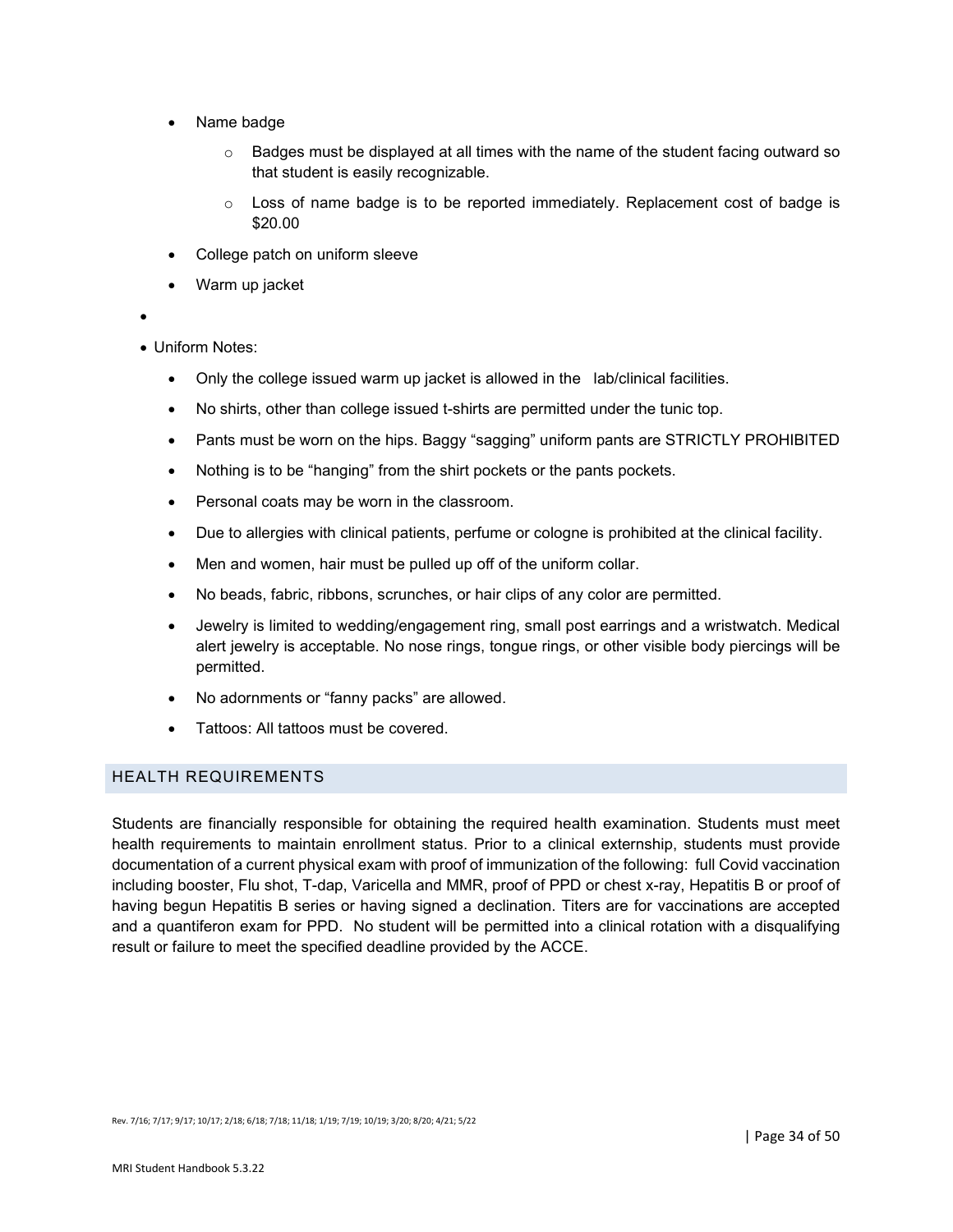- Name badge
	- $\circ$  Badges must be displayed at all times with the name of the student facing outward so that student is easily recognizable.
	- $\circ$  Loss of name badge is to be reported immediately. Replacement cost of badge is \$20.00
- College patch on uniform sleeve
- Warm up jacket
- •

## • Uniform Notes:

- Only the college issued warm up jacket is allowed in the lab/clinical facilities.
- No shirts, other than college issued t-shirts are permitted under the tunic top.
- Pants must be worn on the hips. Baggy "sagging" uniform pants are STRICTLY PROHIBITED
- Nothing is to be "hanging" from the shirt pockets or the pants pockets.
- Personal coats may be worn in the classroom.
- Due to allergies with clinical patients, perfume or cologne is prohibited at the clinical facility.
- Men and women, hair must be pulled up off of the uniform collar.
- No beads, fabric, ribbons, scrunches, or hair clips of any color are permitted.
- Jewelry is limited to wedding/engagement ring, small post earrings and a wristwatch. Medical alert jewelry is acceptable. No nose rings, tongue rings, or other visible body piercings will be permitted.
- No adornments or "fanny packs" are allowed.
- Tattoos: All tattoos must be covered.

## <span id="page-33-0"></span>HEALTH REQUIREMENTS

Students are financially responsible for obtaining the required health examination. Students must meet health requirements to maintain enrollment status. Prior to a clinical externship, students must provide documentation of a current physical exam with proof of immunization of the following: full Covid vaccination including booster, Flu shot, T-dap, Varicella and MMR, proof of PPD or chest x-ray, Hepatitis B or proof of having begun Hepatitis B series or having signed a declination. Titers are for vaccinations are accepted and a quantiferon exam for PPD. No student will be permitted into a clinical rotation with a disqualifying result or failure to meet the specified deadline provided by the ACCE.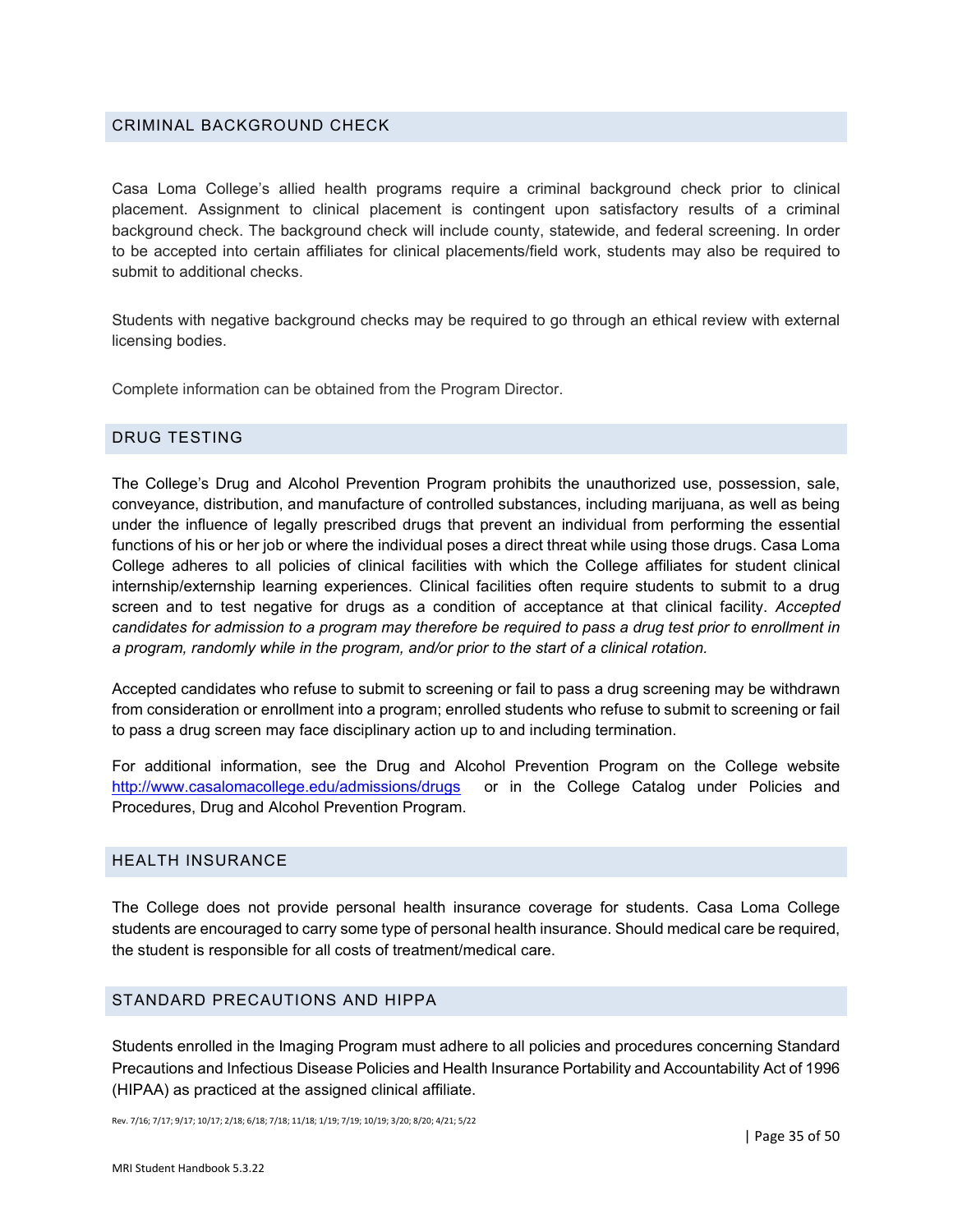## <span id="page-34-0"></span>CRIMINAL BACKGROUND CHECK

Casa Loma College's allied health programs require a criminal background check prior to clinical placement. Assignment to clinical placement is contingent upon satisfactory results of a criminal background check. The background check will include county, statewide, and federal screening. In order to be accepted into certain affiliates for clinical placements/field work, students may also be required to submit to additional checks.

Students with negative background checks may be required to go through an ethical review with external licensing bodies.

Complete information can be obtained from the Program Director.

#### <span id="page-34-1"></span>DRUG TESTING

The College's Drug and Alcohol Prevention Program prohibits the unauthorized use, possession, sale, conveyance, distribution, and manufacture of controlled substances, including marijuana, as well as being under the influence of legally prescribed drugs that prevent an individual from performing the essential functions of his or her job or where the individual poses a direct threat while using those drugs. Casa Loma College adheres to all policies of clinical facilities with which the College affiliates for student clinical internship/externship learning experiences. Clinical facilities often require students to submit to a drug screen and to test negative for drugs as a condition of acceptance at that clinical facility. *Accepted candidates for admission to a program may therefore be required to pass a drug test prior to enrollment in a program, randomly while in the program, and/or prior to the start of a clinical rotation.* 

Accepted candidates who refuse to submit to screening or fail to pass a drug screening may be withdrawn from consideration or enrollment into a program; enrolled students who refuse to submit to screening or fail to pass a drug screen may face disciplinary action up to and including termination.

For additional information, see the Drug and Alcohol Prevention Program on the College website <http://www.casalomacollege.edu/admissions/drugs>or in the College Catalog under Policies and Procedures, Drug and Alcohol Prevention Program.

## <span id="page-34-2"></span>HEALTH INSURANCE

The College does not provide personal health insurance coverage for students. Casa Loma College students are encouraged to carry some type of personal health insurance. Should medical care be required, the student is responsible for all costs of treatment/medical care.

## <span id="page-34-3"></span>STANDARD PRECAUTIONS AND HIPPA

Students enrolled in the Imaging Program must adhere to all policies and procedures concerning Standard Precautions and Infectious Disease Policies and Health Insurance Portability and Accountability Act of 1996 (HIPAA) as practiced at the assigned clinical affiliate.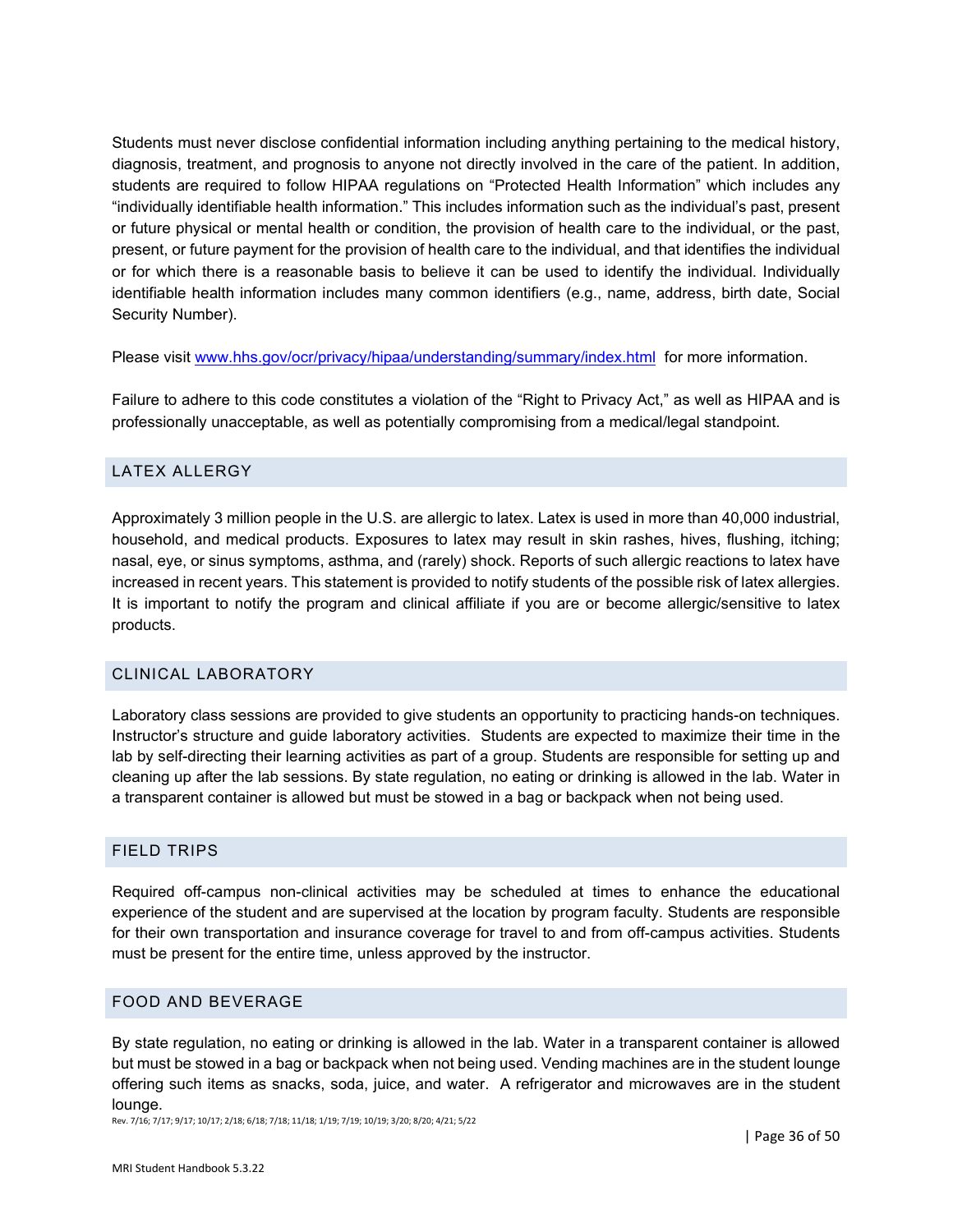Students must never disclose confidential information including anything pertaining to the medical history, diagnosis, treatment, and prognosis to anyone not directly involved in the care of the patient. In addition, students are required to follow HIPAA regulations on "Protected Health Information" which includes any "individually identifiable health information." This includes information such as the individual's past, present or future physical or mental health or condition, the provision of health care to the individual, or the past, present, or future payment for the provision of health care to the individual, and that identifies the individual or for which there is a reasonable basis to believe it can be used to identify the individual. Individually identifiable health information includes many common identifiers (e.g., name, address, birth date, Social Security Number).

Please visit [www.hhs.gov/ocr/privacy/hipaa/understanding/summary/index.html](http://www.hhs.gov/ocr/privacy/hipaa/understanding/summary/index.html) for more information.

Failure to adhere to this code constitutes a violation of the "Right to Privacy Act," as well as HIPAA and is professionally unacceptable, as well as potentially compromising from a medical/legal standpoint.

## <span id="page-35-0"></span>LATEX ALLERGY

Approximately 3 million people in the U.S. are allergic to latex. Latex is used in more than 40,000 industrial, household, and medical products. Exposures to latex may result in skin rashes, hives, flushing, itching; nasal, eye, or sinus symptoms, asthma, and (rarely) shock. Reports of such allergic reactions to latex have increased in recent years. This statement is provided to notify students of the possible risk of latex allergies. It is important to notify the program and clinical affiliate if you are or become allergic/sensitive to latex products.

#### <span id="page-35-1"></span>CLINICAL LABORATORY

Laboratory class sessions are provided to give students an opportunity to practicing hands-on techniques. Instructor's structure and guide laboratory activities. Students are expected to maximize their time in the lab by self-directing their learning activities as part of a group. Students are responsible for setting up and cleaning up after the lab sessions. By state regulation, no eating or drinking is allowed in the lab. Water in a transparent container is allowed but must be stowed in a bag or backpack when not being used.

#### <span id="page-35-2"></span>FIELD TRIPS

Required off-campus non-clinical activities may be scheduled at times to enhance the educational experience of the student and are supervised at the location by program faculty. Students are responsible for their own transportation and insurance coverage for travel to and from off-campus activities. Students must be present for the entire time, unless approved by the instructor.

#### <span id="page-35-3"></span>FOOD AND BEVERAGE

By state regulation, no eating or drinking is allowed in the lab. Water in a transparent container is allowed but must be stowed in a bag or backpack when not being used. Vending machines are in the student lounge offering such items as snacks, soda, juice, and water. A refrigerator and microwaves are in the student lounge.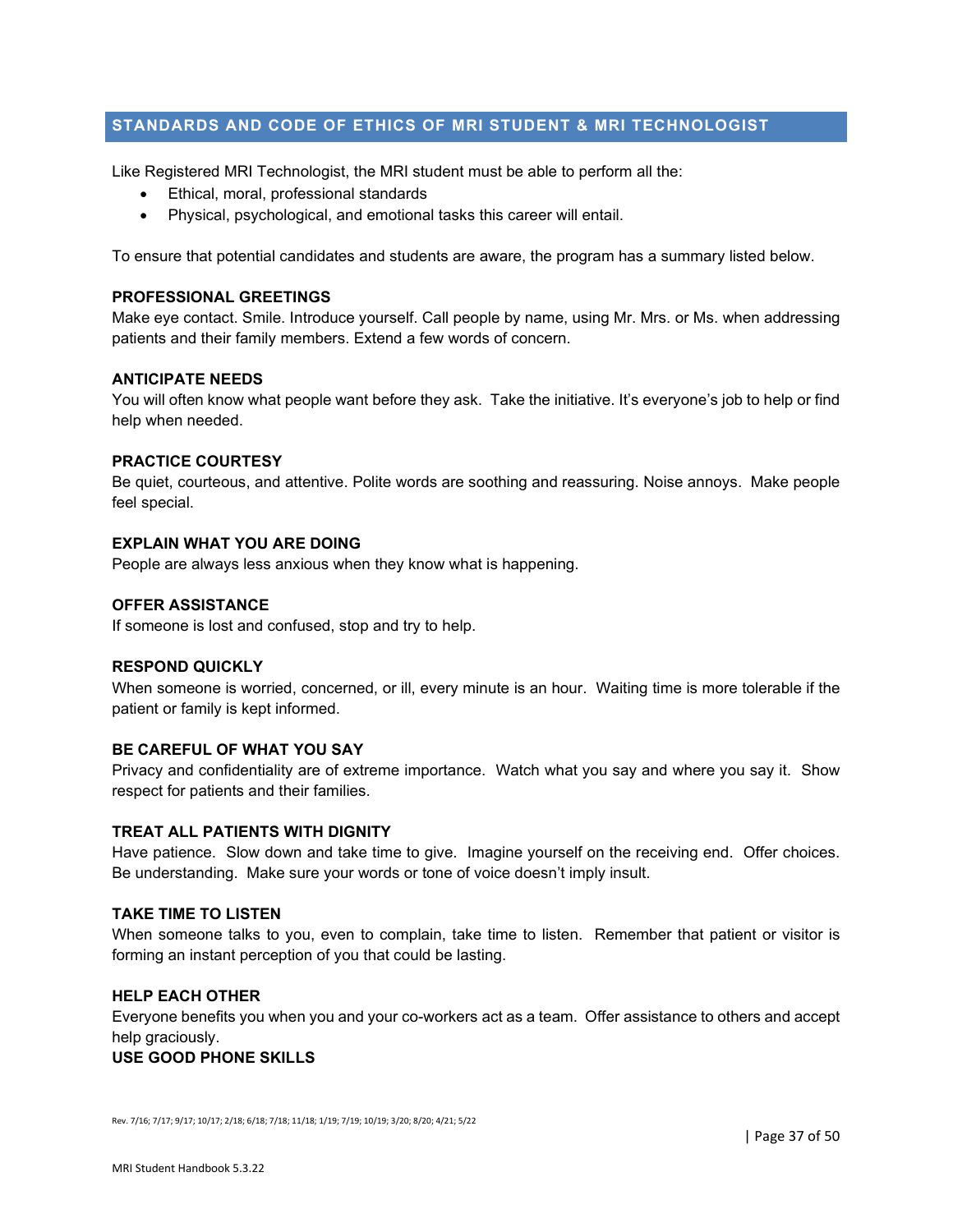## <span id="page-36-0"></span>**STANDARDS AND CODE OF ETHICS OF MRI STUDENT & MRI TECHNOLOGIST**

Like Registered MRI Technologist, the MRI student must be able to perform all the:

- Ethical, moral, professional standards
- Physical, psychological, and emotional tasks this career will entail.

To ensure that potential candidates and students are aware, the program has a summary listed below.

#### **PROFESSIONAL GREETINGS**

Make eye contact. Smile. Introduce yourself. Call people by name, using Mr. Mrs. or Ms. when addressing patients and their family members. Extend a few words of concern.

## **ANTICIPATE NEEDS**

You will often know what people want before they ask. Take the initiative. It's everyone's job to help or find help when needed.

#### **PRACTICE COURTESY**

Be quiet, courteous, and attentive. Polite words are soothing and reassuring. Noise annoys. Make people feel special.

#### **EXPLAIN WHAT YOU ARE DOING**

People are always less anxious when they know what is happening.

#### **OFFER ASSISTANCE**

If someone is lost and confused, stop and try to help.

#### **RESPOND QUICKLY**

When someone is worried, concerned, or ill, every minute is an hour. Waiting time is more tolerable if the patient or family is kept informed.

#### **BE CAREFUL OF WHAT YOU SAY**

Privacy and confidentiality are of extreme importance. Watch what you say and where you say it. Show respect for patients and their families.

#### **TREAT ALL PATIENTS WITH DIGNITY**

Have patience. Slow down and take time to give. Imagine yourself on the receiving end. Offer choices. Be understanding. Make sure your words or tone of voice doesn't imply insult.

#### **TAKE TIME TO LISTEN**

When someone talks to you, even to complain, take time to listen. Remember that patient or visitor is forming an instant perception of you that could be lasting.

## **HELP EACH OTHER**

Everyone benefits you when you and your co-workers act as a team. Offer assistance to others and accept help graciously.

#### **USE GOOD PHONE SKILLS**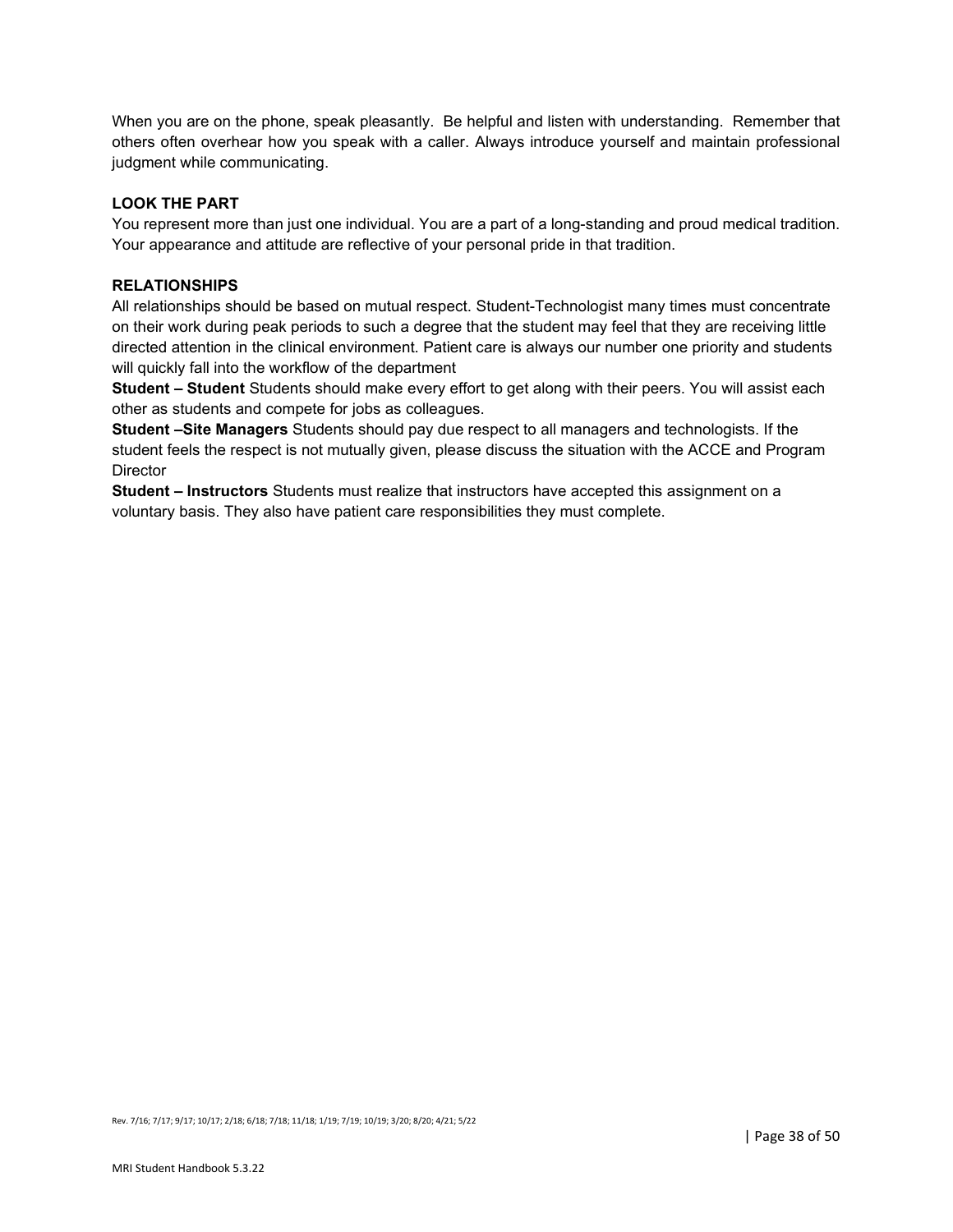When you are on the phone, speak pleasantly. Be helpful and listen with understanding. Remember that others often overhear how you speak with a caller. Always introduce yourself and maintain professional judgment while communicating.

## **LOOK THE PART**

You represent more than just one individual. You are a part of a long-standing and proud medical tradition. Your appearance and attitude are reflective of your personal pride in that tradition.

## **RELATIONSHIPS**

All relationships should be based on mutual respect. Student-Technologist many times must concentrate on their work during peak periods to such a degree that the student may feel that they are receiving little directed attention in the clinical environment. Patient care is always our number one priority and students will quickly fall into the workflow of the department

**Student – Student** Students should make every effort to get along with their peers. You will assist each other as students and compete for jobs as colleagues.

**Student –Site Managers** Students should pay due respect to all managers and technologists. If the student feels the respect is not mutually given, please discuss the situation with the ACCE and Program **Director** 

**Student – Instructors** Students must realize that instructors have accepted this assignment on a voluntary basis. They also have patient care responsibilities they must complete.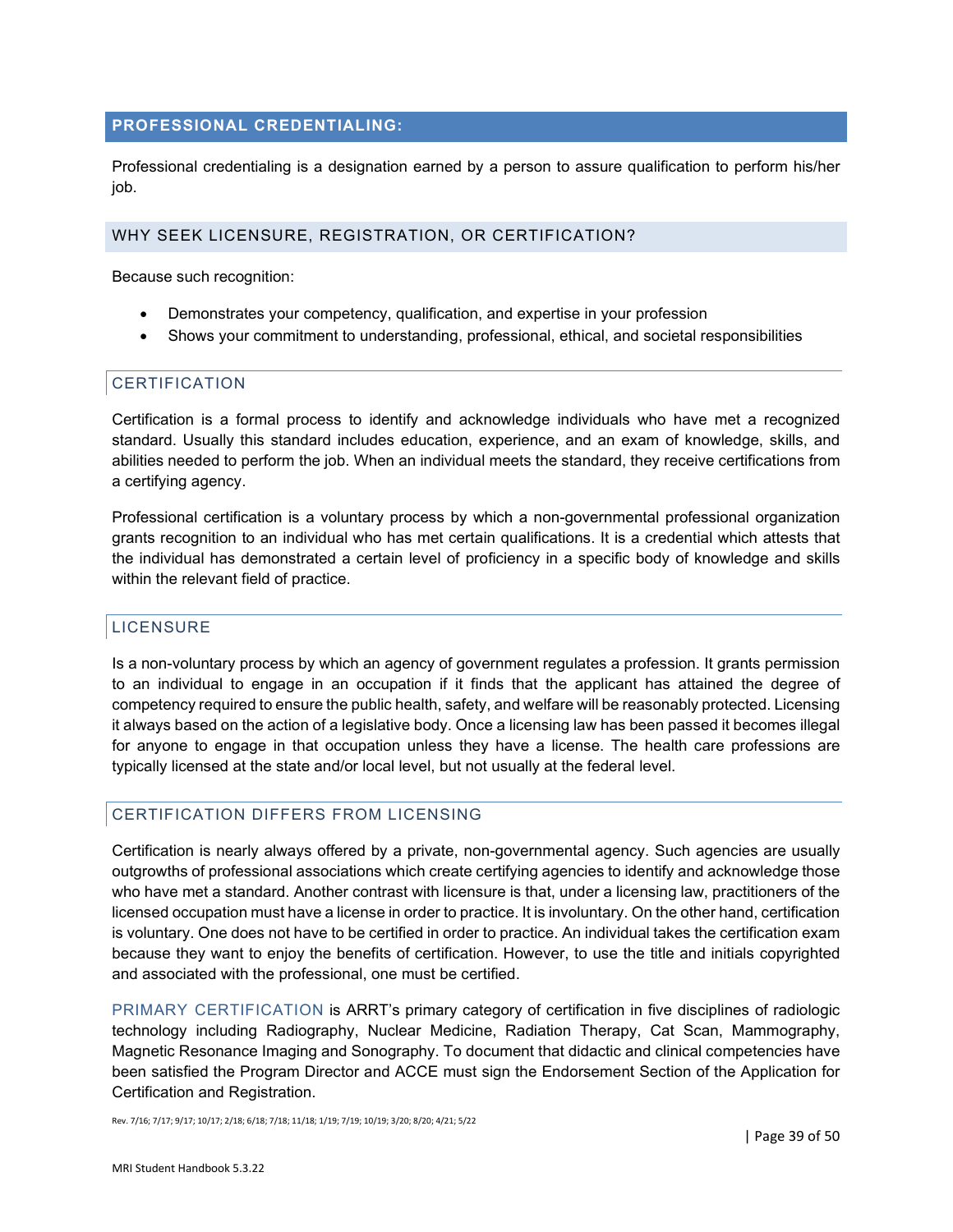## <span id="page-38-0"></span>**PROFESSIONAL CREDENTIALING:**

Professional credentialing is a designation earned by a person to assure qualification to perform his/her job.

## <span id="page-38-1"></span>WHY SEEK LICENSURE, REGISTRATION, OR CERTIFICATION?

Because such recognition:

- Demonstrates your competency, qualification, and expertise in your profession
- Shows your commitment to understanding, professional, ethical, and societal responsibilities

## <span id="page-38-2"></span>**CERTIFICATION**

Certification is a formal process to identify and acknowledge individuals who have met a recognized standard. Usually this standard includes education, experience, and an exam of knowledge, skills, and abilities needed to perform the job. When an individual meets the standard, they receive certifications from a certifying agency.

Professional certification is a voluntary process by which a non-governmental professional organization grants recognition to an individual who has met certain qualifications. It is a credential which attests that the individual has demonstrated a certain level of proficiency in a specific body of knowledge and skills within the relevant field of practice.

#### <span id="page-38-3"></span>LICENSURE

Is a non-voluntary process by which an agency of government regulates a profession. It grants permission to an individual to engage in an occupation if it finds that the applicant has attained the degree of competency required to ensure the public health, safety, and welfare will be reasonably protected. Licensing it always based on the action of a legislative body. Once a licensing law has been passed it becomes illegal for anyone to engage in that occupation unless they have a license. The health care professions are typically licensed at the state and/or local level, but not usually at the federal level.

## <span id="page-38-4"></span>CERTIFICATION DIFFERS FROM LICENSING

Certification is nearly always offered by a private, non-governmental agency. Such agencies are usually outgrowths of professional associations which create certifying agencies to identify and acknowledge those who have met a standard. Another contrast with licensure is that, under a licensing law, practitioners of the licensed occupation must have a license in order to practice. It is involuntary. On the other hand, certification is voluntary. One does not have to be certified in order to practice. An individual takes the certification exam because they want to enjoy the benefits of certification. However, to use the title and initials copyrighted and associated with the professional, one must be certified.

<span id="page-38-5"></span>PRIMARY CERTIFICATION is ARRT's primary category of certification in five disciplines of radiologic technology including Radiography, Nuclear Medicine, Radiation Therapy, Cat Scan, Mammography, Magnetic Resonance Imaging and Sonography. To document that didactic and clinical competencies have been satisfied the Program Director and ACCE must sign the Endorsement Section of the Application for Certification and Registration.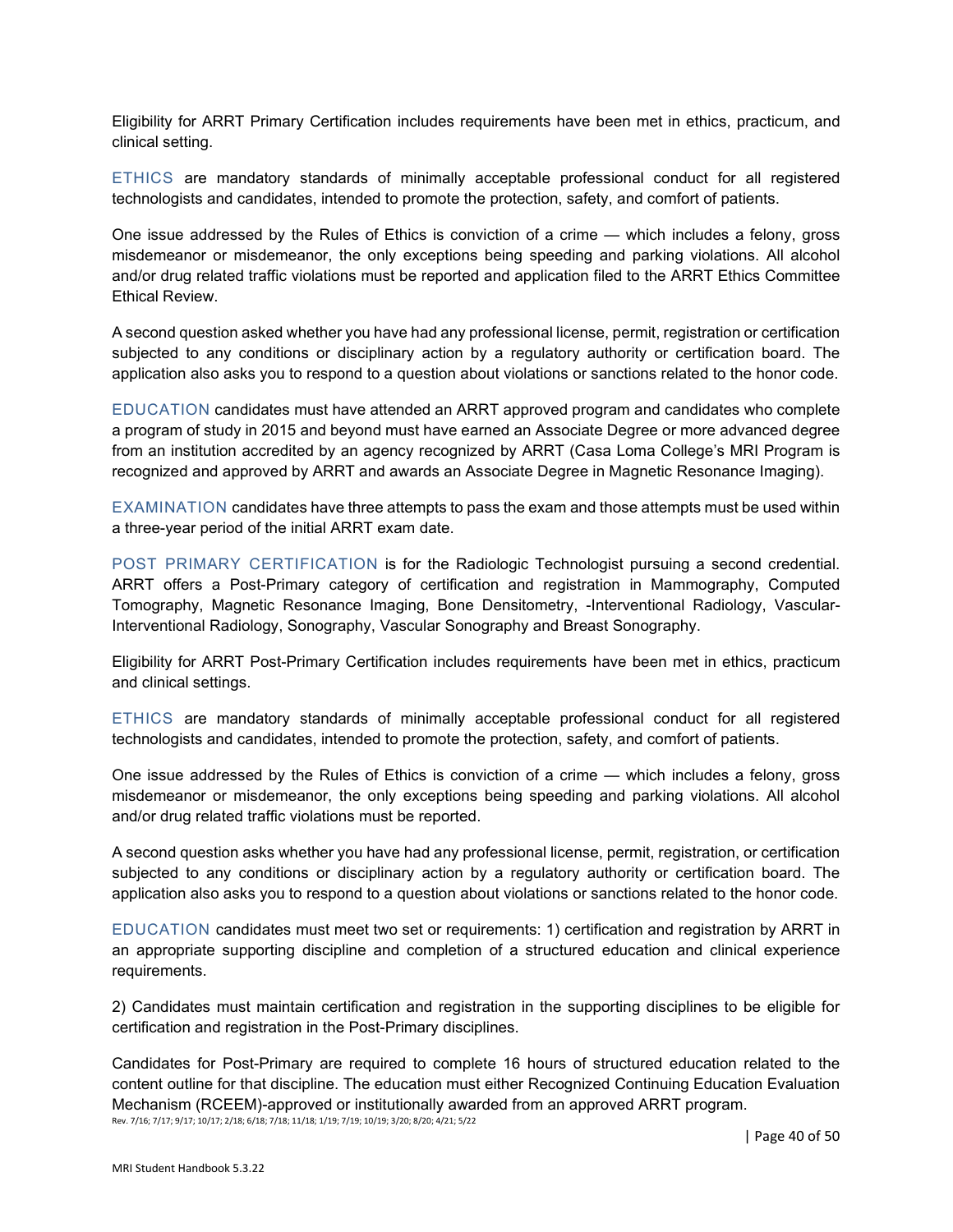Eligibility for ARRT Primary Certification includes requirements have been met in ethics, practicum, and clinical setting.

<span id="page-39-0"></span>ETHICS are mandatory standards of minimally acceptable professional conduct for all registered technologists and candidates, intended to promote the protection, safety, and comfort of patients.

One issue addressed by the Rules of Ethics is conviction of a crime — which includes a felony, gross misdemeanor or misdemeanor, the only exceptions being speeding and parking violations. All alcohol and/or drug related traffic violations must be reported and application filed to the ARRT Ethics Committee Ethical Review.

A second question asked whether you have had any professional license, permit, registration or certification subjected to any conditions or disciplinary action by a regulatory authority or certification board. The application also asks you to respond to a question about violations or sanctions related to the honor code.

<span id="page-39-1"></span>EDUCATION candidates must have attended an ARRT approved program and candidates who complete a program of study in 2015 and beyond must have earned an Associate Degree or more advanced degree from an institution accredited by an agency recognized by ARRT (Casa Loma College's MRI Program is recognized and approved by ARRT and awards an Associate Degree in Magnetic Resonance Imaging).

<span id="page-39-2"></span>EXAMINATION candidates have three attempts to pass the exam and those attempts must be used within a three-year period of the initial ARRT exam date.

<span id="page-39-3"></span>POST PRIMARY CERTIFICATION is for the Radiologic Technologist pursuing a second credential. ARRT offers a Post-Primary category of certification and registration in Mammography, Computed Tomography, Magnetic Resonance Imaging, Bone Densitometry, -Interventional Radiology, Vascular-Interventional Radiology, Sonography, Vascular Sonography and Breast Sonography.

Eligibility for ARRT Post-Primary Certification includes requirements have been met in ethics, practicum and clinical settings.

<span id="page-39-4"></span>ETHICS are mandatory standards of minimally acceptable professional conduct for all registered technologists and candidates, intended to promote the protection, safety, and comfort of patients.

One issue addressed by the Rules of Ethics is conviction of a crime — which includes a felony, gross misdemeanor or misdemeanor, the only exceptions being speeding and parking violations. All alcohol and/or drug related traffic violations must be reported.

A second question asks whether you have had any professional license, permit, registration, or certification subjected to any conditions or disciplinary action by a regulatory authority or certification board. The application also asks you to respond to a question about violations or sanctions related to the honor code.

<span id="page-39-5"></span>EDUCATION candidates must meet two set or requirements: 1) certification and registration by ARRT in an appropriate supporting discipline and completion of a structured education and clinical experience requirements.

2) Candidates must maintain certification and registration in the supporting disciplines to be eligible for certification and registration in the Post-Primary disciplines.

Rev. 7/16; 7/17; 9/17; 10/17; 2/18; 6/18; 7/18; 11/18; 1/19; 7/19; 10/19; 3/20; 8/20; 4/21; 5/22 Candidates for Post-Primary are required to complete 16 hours of structured education related to the content outline for that discipline. The education must either Recognized Continuing Education Evaluation Mechanism (RCEEM)-approved or institutionally awarded from an approved ARRT program.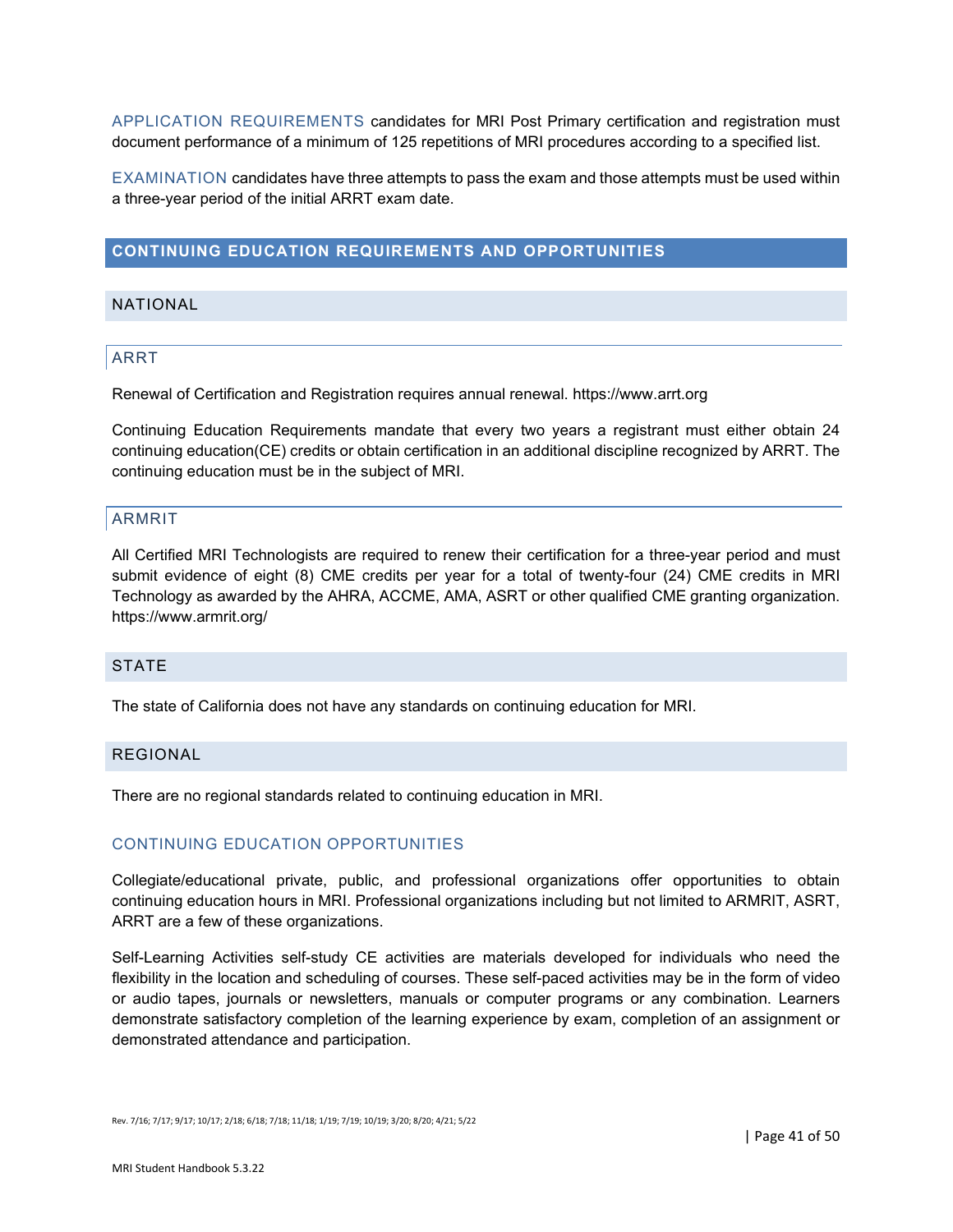<span id="page-40-0"></span>APPLICATION REQUIREMENTS candidates for MRI Post Primary certification and registration must document performance of a minimum of 125 repetitions of MRI procedures according to a specified list.

<span id="page-40-1"></span>EXAMINATION candidates have three attempts to pass the exam and those attempts must be used within a three-year period of the initial ARRT exam date.

## <span id="page-40-3"></span><span id="page-40-2"></span>**CONTINUING EDUCATION REQUIREMENTS AND OPPORTUNITIES**

## <span id="page-40-4"></span>NATIONAL

#### ARRT

Renewal of Certification and Registration requires annual renewal. https://www.arrt.org

Continuing Education Requirements mandate that every two years a registrant must either obtain 24 continuing education(CE) credits or obtain certification in an additional discipline recognized by ARRT. The continuing education must be in the subject of MRI.

#### <span id="page-40-5"></span>ARMRIT

All Certified MRI Technologists are required to renew their certification for a three-year period and must submit evidence of eight (8) CME credits per year for a total of twenty-four (24) CME credits in MRI Technology as awarded by the AHRA, ACCME, AMA, ASRT or other qualified CME granting organization. https://www.armrit.org/

#### <span id="page-40-6"></span>**STATE**

The state of California does not have any standards on continuing education for MRI.

## <span id="page-40-7"></span>REGIONAL

There are no regional standards related to continuing education in MRI.

#### <span id="page-40-8"></span>CONTINUING EDUCATION OPPORTUNITIES

Collegiate/educational private, public, and professional organizations offer opportunities to obtain continuing education hours in MRI. Professional organizations including but not limited to ARMRIT, ASRT, ARRT are a few of these organizations.

Self-Learning Activities self-study CE activities are materials developed for individuals who need the flexibility in the location and scheduling of courses. These self-paced activities may be in the form of video or audio tapes, journals or newsletters, manuals or computer programs or any combination. Learners demonstrate satisfactory completion of the learning experience by exam, completion of an assignment or demonstrated attendance and participation.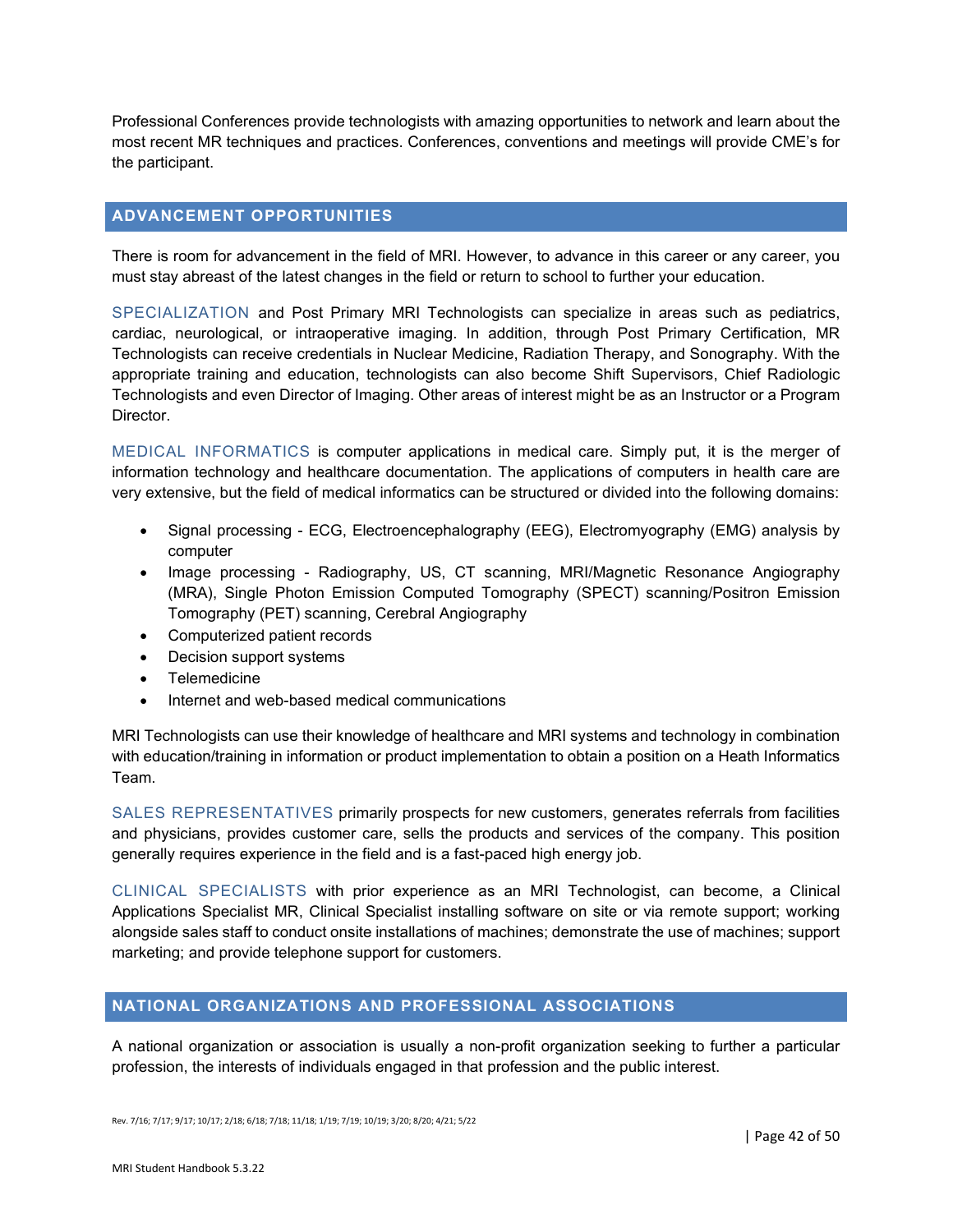Professional Conferences provide technologists with amazing opportunities to network and learn about the most recent MR techniques and practices. Conferences, conventions and meetings will provide CME's for the participant.

## <span id="page-41-0"></span>**ADVANCEMENT OPPORTUNITIES**

There is room for advancement in the field of MRI. However, to advance in this career or any career, you must stay abreast of the latest changes in the field or return to school to further your education.

<span id="page-41-1"></span>SPECIALIZATION and Post Primary MRI Technologists can specialize in areas such as pediatrics, cardiac, neurological, or intraoperative imaging. In addition, through Post Primary Certification, MR Technologists can receive credentials in Nuclear Medicine, Radiation Therapy, and Sonography. With the appropriate training and education, technologists can also become Shift Supervisors, Chief Radiologic Technologists and even Director of Imaging. Other areas of interest might be as an Instructor or a Program Director.

<span id="page-41-2"></span>MEDICAL INFORMATICS is computer applications in medical care. Simply put, it is the merger of information technology and healthcare documentation. The applications of computers in health care are very extensive, but the field of medical informatics can be structured or divided into the following domains:

- Signal processing ECG, Electroencephalography (EEG), Electromyography (EMG) analysis by computer
- Image processing Radiography, US, CT scanning, MRI/Magnetic Resonance Angiography (MRA), Single Photon Emission Computed Tomography (SPECT) scanning/Positron Emission Tomography (PET) scanning, Cerebral Angiography
- Computerized patient records
- Decision support systems
- Telemedicine
- Internet and web-based medical communications

MRI Technologists can use their knowledge of healthcare and MRI systems and technology in combination with education/training in information or product implementation to obtain a position on a Heath Informatics Team.

<span id="page-41-3"></span>SALES REPRESENTATIVES primarily prospects for new customers, generates referrals from facilities and physicians, provides customer care, sells the products and services of the company. This position generally requires experience in the field and is a fast-paced high energy job.

<span id="page-41-4"></span>CLINICAL SPECIALISTS with prior experience as an MRI Technologist, can become, a Clinical Applications Specialist MR, Clinical Specialist installing software on site or via remote support; working alongside sales staff to conduct onsite installations of machines; demonstrate the use of machines; support marketing; and provide telephone support for customers.

## <span id="page-41-5"></span>**NATIONAL ORGANIZATIONS AND PROFESSIONAL ASSOCIATIONS**

A national organization or association is usually a non-profit organization seeking to further a particular profession, the interests of individuals engaged in that profession and the public interest.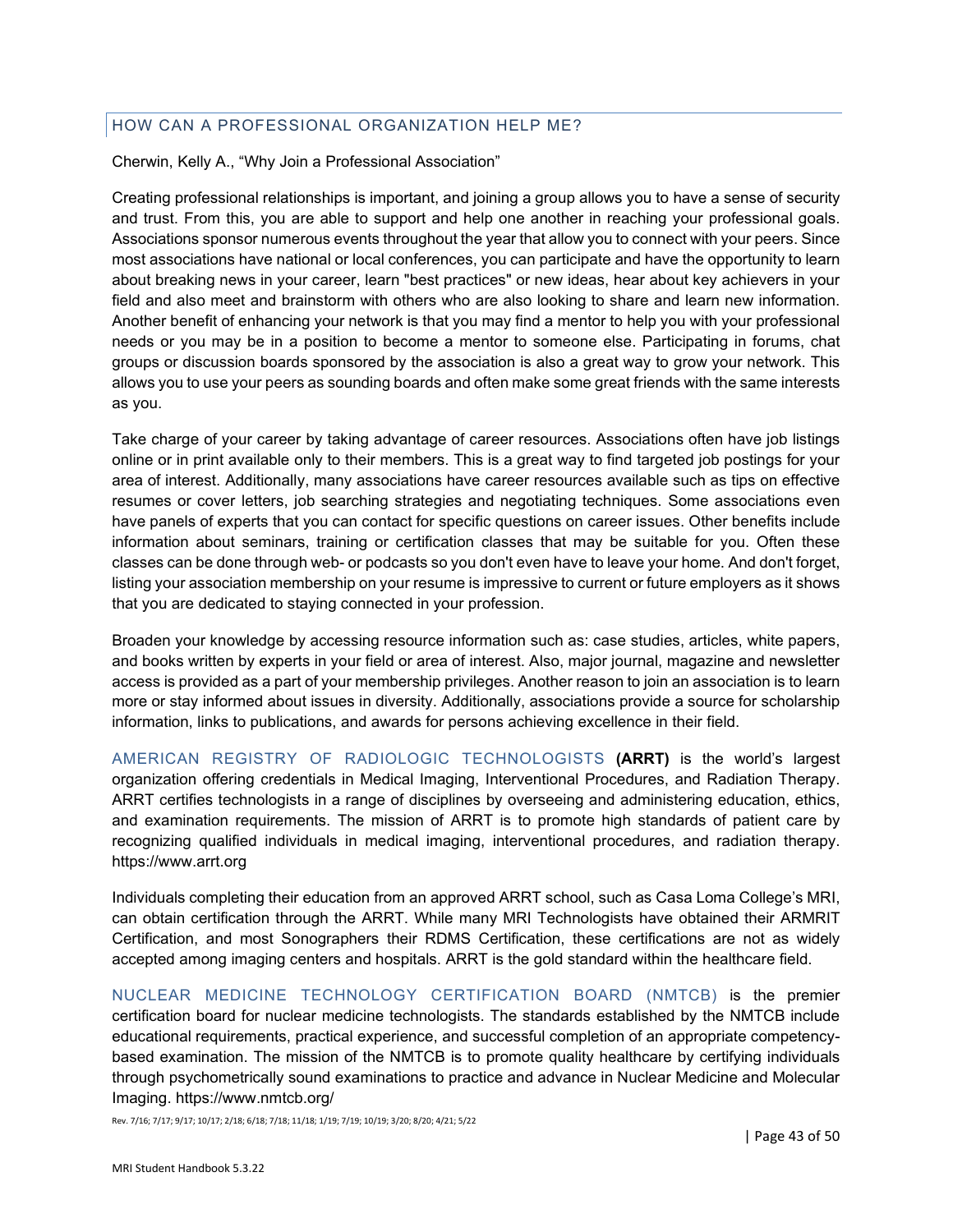## <span id="page-42-0"></span>HOW CAN A PROFESSIONAL ORGANIZATION HELP ME?

Cherwin, Kelly A., "Why Join a Professional Association"

Creating professional relationships is important, and joining a group allows you to have a sense of security and trust. From this, you are able to support and help one another in reaching your professional goals. Associations sponsor numerous events throughout the year that allow you to connect with your peers. Since most associations have national or local conferences, you can participate and have the opportunity to learn about breaking news in your career, learn "best practices" or new ideas, hear about key achievers in your field and also meet and brainstorm with others who are also looking to share and learn new information. Another benefit of enhancing your network is that you may find a mentor to help you with your professional needs or you may be in a position to become a mentor to someone else. Participating in forums, chat groups or discussion boards sponsored by the association is also a great way to grow your network. This allows you to use your peers as sounding boards and often make some great friends with the same interests as you.

Take charge of your career by taking advantage of career resources. Associations often have job listings online or in print available only to their members. This is a great way to find targeted job postings for your area of interest. Additionally, many associations have career resources available such as tips on effective resumes or cover letters, job searching strategies and negotiating techniques. Some associations even have panels of experts that you can contact for specific questions on career issues. Other benefits include information about seminars, training or certification classes that may be suitable for you. Often these classes can be done through web- or podcasts so you don't even have to leave your home. And don't forget, listing your association membership on your resume is impressive to current or future employers as it shows that you are dedicated to staying connected in your profession.

Broaden your knowledge by accessing resource information such as: case studies, articles, white papers, and books written by experts in your field or area of interest. Also, major journal, magazine and newsletter access is provided as a part of your membership privileges. Another reason to join an association is to learn more or stay informed about issues in diversity. Additionally, associations provide a source for scholarship information, links to publications, and awards for persons achieving excellence in their field.

<span id="page-42-1"></span>AMERICAN REGISTRY OF RADIOLOGIC TECHNOLOGISTS **(ARRT)** is the world's largest organization offering credentials in Medical Imaging, Interventional Procedures, and Radiation Therapy. ARRT certifies technologists in a range of disciplines by overseeing and administering education, ethics, and examination requirements. The mission of ARRT is to promote high standards of patient care by recognizing qualified individuals in medical imaging, interventional procedures, and radiation therapy. https://www.arrt.org

Individuals completing their education from an approved ARRT school, such as Casa Loma College's MRI, can obtain certification through the ARRT. While many MRI Technologists have obtained their ARMRIT Certification, and most Sonographers their RDMS Certification, these certifications are not as widely accepted among imaging centers and hospitals. ARRT is the gold standard within the healthcare field.

<span id="page-42-2"></span>NUCLEAR MEDICINE TECHNOLOGY CERTIFICATION BOARD (NMTCB) is the premier certification board for nuclear medicine technologists. The standards established by the NMTCB include educational requirements, practical experience, and successful completion of an appropriate competencybased examination. The mission of the NMTCB is to promote quality healthcare by certifying individuals through psychometrically sound examinations to practice and advance in Nuclear Medicine and Molecular Imaging. https://www.nmtcb.org/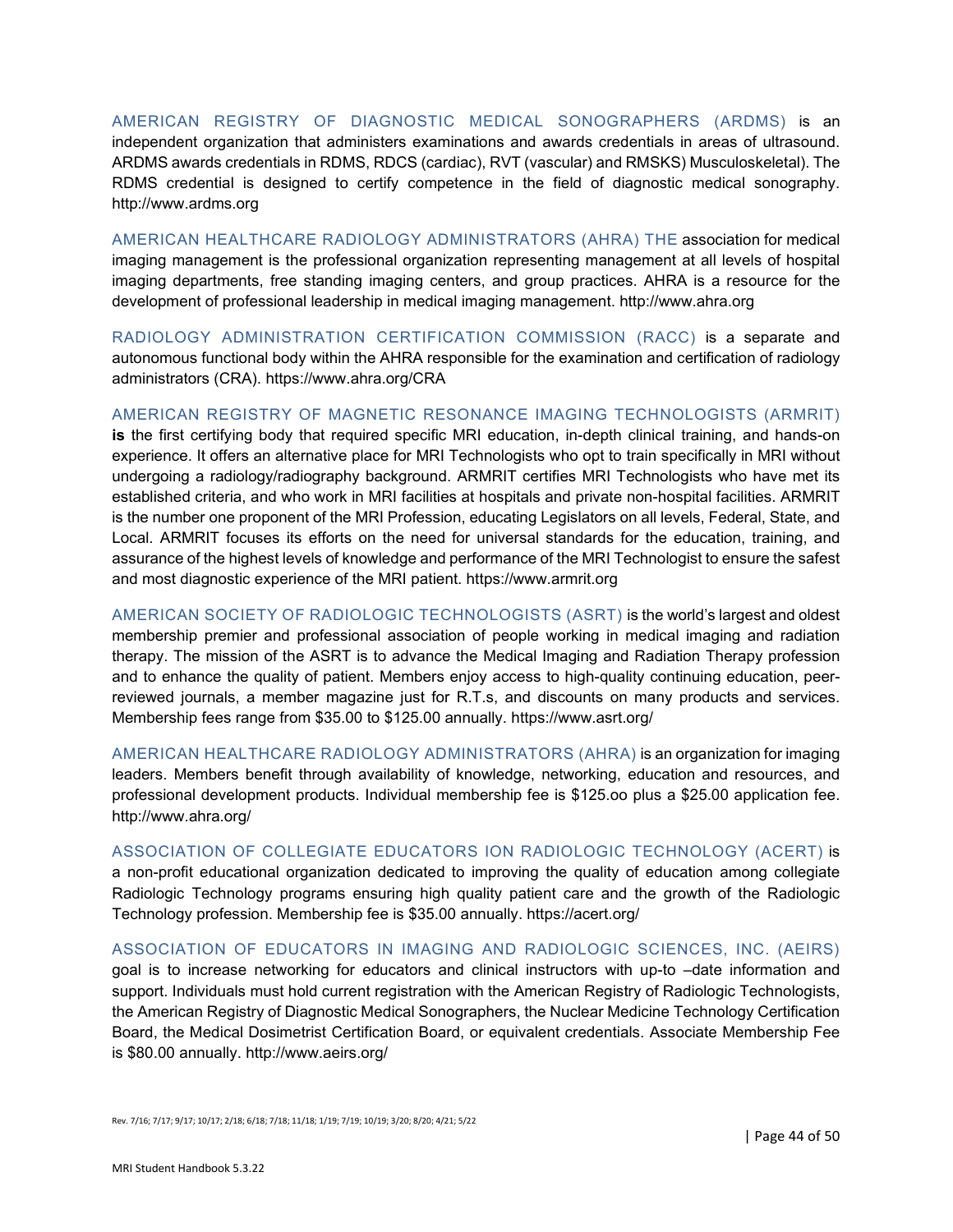<span id="page-43-0"></span>AMERICAN REGISTRY OF DIAGNOSTIC MEDICAL SONOGRAPHERS (ARDMS) is an independent organization that administers examinations and awards credentials in areas of ultrasound. ARDMS awards credentials in RDMS, RDCS (cardiac), RVT (vascular) and RMSKS) Musculoskeletal). The RDMS credential is designed to certify competence in the field of diagnostic medical sonography. http://www.ardms.org

<span id="page-43-1"></span>AMERICAN HEALTHCARE RADIOLOGY ADMINISTRATORS (AHRA) THE association for medical imaging management is the professional organization representing management at all levels of hospital imaging departments, free standing imaging centers, and group practices. AHRA is a resource for the development of professional leadership in medical imaging management. http://www.ahra.org

<span id="page-43-2"></span>RADIOLOGY ADMINISTRATION CERTIFICATION COMMISSION (RACC) is a separate and autonomous functional body within the AHRA responsible for the examination and certification of radiology administrators (CRA). https://www.ahra.org/CRA

<span id="page-43-3"></span>AMERICAN REGISTRY OF MAGNETIC RESONANCE IMAGING TECHNOLOGISTS (ARMRIT)

**is** the first certifying body that required specific MRI education, in-depth clinical training, and hands-on experience. It offers an alternative place for MRI Technologists who opt to train specifically in MRI without undergoing a radiology/radiography background. ARMRIT certifies MRI Technologists who have met its established criteria, and who work in MRI facilities at hospitals and private non-hospital facilities. ARMRIT is the number one proponent of the MRI Profession, educating Legislators on all levels, Federal, State, and Local. ARMRIT focuses its efforts on the need for universal standards for the education, training, and assurance of the highest levels of knowledge and performance of the MRI Technologist to ensure the safest and most diagnostic experience of the MRI patient. https://www.armrit.org

<span id="page-43-4"></span>AMERICAN SOCIETY OF RADIOLOGIC TECHNOLOGISTS (ASRT) is the world's largest and oldest membership premier and professional association of people working in medical imaging and radiation therapy. The mission of the ASRT is to advance the Medical Imaging and Radiation Therapy profession and to enhance the quality of patient. Members enjoy access to high-quality continuing education, peerreviewed journals, a member magazine just for R.T.s, and discounts on many products and services. Membership fees range from \$35.00 to \$125.00 annually. https://www.asrt.org/

<span id="page-43-5"></span>AMERICAN HEALTHCARE RADIOLOGY ADMINISTRATORS (AHRA) is an organization for imaging leaders. Members benefit through availability of knowledge, networking, education and resources, and professional development products. Individual membership fee is \$125.oo plus a \$25.00 application fee. http://www.ahra.org/

<span id="page-43-6"></span>ASSOCIATION OF COLLEGIATE EDUCATORS ION RADIOLOGIC TECHNOLOGY (ACERT) is a non-profit educational organization dedicated to improving the quality of education among collegiate Radiologic Technology programs ensuring high quality patient care and the growth of the Radiologic Technology profession. Membership fee is \$35.00 annually. https://acert.org/

<span id="page-43-7"></span>ASSOCIATION OF EDUCATORS IN IMAGING AND RADIOLOGIC SCIENCES, INC. (AEIRS) goal is to increase networking for educators and clinical instructors with up-to –date information and support. Individuals must hold current registration with the American Registry of Radiologic Technologists, the American Registry of Diagnostic Medical Sonographers, the Nuclear Medicine Technology Certification Board, the Medical Dosimetrist Certification Board, or equivalent credentials. Associate Membership Fee is \$80.00 annually. http://www.aeirs.org/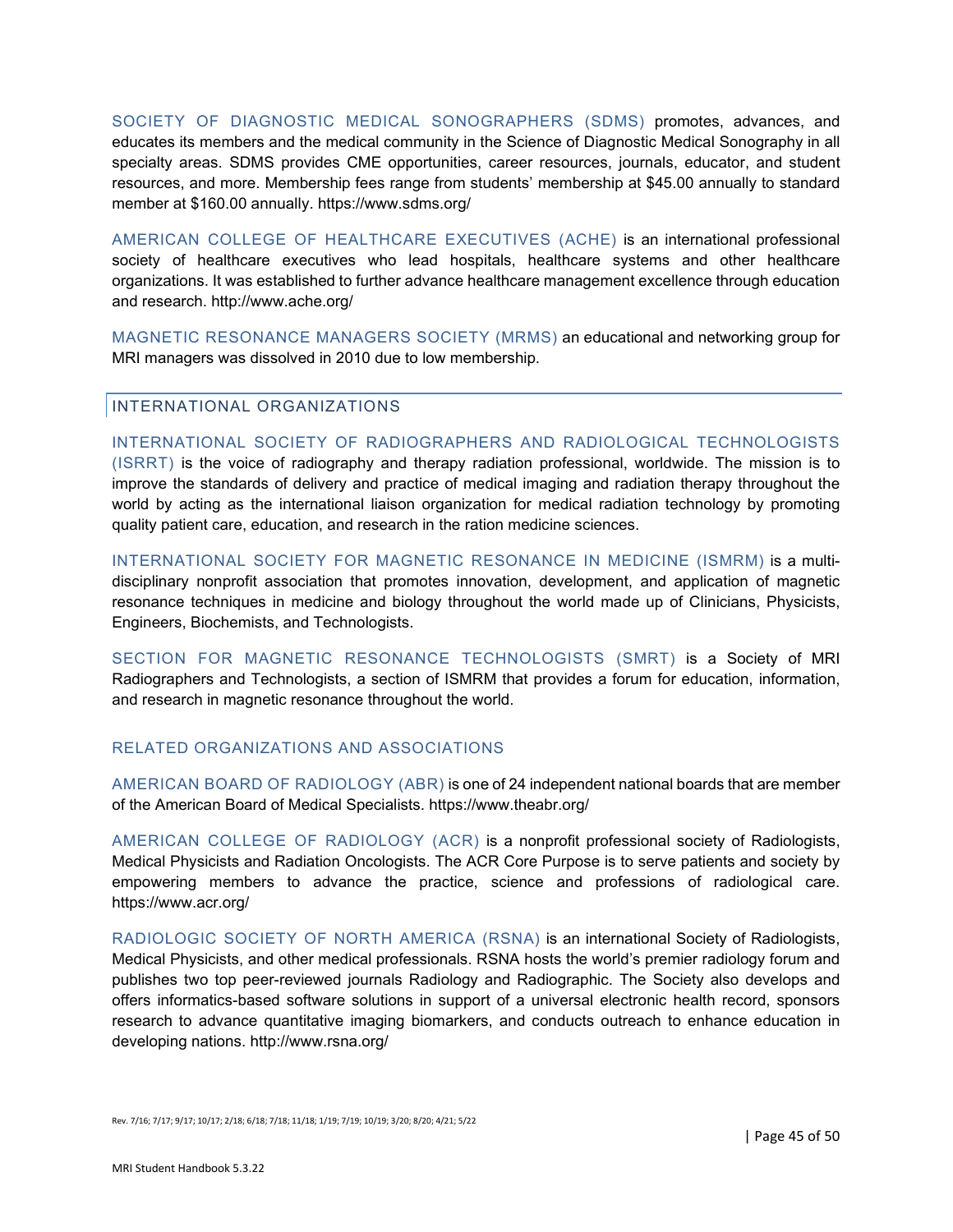<span id="page-44-0"></span>SOCIETY OF DIAGNOSTIC MEDICAL SONOGRAPHERS (SDMS) promotes, advances, and educates its members and the medical community in the Science of Diagnostic Medical Sonography in all specialty areas. SDMS provides CME opportunities, career resources, journals, educator, and student resources, and more. Membership fees range from students' membership at \$45.00 annually to standard member at \$160.00 annually. https://www.sdms.org/

<span id="page-44-1"></span>AMERICAN COLLEGE OF HEALTHCARE EXECUTIVES (ACHE) is an international professional society of healthcare executives who lead hospitals, healthcare systems and other healthcare organizations. It was established to further advance healthcare management excellence through education and research. http://www.ache.org/

<span id="page-44-2"></span>MAGNETIC RESONANCE MANAGERS SOCIETY (MRMS) an educational and networking group for MRI managers was dissolved in 2010 due to low membership.

## <span id="page-44-4"></span><span id="page-44-3"></span>INTERNATIONAL ORGANIZATIONS

INTERNATIONAL SOCIETY OF RADIOGRAPHERS AND RADIOLOGICAL TECHNOLOGISTS (ISRRT) is the voice of radiography and therapy radiation professional, worldwide. The mission is to improve the standards of delivery and practice of medical imaging and radiation therapy throughout the world by acting as the international liaison organization for medical radiation technology by promoting quality patient care, education, and research in the ration medicine sciences.

<span id="page-44-5"></span>INTERNATIONAL SOCIETY FOR MAGNETIC RESONANCE IN MEDICINE (ISMRM) is a multidisciplinary nonprofit association that promotes innovation, development, and application of magnetic resonance techniques in medicine and biology throughout the world made up of Clinicians, Physicists, Engineers, Biochemists, and Technologists.

<span id="page-44-6"></span>SECTION FOR MAGNETIC RESONANCE TECHNOLOGISTS (SMRT) is a Society of MRI Radiographers and Technologists, a section of ISMRM that provides a forum for education, information, and research in magnetic resonance throughout the world.

## <span id="page-44-7"></span>RELATED ORGANIZATIONS AND ASSOCIATIONS

<span id="page-44-8"></span>AMERICAN BOARD OF RADIOLOGY (ABR) is one of 24 independent national boards that are member of the American Board of Medical Specialists. https://www.theabr.org/

<span id="page-44-9"></span>AMERICAN COLLEGE OF RADIOLOGY (ACR) is a nonprofit professional society of Radiologists, Medical Physicists and Radiation Oncologists. The ACR Core Purpose is to serve patients and society by empowering members to advance the practice, science and professions of radiological care. https://www.acr.org/

<span id="page-44-10"></span>RADIOLOGIC SOCIETY OF NORTH AMERICA (RSNA) is an international Society of Radiologists, Medical Physicists, and other medical professionals. RSNA hosts the world's premier radiology forum and publishes two top peer-reviewed journals Radiology and Radiographic. The Society also develops and offers informatics-based software solutions in support of a universal electronic health record, sponsors research to advance quantitative imaging biomarkers, and conducts outreach to enhance education in developing nations. http://www.rsna.org/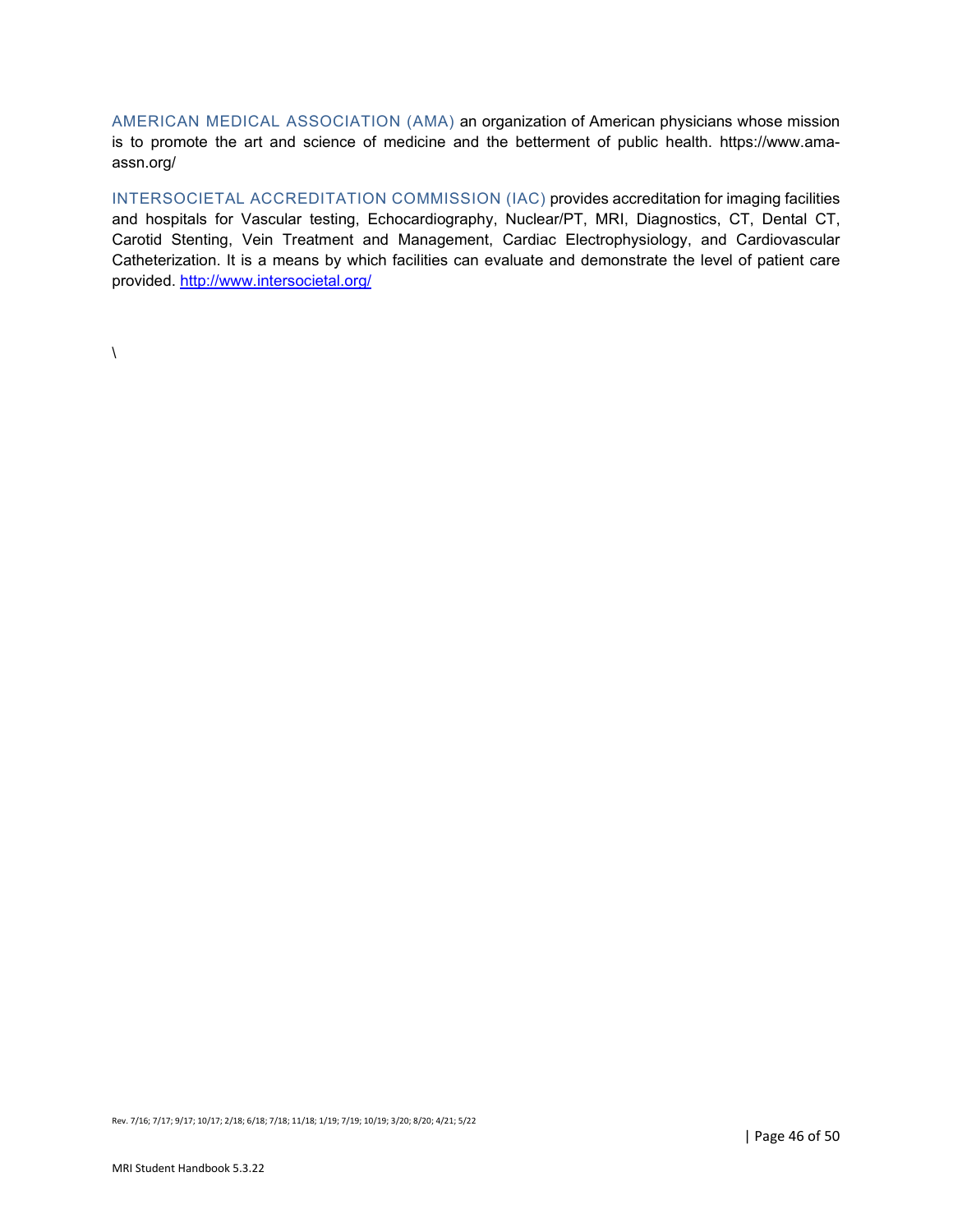<span id="page-45-0"></span>AMERICAN MEDICAL ASSOCIATION (AMA) an organization of American physicians whose mission is to promote the art and science of medicine and the betterment of public health. https://www.amaassn.org/

<span id="page-45-1"></span>INTERSOCIETAL ACCREDITATION COMMISSION (IAC) provides accreditation for imaging facilities and hospitals for Vascular testing, Echocardiography, Nuclear/PT, MRI, Diagnostics, CT, Dental CT, Carotid Stenting, Vein Treatment and Management, Cardiac Electrophysiology, and Cardiovascular Catheterization. It is a means by which facilities can evaluate and demonstrate the level of patient care provided.<http://www.intersocietal.org/>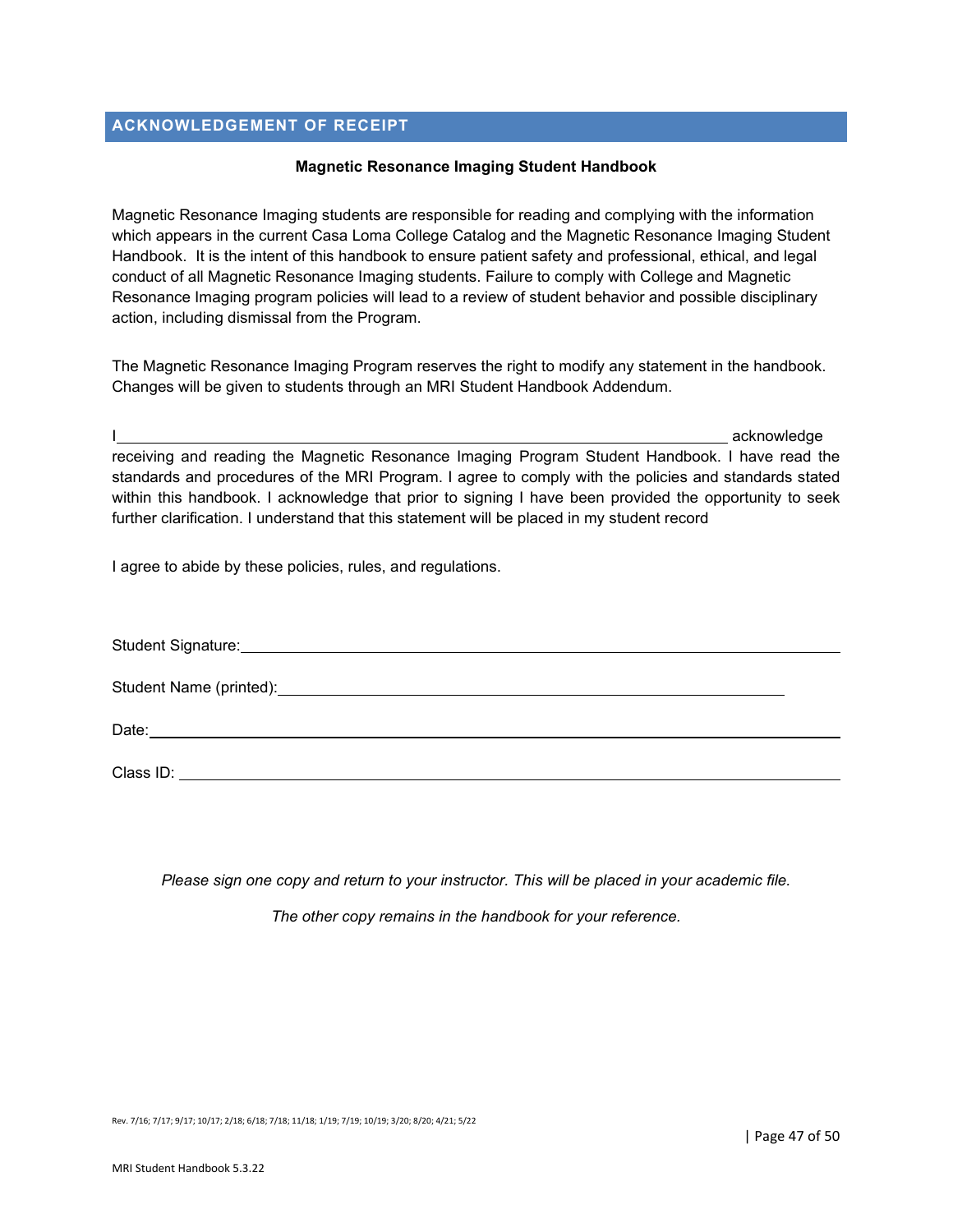## <span id="page-46-0"></span>**ACKNOWLEDGEMENT OF RECEIPT**

#### **Magnetic Resonance Imaging Student Handbook**

Magnetic Resonance Imaging students are responsible for reading and complying with the information which appears in the current Casa Loma College Catalog and the Magnetic Resonance Imaging Student Handbook. It is the intent of this handbook to ensure patient safety and professional, ethical, and legal conduct of all Magnetic Resonance Imaging students. Failure to comply with College and Magnetic Resonance Imaging program policies will lead to a review of student behavior and possible disciplinary action, including dismissal from the Program.

The Magnetic Resonance Imaging Program reserves the right to modify any statement in the handbook. Changes will be given to students through an MRI Student Handbook Addendum.

acknowledge receiving and reading the Magnetic Resonance Imaging Program Student Handbook. I have read the standards and procedures of the MRI Program. I agree to comply with the policies and standards stated within this handbook. I acknowledge that prior to signing I have been provided the opportunity to seek further clarification. I understand that this statement will be placed in my student record

I agree to abide by these policies, rules, and regulations.

Student Signature: **Student Signature: Student Signature: Student Signature: Student Signature: Student Signature: Student Signature: Student Signature: Student Signature: Student Signature: Student Signa** 

Student Name (printed): Student Name (printed):

Date:

Class ID:

*Please sign one copy and return to your instructor. This will be placed in your academic file.*

*The other copy remains in the handbook for your reference.*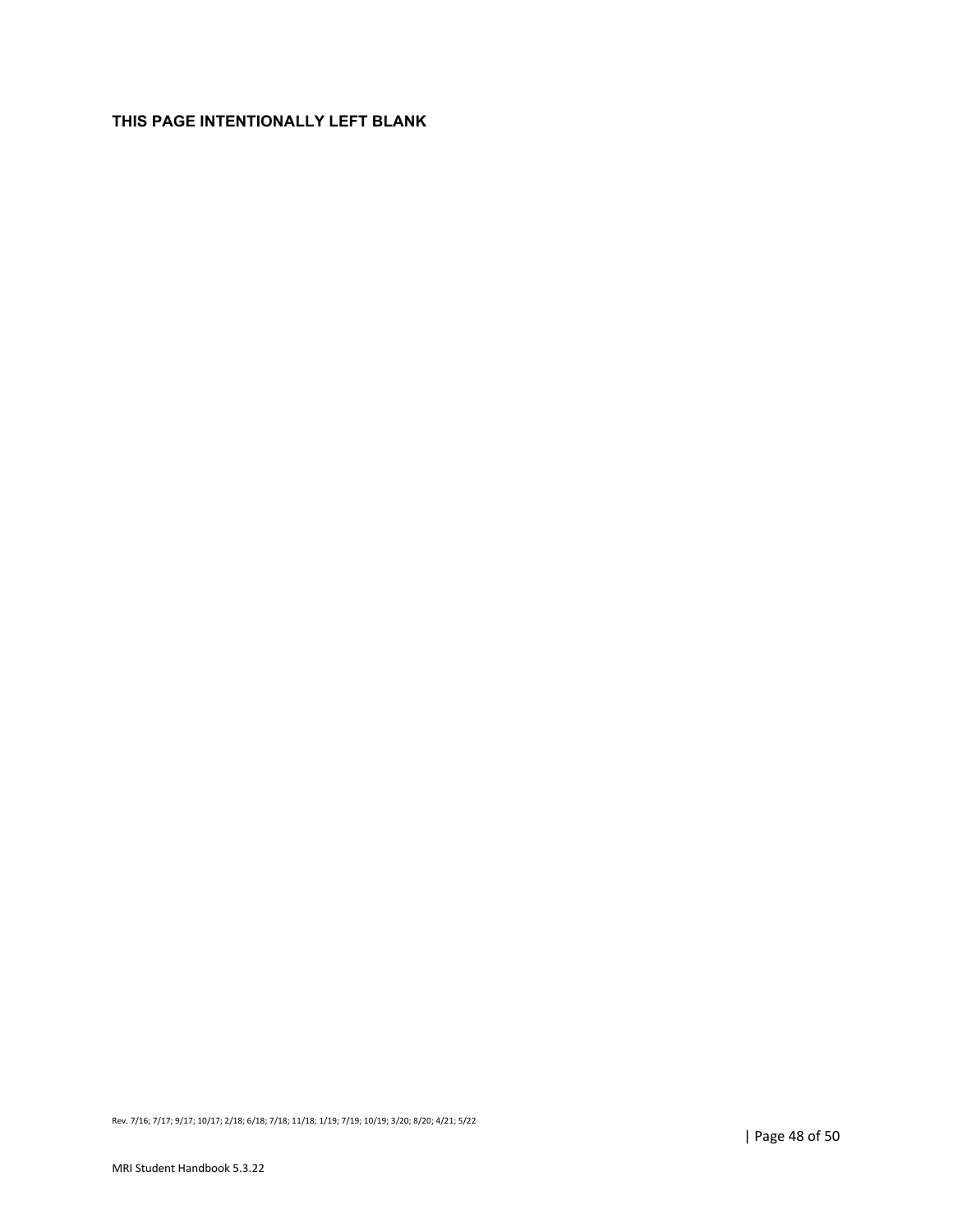## **THIS PAGE INTENTIONALLY LEFT BLANK**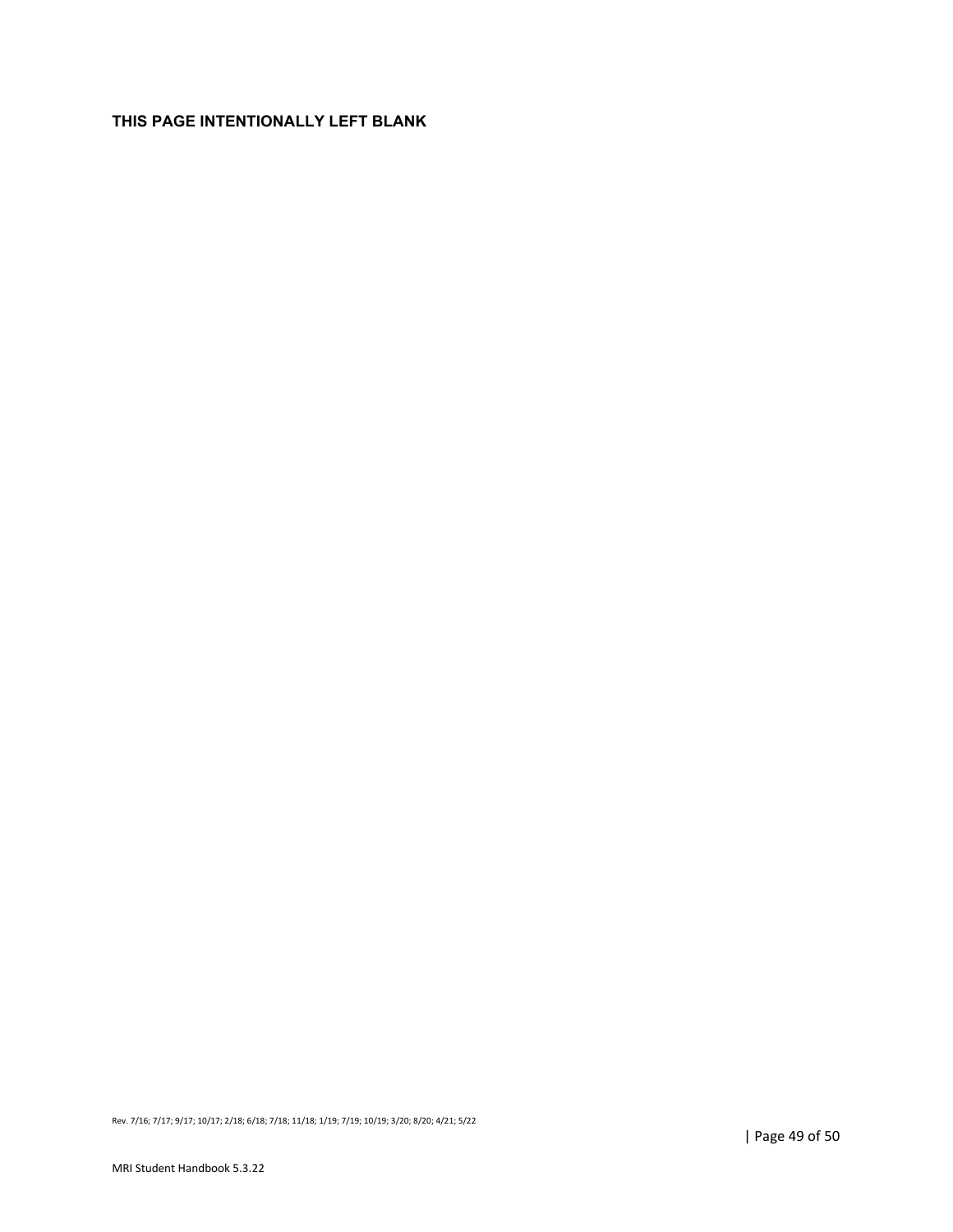## **THIS PAGE INTENTIONALLY LEFT BLANK**